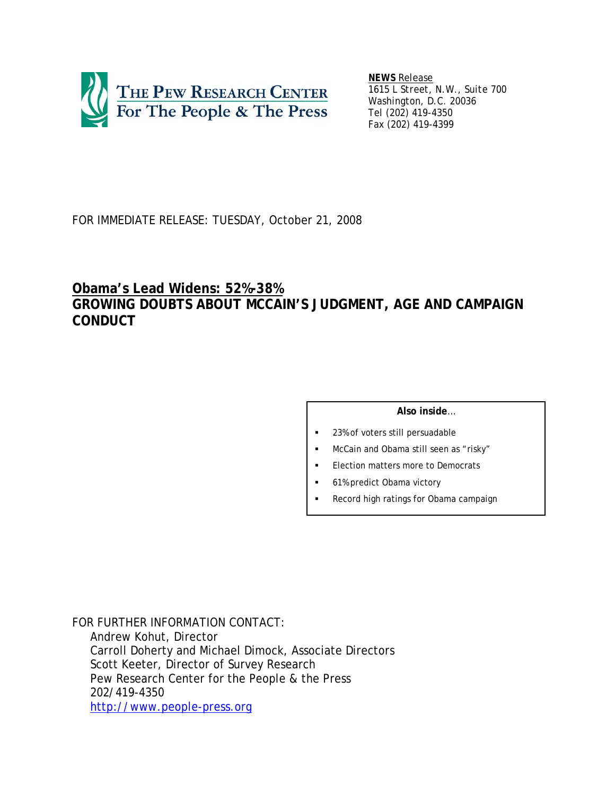

*NEWS Release 1615 L Street, N.W., Suite 700 Washington, D.C. 20036 Tel (202) 419-4350 Fax (202) 419-4399*

# FOR IMMEDIATE RELEASE: TUESDAY, October 21, 2008

# **Obama's Lead Widens: 52%-38% GROWING DOUBTS ABOUT MCCAIN'S JUDGMENT, AGE AND CAMPAIGN CONDUCT**

### **Also inside**…

- 23% of voters still persuadable
- McCain *and* Obama still seen as "risky"
- Election matters more to Democrats
- 61% predict Obama victory
- Record high ratings for Obama campaign

*FOR FURTHER INFORMATION CONTACT*: Andrew Kohut, Director Carroll Doherty and Michael Dimock, Associate Directors Scott Keeter, Director of Survey Research Pew Research Center for the People & the Press 202/419-4350 http://www.people-press.org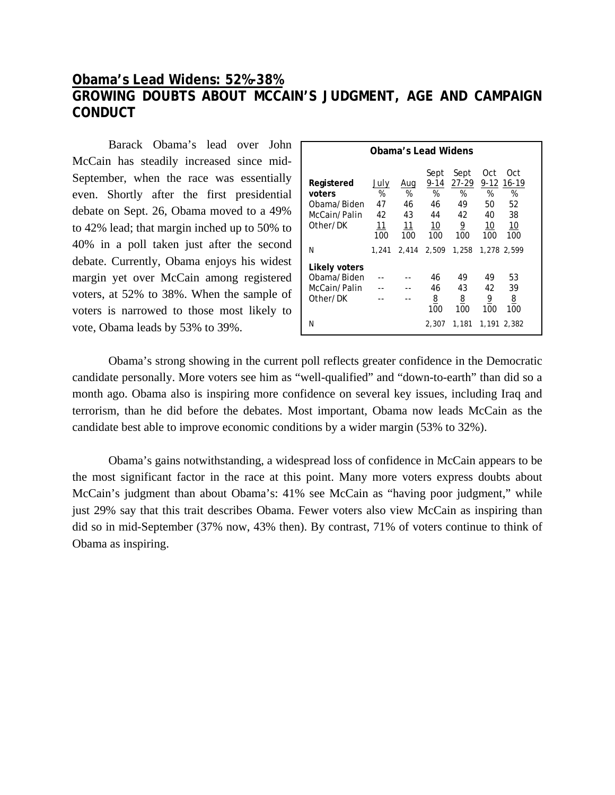# **Obama's Lead Widens: 52%-38% GROWING DOUBTS ABOUT MCCAIN'S JUDGMENT, AGE AND CAMPAIGN CONDUCT**

 Barack Obama's lead over John McCain has steadily increased since mid-September, when the race was essentially even. Shortly after the first presidential debate on Sept. 26, Obama moved to a 49% to 42% lead; that margin inched up to 50% to 40% in a poll taken just after the second debate. Currently, Obama enjoys his widest margin yet over McCain among registered voters, at 52% to 38%. When the sample of voters is narrowed to those most likely to vote, Obama leads by 53% to 39%.

| Obama's Lead Widens                                             |                                            |                                   |                                            |                                                           |                                               |                                            |  |  |  |
|-----------------------------------------------------------------|--------------------------------------------|-----------------------------------|--------------------------------------------|-----------------------------------------------------------|-----------------------------------------------|--------------------------------------------|--|--|--|
| Registered<br>voters<br>Obama/Biden<br>McCain/Palin<br>Other/DK | July<br>%<br>47<br>42<br><u> 11</u><br>100 | Aug<br>%<br>46<br>43<br>11<br>100 | Sept<br>9-14<br>%<br>46<br>44<br>10<br>100 | Sept<br>$27-29$<br>%<br>49<br>42<br>$\overline{6}$<br>100 | Oct<br>$9 - 12$<br>%<br>50<br>40<br>10<br>100 | Oct<br>16-19<br>%<br>52<br>38<br>10<br>100 |  |  |  |
| N                                                               | 1,241                                      | 2.414                             | 2.509                                      | 1,258                                                     |                                               | 1,278 2,599                                |  |  |  |
| Likely voters<br>Obama/Biden<br>McCain/Palin<br>Other/DK<br>N   |                                            |                                   | 46<br>46<br>8<br>100<br>2,307              | 49<br>43<br>8<br>100<br>1,181                             | 49<br>42<br>$\overline{6}$<br>100             | 53<br>39<br><u>8</u><br>100<br>1,191 2,382 |  |  |  |

 Obama's strong showing in the current poll reflects greater confidence in the Democratic candidate personally. More voters see him as "well-qualified" and "down-to-earth" than did so a month ago. Obama also is inspiring more confidence on several key issues, including Iraq and terrorism, than he did before the debates. Most important, Obama now leads McCain as the candidate best able to improve economic conditions by a wider margin (53% to 32%).

Obama's gains notwithstanding, a widespread loss of confidence in McCain appears to be the most significant factor in the race at this point. Many more voters express doubts about McCain's judgment than about Obama's: 41% see McCain as "having poor judgment," while just 29% say that this trait describes Obama. Fewer voters also view McCain as inspiring than did so in mid-September (37% now, 43% then). By contrast, 71% of voters continue to think of Obama as inspiring.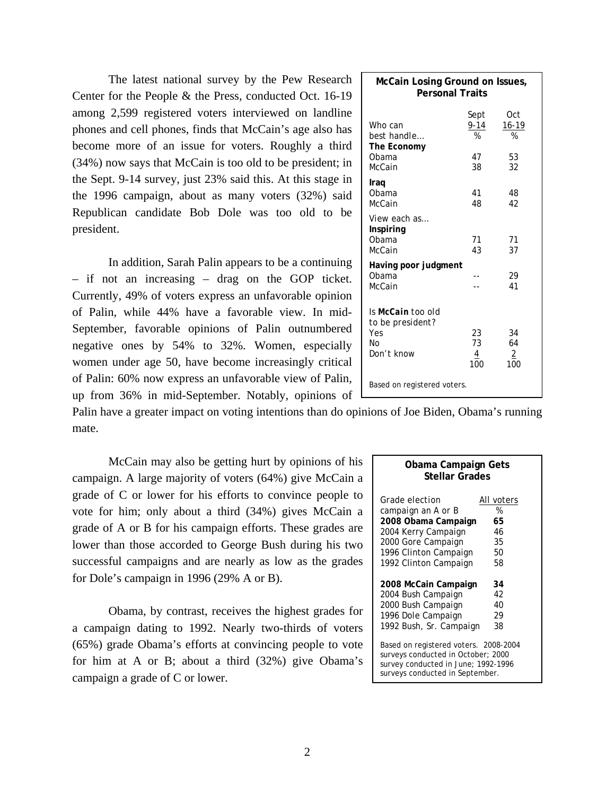The latest national survey by the Pew Research Center for the People & the Press, conducted Oct. 16-19 among 2,599 registered voters interviewed on landline phones and cell phones, finds that McCain's age also has become more of an issue for voters. Roughly a third (34%) now says that McCain is too old to be president; in the Sept. 9-14 survey, just 23% said this. At this stage in the 1996 campaign, about as many voters (32%) said Republican candidate Bob Dole was too old to be president.

 In addition, Sarah Palin appears to be a continuing – if not an increasing – drag on the GOP ticket. Currently, 49% of voters express an unfavorable opinion of Palin, while 44% have a favorable view. In mid-September, favorable opinions of Palin outnumbered negative ones by 54% to 32%. Women, especially women under age 50, have become increasingly critical of Palin: 60% now express an unfavorable view of Palin, up from 36% in mid-September. Notably, opinions of

|       | Palin have a greater impact on voting intentions than do opinions of Joe Biden, Obama's running |  |  |  |  |
|-------|-------------------------------------------------------------------------------------------------|--|--|--|--|
| mate. |                                                                                                 |  |  |  |  |

McCain may also be getting hurt by opinions of his campaign. A large majority of voters (64%) give McCain a grade of C or lower for his efforts to convince people to vote for him; only about a third (34%) gives McCain a grade of A or B for his campaign efforts. These grades are lower than those accorded to George Bush during his two successful campaigns and are nearly as low as the grades for Dole's campaign in 1996 (29% A or B).

Obama, by contrast, receives the highest grades for a campaign dating to 1992. Nearly two-thirds of voters (65%) grade Obama's efforts at convincing people to vote for him at A or B; about a third (32%) give Obama's campaign a grade of C or lower.

| Obama Campaign Gets<br><b>Stellar Grades</b>                                                                                                          |            |  |  |  |  |  |  |  |  |
|-------------------------------------------------------------------------------------------------------------------------------------------------------|------------|--|--|--|--|--|--|--|--|
| <i>Grade election</i>                                                                                                                                 | All voters |  |  |  |  |  |  |  |  |
| campaign an A or B                                                                                                                                    | %          |  |  |  |  |  |  |  |  |
| 2008 Obama Campaign                                                                                                                                   | 65         |  |  |  |  |  |  |  |  |
| 2004 Kerry Campaign                                                                                                                                   | 46         |  |  |  |  |  |  |  |  |
| 2000 Gore Campaign                                                                                                                                    | 35         |  |  |  |  |  |  |  |  |
| 1996 Clinton Campaign                                                                                                                                 | 50         |  |  |  |  |  |  |  |  |
| 1992 Clinton Campaign                                                                                                                                 | 58         |  |  |  |  |  |  |  |  |
| 2008 McCain Campaign                                                                                                                                  | 34         |  |  |  |  |  |  |  |  |
| 2004 Bush Campaign                                                                                                                                    | 42         |  |  |  |  |  |  |  |  |
| 2000 Bush Campaign                                                                                                                                    | 40         |  |  |  |  |  |  |  |  |
| 1996 Dole Campaign                                                                                                                                    | 29         |  |  |  |  |  |  |  |  |
| 1992 Bush, Sr. Campaign                                                                                                                               | 38         |  |  |  |  |  |  |  |  |
| Based on registered voters. 2008-2004<br>surveys conducted in October; 2000<br>survey conducted in June; 1992-1996<br>surveys conducted in September. |            |  |  |  |  |  |  |  |  |

|                                                                  | McCain Losing Ground on Issues,<br><b>Personal Traits</b> |                                            |  |  |  |  |  |
|------------------------------------------------------------------|-----------------------------------------------------------|--------------------------------------------|--|--|--|--|--|
| Who can<br>best handle<br>The Economy<br>Obama                   | Sept<br>$9 - 14$<br>%<br>47                               | Oct<br><u>16-19</u><br>$\frac{9}{6}$<br>53 |  |  |  |  |  |
| McCain                                                           | 38                                                        | 32                                         |  |  |  |  |  |
| Iraq<br>Obama<br>McCain                                          | 41<br>48                                                  | 48<br>42                                   |  |  |  |  |  |
| View each as<br>Inspiring<br>Obama<br>McCain                     | 71<br>43                                                  | 71<br>37                                   |  |  |  |  |  |
| Having poor judgment<br>Obama<br>McCain                          |                                                           | 29<br>41                                   |  |  |  |  |  |
| Is McCain too old<br>to be president?<br>Yes<br>N٥<br>Don't know | 23<br>73<br>4<br>100                                      | 34<br>64<br>2<br>100                       |  |  |  |  |  |
| Based on registered voters.                                      |                                                           |                                            |  |  |  |  |  |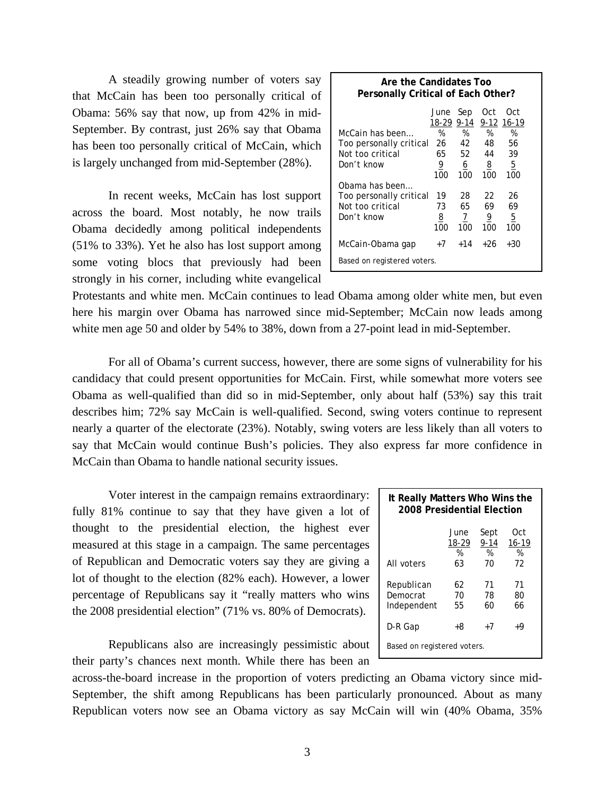A steadily growing number of voters say that McCain has been too personally critical of Obama: 56% say that now, up from 42% in mid-September. By contrast, just 26% say that Obama has been too personally critical of McCain, which is largely unchanged from mid-September (28%).

In recent weeks, McCain has lost support across the board. Most notably, he now trails Obama decidedly among political independents (51% to 33%). Yet he also has lost support among some voting blocs that previously had been strongly in his corner, including white evangelical

| Are the Candidates Too<br>Personally Critical of Each Other? |                    |                      |          |                        |  |  |  |  |  |  |
|--------------------------------------------------------------|--------------------|----------------------|----------|------------------------|--|--|--|--|--|--|
| McCain has been                                              | June<br>18-29<br>% | Sep<br>$9 - 14$<br>% | Oct<br>% | Oct<br>9-12 16-19<br>% |  |  |  |  |  |  |
| Too personally critical                                      | 26                 | 42                   | 48       | 56                     |  |  |  |  |  |  |
| Not too critical                                             | 65                 | 52                   | 44       | 39                     |  |  |  |  |  |  |
| Don't know                                                   | 9                  | <u>6</u>             | <u>8</u> | <u>5</u>               |  |  |  |  |  |  |
| Obama has been                                               | 100                | 100                  | 100      | 100                    |  |  |  |  |  |  |
| Too personally critical                                      | 19                 | 28                   | 22       | 26                     |  |  |  |  |  |  |
| Not too critical                                             | 73                 | 65                   | 69       | 69                     |  |  |  |  |  |  |
| Don't know                                                   | <u>8</u>           | $\overline{1}$       | <u>9</u> | <u>5</u>               |  |  |  |  |  |  |
|                                                              | 100                | 100                  | 100      | 100                    |  |  |  |  |  |  |
| McCain-Obama qap<br>Based on registered voters.              | $+7$               | $+14$                | +26      | +30                    |  |  |  |  |  |  |

Protestants and white men. McCain continues to lead Obama among older white men, but even here his margin over Obama has narrowed since mid-September; McCain now leads among white men age 50 and older by 54% to 38%, down from a 27-point lead in mid-September.

For all of Obama's current success, however, there are some signs of vulnerability for his candidacy that could present opportunities for McCain. First, while somewhat more voters see Obama as well-qualified than did so in mid-September, only about half (53%) say this trait describes him; 72% say McCain is well-qualified. Second, swing voters continue to represent nearly a quarter of the electorate (23%). Notably, swing voters are less likely than all voters to say that McCain would continue Bush's policies. They also express far more confidence in McCain than Obama to handle national security issues.

 Voter interest in the campaign remains extraordinary: fully 81% continue to say that they have given a lot of thought to the presidential election, the highest ever measured at this stage in a campaign. The same percentages of Republican and Democratic voters say they are giving a lot of thought to the election (82% each). However, a lower percentage of Republicans say it "really matters who wins the 2008 presidential election" (71% vs. 80% of Democrats).

 Republicans also are increasingly pessimistic about their party's chances next month. While there has been an

across-the-board increase in the proportion of voters predicting an Obama victory since mid-September, the shift among Republicans has been particularly pronounced. About as many Republican voters now see an Obama victory as say McCain will win (40% Obama, 35%

| It Really Matters Who Wins the<br>2008 Presidential Election |                          |                             |                             |  |  |  |  |  |
|--------------------------------------------------------------|--------------------------|-----------------------------|-----------------------------|--|--|--|--|--|
| All voters                                                   | June<br>18-29<br>%<br>63 | Sept<br>$9 - 14$<br>%<br>70 | Oct<br>$16 - 19$<br>%<br>72 |  |  |  |  |  |
| Republican<br>Democrat<br>Independent                        | 62<br>70<br>55           | 71<br>78<br>60              | 71<br>80<br>66              |  |  |  |  |  |
| D-R Gap                                                      | +8                       | $+7$                        | +9                          |  |  |  |  |  |
| Based on registered voters.                                  |                          |                             |                             |  |  |  |  |  |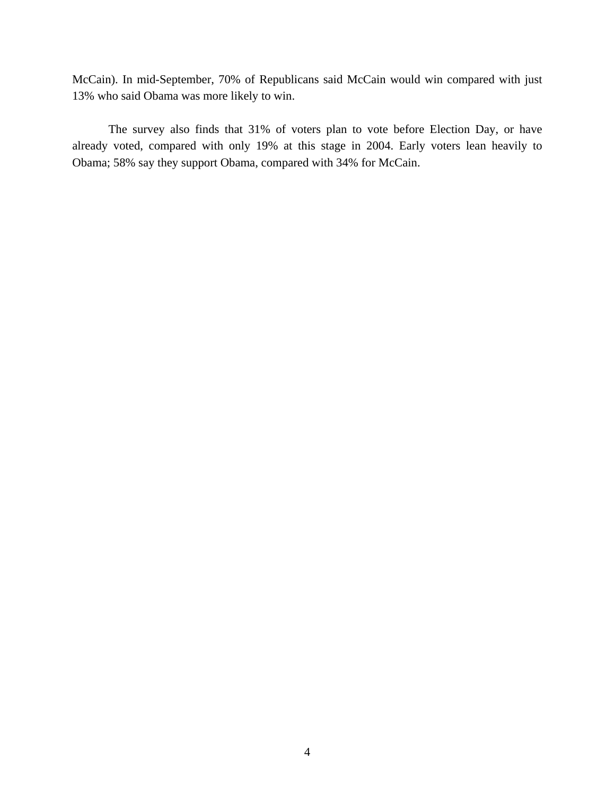McCain). In mid-September, 70% of Republicans said McCain would win compared with just 13% who said Obama was more likely to win.

 The survey also finds that 31% of voters plan to vote before Election Day, or have already voted, compared with only 19% at this stage in 2004. Early voters lean heavily to Obama; 58% say they support Obama, compared with 34% for McCain.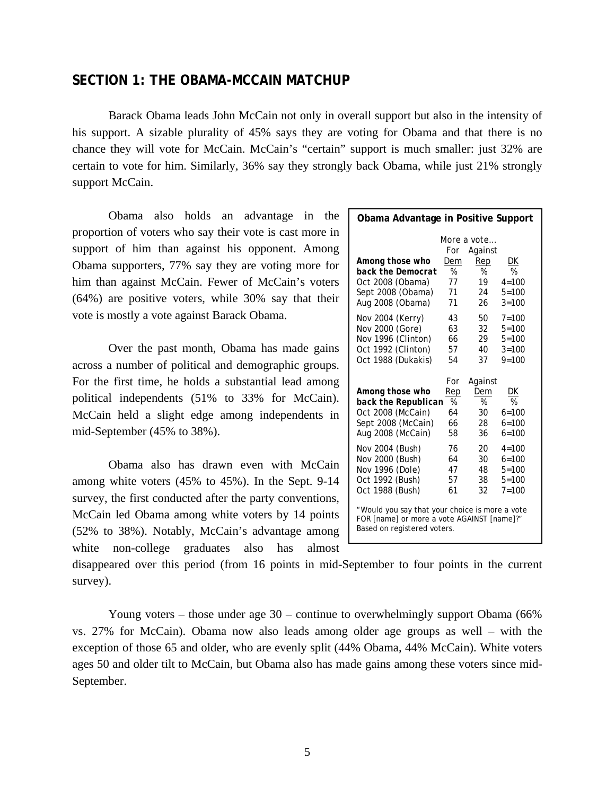# **SECTION 1: THE OBAMA-MCCAIN MATCHUP**

Barack Obama leads John McCain not only in overall support but also in the intensity of his support. A sizable plurality of 45% says they are voting for Obama and that there is no chance they will vote for McCain. McCain's "certain" support is much smaller: just 32% are certain to vote for him. Similarly, 36% say they strongly back Obama, while just 21% strongly support McCain.

 Obama also holds an advantage in the proportion of voters who say their vote is cast more in support of him than against his opponent. Among Obama supporters, 77% say they are voting more for him than against McCain. Fewer of McCain's voters (64%) are positive voters, while 30% say that their vote is mostly a vote against Barack Obama.

Over the past month, Obama has made gains across a number of political and demographic groups. For the first time, he holds a substantial lead among political independents (51% to 33% for McCain). McCain held a slight edge among independents in mid-September (45% to 38%).

 Obama also has drawn even with McCain among white voters (45% to 45%). In the Sept. 9-14 survey, the first conducted after the party conventions, McCain led Obama among white voters by 14 points (52% to 38%). Notably, McCain's advantage among white non-college graduates also has almost

| Obama Advantage in Positive Support                                                                                         |     |                    |               |
|-----------------------------------------------------------------------------------------------------------------------------|-----|--------------------|---------------|
|                                                                                                                             |     | <i>More a vote</i> |               |
|                                                                                                                             | For | Against            |               |
| Among those who                                                                                                             | Dem | Rep                | DK            |
| back the Democrat                                                                                                           | %   | %                  | %             |
| Oct 2008 (Obama)                                                                                                            | 77  | 19                 | $4 = 100$     |
| Sept 2008 (Obama)                                                                                                           | 71  | 24                 | $5 = 100$     |
| Aug 2008 (Obama)                                                                                                            | 71  | 26                 | $3 = 100$     |
| Nov 2004 (Kerry)                                                                                                            | 43  | 50                 | $7 = 100$     |
| Nov 2000 (Gore)                                                                                                             | 63  | 32                 | $5 = 100$     |
| Nov 1996 (Clinton)                                                                                                          | 66  | 29                 | $5 = 100$     |
| Oct 1992 (Clinton)                                                                                                          | 57  | 40                 | $3 = 100$     |
| Oct 1988 (Dukakis)                                                                                                          | 54  | 37                 | $9 = 100$     |
|                                                                                                                             | For | Against            |               |
| Among those who                                                                                                             | Rep | Dem                | DK            |
| back the Republican                                                                                                         | %   | %                  | $\frac{9}{6}$ |
| Oct 2008 (McCain)                                                                                                           | 64  | 30                 | $6 = 100$     |
| Sept 2008 (McCain)                                                                                                          | 66  | 28                 | $6 = 100$     |
| Aug 2008 (McCain)                                                                                                           | 58  | 36                 | $6 = 100$     |
| Nov 2004 (Bush)                                                                                                             | 76  | 20                 | $4 = 100$     |
| Nov 2000 (Bush)                                                                                                             | 64  | 30                 | $6 = 100$     |
| Nov 1996 (Dole)                                                                                                             | 47  | 48                 | $5 = 100$     |
| Oct 1992 (Bush)                                                                                                             | 57  | 38                 | $5 = 100$     |
| Oct 1988 (Bush)                                                                                                             | 61  | 32                 | $7 = 100$     |
| "Would you say that your choice is more a vote<br>FOR [name] or more a vote AGAINST [name]?"<br>Based on registered voters. |     |                    |               |

disappeared over this period (from 16 points in mid-September to four points in the current survey).

Young voters – those under age 30 – continue to overwhelmingly support Obama (66% vs. 27% for McCain). Obama now also leads among older age groups as well – with the exception of those 65 and older, who are evenly split (44% Obama, 44% McCain). White voters ages 50 and older tilt to McCain, but Obama also has made gains among these voters since mid-September.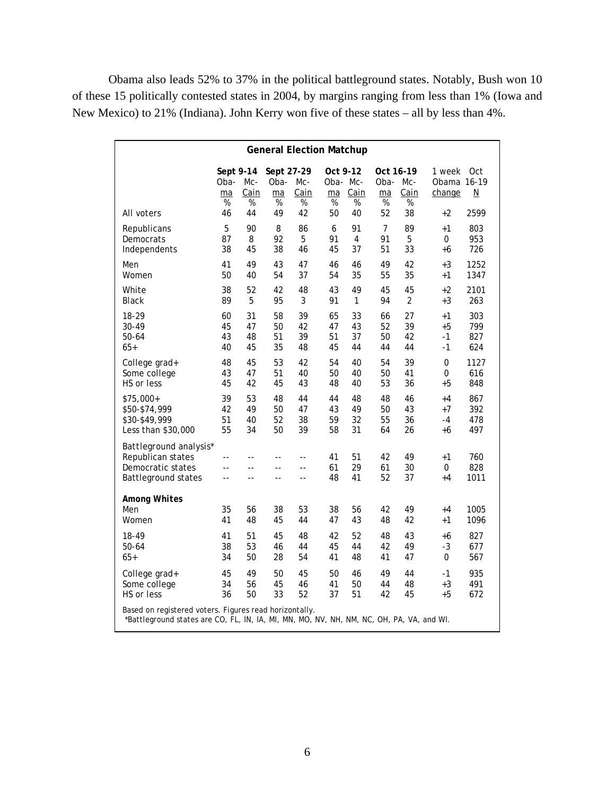Obama also leads 52% to 37% in the political battleground states. Notably, Bush won 10 of these 15 politically contested states in 2004, by margins ranging from less than 1% (Iowa and New Mexico) to 21% (Indiana). John Kerry won five of these states – all by less than 4%.

| <b>General Election Matchup</b>                                                                                                                    |                                 |                  |                               |                   |                                 |                |                              |                  |                                 |                                 |
|----------------------------------------------------------------------------------------------------------------------------------------------------|---------------------------------|------------------|-------------------------------|-------------------|---------------------------------|----------------|------------------------------|------------------|---------------------------------|---------------------------------|
|                                                                                                                                                    | Sept 9-14<br>Oba-<br>ma<br>$\%$ | Mc-<br>Cain<br>% | Sept 27-29<br>Oba-<br>ma<br>% | Mc-<br>Cain<br>%  | Oct 9-12<br>Oba- Mc-<br>ma<br>% | Cain<br>%      | Oct 16-19<br>Oba-<br>ma<br>% | Mc-<br>Cain<br>% | 1 week<br>Obama 16-19<br>change | Oct<br>$\underline{\mathsf{N}}$ |
| All voters                                                                                                                                         | 46                              | 44               | 49                            | 42                | 50                              | 40             | 52                           | 38               | $+2$                            | 2599                            |
| Republicans                                                                                                                                        | 5                               | 90               | 8                             | 86                | 6                               | 91             | 7                            | 89               | +1                              | 803                             |
| Democrats                                                                                                                                          | 87                              | 8                | 92                            | 5                 | 91                              | 4              | 91                           | 5                | 0                               | 953                             |
| Independents                                                                                                                                       | 38                              | 45               | 38                            | 46                | 45                              | 37             | 51                           | 33               | +6                              | 726                             |
| Men                                                                                                                                                | 41                              | 49               | 43                            | 47                | 46                              | 46             | 49                           | 42               | +3                              | 1252                            |
| Women                                                                                                                                              | 50                              | 40               | 54                            | 37                | 54                              | 35             | 55                           | 35               | +1                              | 1347                            |
| White                                                                                                                                              | 38                              | 52               | 42                            | 48                | 43                              | 49             | 45                           | 45               | +2                              | 2101                            |
| <b>Black</b>                                                                                                                                       | 89                              | 5                | 95                            | 3                 | 91                              | $\mathbf{1}$   | 94                           | $\overline{2}$   | +3                              | 263                             |
| 18-29                                                                                                                                              | 60                              | 31               | 58                            | 39                | 65                              | 33             | 66                           | 27               | +1                              | 303                             |
| 30-49                                                                                                                                              | 45                              | 47               | 50                            | 42                | 47                              | 43             | 52                           | 39               | +5                              | 799                             |
| $50 - 64$                                                                                                                                          | 43                              | 48               | 51                            | 39                | 51                              | 37             | 50                           | 42               | $-1$                            | 827                             |
| $65+$                                                                                                                                              | 40                              | 45               | 35                            | 48                | 45                              | 44             | 44                           | 44               | -1                              | 624                             |
| College grad+                                                                                                                                      | 48                              | 45               | 53                            | 42                | 54                              | 40             | 54                           | 39               | 0                               | 1127                            |
| Some college                                                                                                                                       | 43                              | 47               | 51                            | 40                | 50                              | 40             | 50                           | 41               | 0                               | 616                             |
| HS or less                                                                                                                                         | 45                              | 42               | 45                            | 43                | 48                              | 40             | 53                           | 36               | $+5$                            | 848                             |
| $$75,000+$                                                                                                                                         | 39                              | 53               | 48                            | 44                | 44                              | 48             | 48                           | 46               | +4                              | 867                             |
| \$50-\$74,999                                                                                                                                      | 42                              | 49               | 50                            | 47                | 43                              | 49             | 50                           | 43               | +7                              | 392                             |
| \$30-\$49,999                                                                                                                                      | 51                              | 40               | 52                            | 38                | 59                              | 32             | 55                           | 36               | $-4$                            | 478                             |
| Less than \$30,000                                                                                                                                 | 55                              | 34               | 50                            | 39                | 58                              | 31             | 64                           | 26               | +6                              | 497                             |
| Battleground analysis*<br>Republican states<br>Democratic states<br><b>Battleground states</b>                                                     | --<br>$-$<br>--                 | $-$<br>$-$<br>-- | $\sim$<br>$-$<br>$-$          | $-$<br>$-$<br>$-$ | 41<br>61<br>48                  | 51<br>29<br>41 | 42<br>61<br>52               | 49<br>30<br>37   | $+1$<br>$\mathcal O$<br>+4      | 760<br>828<br>1011              |
| <b>Among Whites</b><br>Men<br>Women                                                                                                                | 35<br>41                        | 56<br>48         | 38<br>45                      | 53<br>44          | 38<br>47                        | 56<br>43       | 42<br>48                     | 49<br>42         | $+4$<br>+1                      | 1005<br>1096                    |
| 18-49                                                                                                                                              | 41                              | 51               | 45                            | 48                | 42                              | 52             | 48                           | 43               | +6                              | 827                             |
| $50 - 64$                                                                                                                                          | 38                              | 53               | 46                            | 44                | 45                              | 44             | 42                           | 49               | $-3$                            | 677                             |
| 65+                                                                                                                                                | 34                              | 50               | 28                            | 54                | 41                              | 48             | 41                           | 47               | 0                               | 567                             |
| College grad+                                                                                                                                      | 45                              | 49               | 50                            | 45                | 50                              | 46             | 49                           | 44               | $-1$                            | 935                             |
| Some college                                                                                                                                       | 34                              | 56               | 45                            | 46                | 41                              | 50             | 44                           | 48               | $+3$                            | 491                             |
| HS or less                                                                                                                                         | 36                              | 50               | 33                            | 52                | 37                              | 51             | 42                           | 45               | +5                              | 672                             |
| Based on registered voters. Figures read horizontally.<br>*Battleground states are CO, FL, IN, IA, MI, MN, MO, NV, NH, NM, NC, OH, PA, VA, and WI. |                                 |                  |                               |                   |                                 |                |                              |                  |                                 |                                 |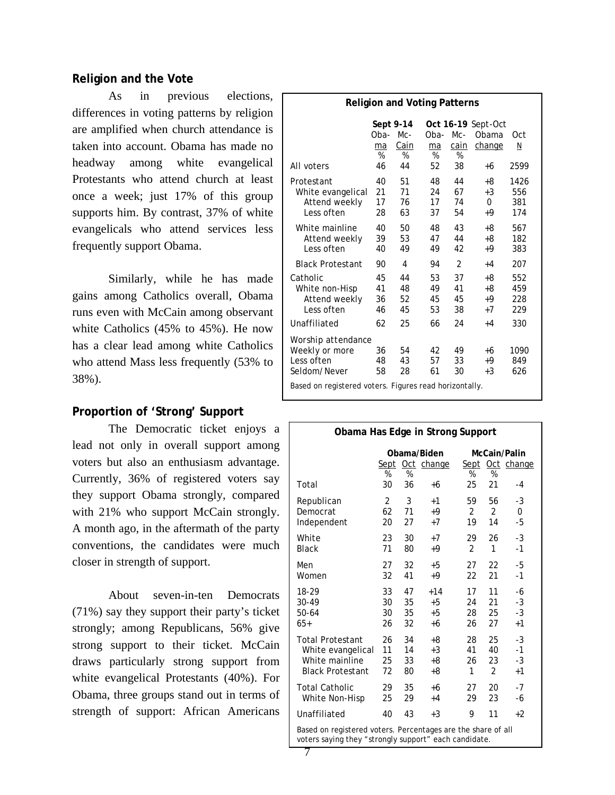# **Religion and the Vote**

As in previous elections, differences in voting patterns by religion are amplified when church attendance is taken into account. Obama has made no headway among white evangelical Protestants who attend church at least once a week; just 17% of this group supports him. By contrast, 37% of white evangelicals who attend services less frequently support Obama.

Similarly, while he has made gains among Catholics overall, Obama runs even with McCain among observant white Catholics (45% to 45%). He now has a clear lead among white Catholics who attend Mass less frequently (53% to 38%).

# **Proportion of 'Strong' Support**

The Democratic ticket enjoys a lead not only in overall support among voters but also an enthusiasm advantage. Currently, 36% of registered voters say they support Obama strongly, compared with 21% who support McCain strongly. A month ago, in the aftermath of the party conventions, the candidates were much closer in strength of support.

About seven-in-ten Democrats (71%) say they support their party's ticket strongly; among Republicans, 56% give strong support to their ticket. McCain draws particularly strong support from white evangelical Protestants (40%). For Obama, three groups stand out in terms of strength of support: African Americans

| <b>Religion and Voting Patterns</b>                                |                      |                               |                      |                      |                                       |                           |  |  |
|--------------------------------------------------------------------|----------------------|-------------------------------|----------------------|----------------------|---------------------------------------|---------------------------|--|--|
|                                                                    | Oba-<br>ma<br>%      | Sept 9-14<br>Mc-<br>Cain<br>% | Oba-<br>ma<br>%      | Mc-<br>cain<br>%     | Oct 16-19 Sept-Oct<br>Obama<br>change | Oct<br>N                  |  |  |
| All voters                                                         | 46                   | 44                            | 52                   | 38                   | +6                                    | 2599                      |  |  |
| Protestant<br>White evangelical<br>Attend weekly<br>Less often     | 40<br>21<br>17<br>28 | 51<br>71<br>76<br>63          | 48<br>24<br>17<br>37 | 44<br>67<br>74<br>54 | +8<br>$+3$<br>0<br>+9                 | 1426<br>556<br>381<br>174 |  |  |
| White mainline<br>Attend weekly<br>Less often                      | 40<br>39<br>40       | 50<br>53<br>49                | 48<br>47<br>49       | 43<br>44<br>42       | +8<br>+8<br>+9                        | 567<br>182<br>383         |  |  |
| <b>Black Protestant</b>                                            | 90                   | 4                             | 94                   | $\overline{2}$       | $+4$                                  | 207                       |  |  |
| Catholic<br>White non-Hisp<br>Attend weekly<br>Less often          | 45<br>41<br>36<br>46 | 44<br>48<br>52<br>45          | 53<br>49<br>45<br>53 | 37<br>41<br>45<br>38 | +8<br>+8<br>+9<br>$+7$                | 552<br>459<br>228<br>229  |  |  |
| Unaffiliated                                                       | 62                   | 25                            | 66                   | 24                   | $+4$                                  | 330                       |  |  |
| Worship attendance<br>Weekly or more<br>Less often<br>Seldom/Never | 36<br>48<br>58       | 54<br>43<br>28                | 42<br>57<br>61       | 49<br>33<br>30       | +6<br>$+9$<br>$+3$                    | 1090<br>849<br>626        |  |  |
| Based on registered voters. Figures read horizontally.             |                      |                               |                      |                      |                                       |                           |  |  |

| Obama Has Edge in Strong Support                                                                                      |                |    |                                |                |                |                                 |  |
|-----------------------------------------------------------------------------------------------------------------------|----------------|----|--------------------------------|----------------|----------------|---------------------------------|--|
|                                                                                                                       | %              | %  | Obama/Biden<br>Sept Oct change | %              | %              | McCain/Palin<br>Sept Oct change |  |
| Total                                                                                                                 | 30             | 36 | +6                             | 25             | 21             | $-4$                            |  |
| Republican                                                                                                            | $\overline{2}$ | 3  | $+1$                           | 59             | 56             | -3                              |  |
| Democrat                                                                                                              | 62             | 71 | $+9$                           | $\overline{2}$ | $\overline{2}$ | 0                               |  |
| Independent                                                                                                           | 20             | 27 | $+7$                           | 19             | 14             | -5                              |  |
| White                                                                                                                 | 23             | 30 | $+7$                           | 29             | 26             | $-3$                            |  |
| <b>Black</b>                                                                                                          | 71             | 80 | $+9$                           | $\mathfrak{D}$ | 1              | $-1$                            |  |
| Men                                                                                                                   | 27             | 32 | $+5$                           | 27             | 22             | -5                              |  |
| Women                                                                                                                 | 32             | 41 | $+9$                           | 22             | 21             | $-1$                            |  |
| 18-29                                                                                                                 | 33             | 47 | $+14$                          | 17             | 11             | -6                              |  |
| 30-49                                                                                                                 | 30             | 35 | $+5$                           | 24             | 21             | $-3$                            |  |
| 50-64                                                                                                                 | 30             | 35 | $+5$                           | 28             | 25             | $-3$                            |  |
| $65+$                                                                                                                 | 26             | 32 | +6                             | 26             | 27             | $+1$                            |  |
| <b>Total Protestant</b>                                                                                               | 26             | 34 | +8                             | 28             | 25             | $-3$                            |  |
| White evangelical                                                                                                     | 11             | 14 | $+3$                           | 41             | 40             | $-1$                            |  |
| White mainline                                                                                                        | 25             | 33 | $+8$                           | 26             | 23             | $-3$                            |  |
| <b>Black Protestant</b>                                                                                               | 72             | 80 | +8                             | 1              | 2              | $+1$                            |  |
| <b>Total Catholic</b>                                                                                                 | 29             | 35 | +6                             | 27             | 20             | $-7$                            |  |
| White Non-Hisp                                                                                                        | 25             | 29 | $+4$                           | 29             | 23             | -6                              |  |
| Unaffiliated                                                                                                          | 40             | 43 | $+3$                           | 9              | 11             | $+2$                            |  |
| Based on registered voters. Percentages are the share of all<br>voters saying they "strongly support" each candidate. |                |    |                                |                |                |                                 |  |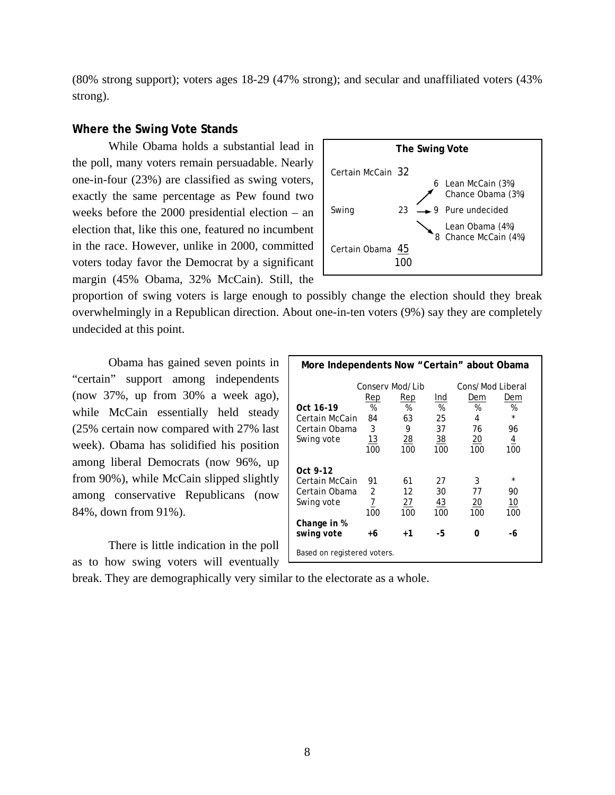(80% strong support); voters ages 18-29 (47% strong); and secular and unaffiliated voters (43% strong).

### **Where the Swing Vote Stands**

 While Obama holds a substantial lead in the poll, many voters remain persuadable. Nearly one-in-four (23%) are classified as swing voters, exactly the same percentage as Pew found two weeks before the 2000 presidential election – an election that, like this one, featured no incumbent in the race. However, unlike in 2000, committed voters today favor the Democrat by a significant margin (45% Obama, 32% McCain). Still, the



proportion of swing voters is large enough to possibly change the election should they break overwhelmingly in a Republican direction. About one-in-ten voters (9%) say they are completely undecided at this point.

 Obama has gained seven points in "certain" support among independents (now 37%, up from 30% a week ago), while McCain essentially held steady (25% certain now compared with 27% last week). Obama has solidified his position among liberal Democrats (now 96%, up from 90%), while McCain slipped slightly among conservative Republicans (now 84%, down from 91%).

 There is little indication in the poll as to how swing voters will eventually

| More Independents Now "Certain" about Obama                                            |                                          |                                                     |                                          |                                                              |                                                    |  |  |  |
|----------------------------------------------------------------------------------------|------------------------------------------|-----------------------------------------------------|------------------------------------------|--------------------------------------------------------------|----------------------------------------------------|--|--|--|
| <i>Oct 16-19</i><br>Certain McCain<br>Certain Obama<br>Swing vote                      | Rep<br>%<br>84<br>3<br><u> 13</u><br>100 | Consery Mod/Lib<br>Rep<br>%<br>63<br>9<br>28<br>100 | Ind<br>%<br>25<br>37<br><u>38</u><br>100 | Cons/Mod Liberal<br>Dem<br>%<br>4<br>76<br><u> 20</u><br>100 | Dem<br>%<br>$\star$<br>96<br>$\overline{4}$<br>100 |  |  |  |
| Oct 9-12<br>Certain McCain<br>Certain Obama<br>Swing vote<br>Change in %<br>swing vote | 91<br>2<br>$\overline{Z}$<br>100<br>+6   | 61<br>12<br><u>27</u><br>100<br>$+1$                | 27<br>30<br><u>43</u><br>100<br>-5       | 3<br>77<br><u> 20</u><br>100<br>Ω                            | $\star$<br>90<br><u>10</u><br>100<br>-6            |  |  |  |
| Based on registered voters.                                                            |                                          |                                                     |                                          |                                                              |                                                    |  |  |  |

break. They are demographically very similar to the electorate as a whole.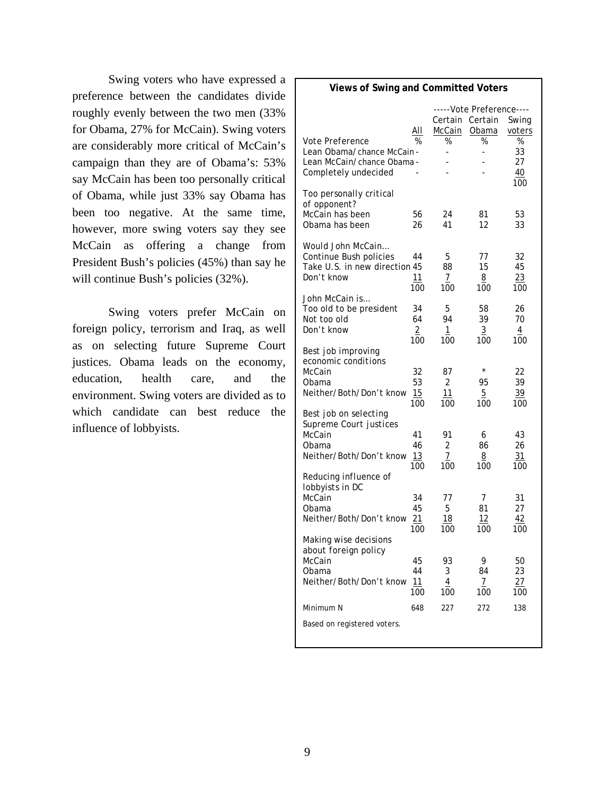Swing voters who have expressed a preference between the candidates divide roughly evenly between the two men (33% for Obama, 27% for McCain). Swing voters are considerably more critical of McCain's campaign than they are of Obama's: 53% say McCain has been too personally critical of Obama, while just 33% say Obama has been too negative. At the same time, however, more swing voters say they see McCain as offering a change from President Bush's policies (45%) than say he will continue Bush's policies  $(32\%)$ .

 Swing voters prefer McCain on foreign policy, terrorism and Iraq, as well as on selecting future Supreme Court justices. Obama leads on the economy, education, health care, and the environment. Swing voters are divided as to which candidate can best reduce the influence of lobbyists.

#### **Views of Swing and Committed Voters** -----Vote Preference---- Certain Certain Swing All McCain Obama voters *Vote Preference* % % % % Lean Obama/chance McCain - - - - 33 Lean McCain/chance Obama - - - - 27 Completely undecided - - - - - - 40 <u>100 and 100 and 100 and 100 and 100 and 100 and 100 and 100 and 100 and 100 and 100 and 100 and 100 and 100 and 100 and 100 and 100 and 100 and 100 and 100 and 100 and 100 and 100 and 100 and 100 and 100 and 100 and 100 a</u> *Too personally critical of opponent?*  McCain has been 56 24 81 53 Obama has been 26 41 12 33 *Would John McCain…* Continue Bush policies 44 5 77 32 Take U.S. in new direction 45 88 15 45 Don't know  $\frac{11}{100}$   $\frac{7}{100}$   $\frac{8}{100}$   $\frac{23}{100}$  100 100 100 100 *John McCain is…*  Too old to be president 34 5 58 26 Not too old 64 94 39 70 Don't know  $\frac{2}{100}$   $\frac{1}{100}$   $\frac{3}{100}$   $\frac{4}{100}$  100 100 100 100 *Best job improving economic conditions*  McCain 32 87 \* 22<br>Obama 53 2 95 39 Obama 53 2 95 39 Neither/Both/Don't know  $\frac{15}{100}$   $\frac{11}{100}$   $\frac{5}{100}$   $\frac{39}{100}$  100 100 100 100 *Best job on selecting Supreme Court justices*  McCain 41 91 6 43 Obama 46 2 86 26 Neither/Both/Don't know 13 7 8 31 100 100 100 100 *Reducing influence of lobbyists in DC*  McCain 34 77 7 31 Obama 45 5 81 27 Neither/Both/Don't know  $\frac{21}{100}$   $\frac{18}{100}$   $\frac{12}{100}$   $\frac{42}{100}$  100 100 100 100 *Making wise decisions about foreign policy*  McCain 45 93 9 50 Obama 44 3 84 23 Neither/Both/Don't know  $\frac{11}{4}$   $\frac{4}{7}$   $\frac{27}{7}$  100 100 100 100 Minimum N 648 227 272 138 Based on registered voters.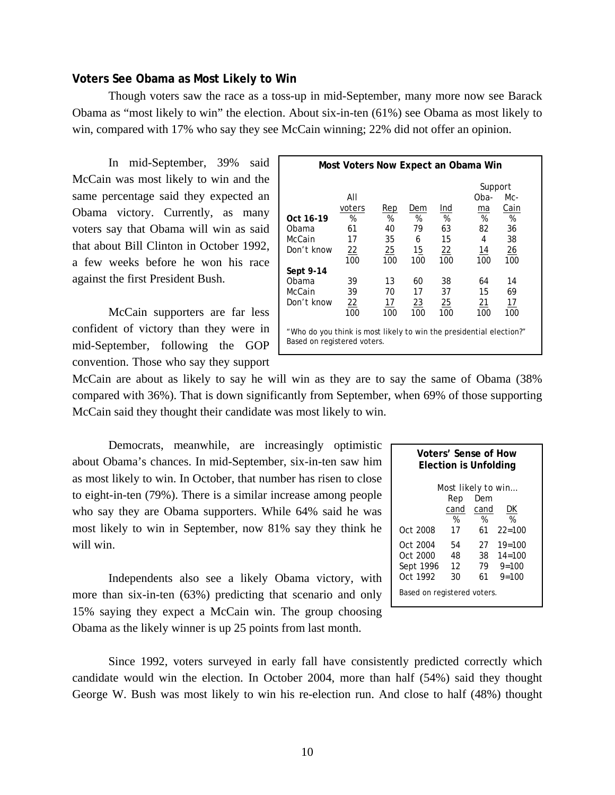#### **Voters See Obama as Most Likely to Win**

Though voters saw the race as a toss-up in mid-September, many more now see Barack Obama as "most likely to win" the election. About six-in-ten (61%) see Obama as most likely to win, compared with 17% who say they see McCain winning; 22% did not offer an opinion.

 In mid-September, 39% said McCain was most likely to win and the same percentage said they expected an Obama victory. Currently, as many voters say that Obama will win as said that about Bill Clinton in October 1992, a few weeks before he won his race against the first President Bush.

McCain supporters are far less confident of victory than they were in mid-September, following the GOP convention. Those who say they support

| Most Voters Now Expect an Obama Win                                                                |                  |            |           |                 |            |                |  |  |  |  |
|----------------------------------------------------------------------------------------------------|------------------|------------|-----------|-----------------|------------|----------------|--|--|--|--|
|                                                                                                    |                  |            |           |                 | Support    |                |  |  |  |  |
|                                                                                                    | AII              |            |           |                 | Oba-       | Mc-            |  |  |  |  |
|                                                                                                    | voters           | <b>Rep</b> | Dem       | Ind             | ma         | Cain           |  |  |  |  |
| Oct 16-19                                                                                          | %                | %          | %         | %               | %          | %              |  |  |  |  |
| Obama                                                                                              | 61               | 40         | 79        | 63              | 82         | 36             |  |  |  |  |
| McCain                                                                                             | 17               | 35         | 6         | 15              | 4          | 38             |  |  |  |  |
| Don't know                                                                                         | $\frac{22}{100}$ | 25         | 15        | $\overline{22}$ | <u> 14</u> | $\frac{26}{5}$ |  |  |  |  |
|                                                                                                    |                  | 100        | 100       | 100             | 100        | 100            |  |  |  |  |
| Sept 9-14                                                                                          |                  |            |           |                 |            |                |  |  |  |  |
| Obama                                                                                              | 39               | 13         | 60        | 38              | 64         | 14             |  |  |  |  |
| McCain                                                                                             | 39               | 70         | 17        | 37              | 15         | 69             |  |  |  |  |
| Don't know                                                                                         | 22               | 17         | <u>23</u> | <u>25</u>       | <u>21</u>  | 17             |  |  |  |  |
|                                                                                                    | 100              | 100        | 100       | 100             | 100        | 100            |  |  |  |  |
| "Who do you think is most likely to win the presidential election?"<br>Based on registered voters. |                  |            |           |                 |            |                |  |  |  |  |

McCain are about as likely to say he will win as they are to say the same of Obama (38% compared with 36%). That is down significantly from September, when 69% of those supporting McCain said they thought their candidate was most likely to win.

 Democrats, meanwhile, are increasingly optimistic about Obama's chances. In mid-September, six-in-ten saw him as most likely to win. In October, that number has risen to close to eight-in-ten (79%). There is a similar increase among people who say they are Obama supporters. While 64% said he was most likely to win in September, now 81% say they think he will win.

 Independents also see a likely Obama victory, with more than six-in-ten (63%) predicting that scenario and only 15% saying they expect a McCain win. The group choosing Obama as the likely winner is up 25 points from last month.

| Voters' Sense of How<br><b>Election is Unfolding</b> |      |      |            |  |  |  |  |
|------------------------------------------------------|------|------|------------|--|--|--|--|
| Most likely to win                                   |      |      |            |  |  |  |  |
|                                                      | Rep  | Dem  |            |  |  |  |  |
|                                                      | cand | cand | DK         |  |  |  |  |
|                                                      | %    | %    | %          |  |  |  |  |
| Oct 2008                                             | 17   | 61   | $22 = 100$ |  |  |  |  |
| Oct 2004                                             | 54   | 27   | $19=100$   |  |  |  |  |
| Oct 2000                                             | 48   | 38   | $14 = 100$ |  |  |  |  |
| Sept 1996                                            | 12   | 79   | $9 = 100$  |  |  |  |  |
| Oct 1992                                             | 30   | 61   | $9 = 100$  |  |  |  |  |
| Based on registered voters.                          |      |      |            |  |  |  |  |

 Since 1992, voters surveyed in early fall have consistently predicted correctly which candidate would win the election. In October 2004, more than half (54%) said they thought George W. Bush was most likely to win his re-election run. And close to half (48%) thought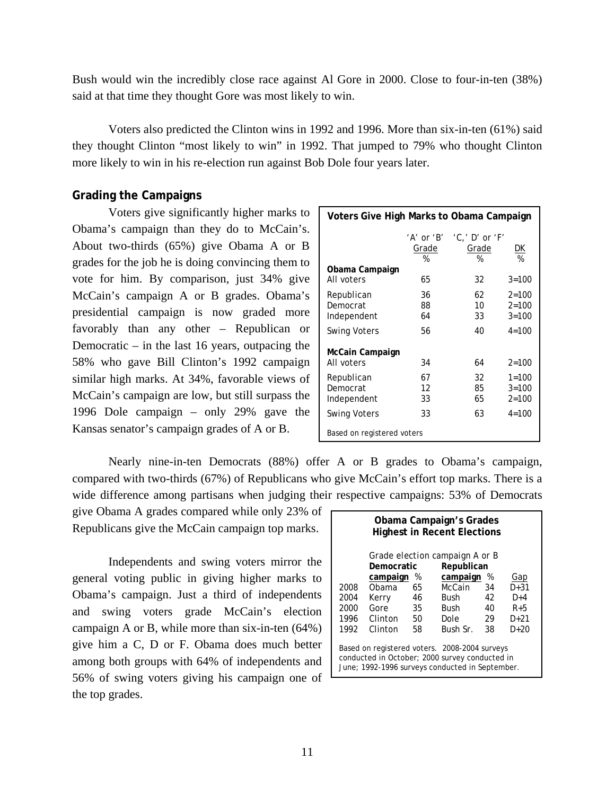Bush would win the incredibly close race against Al Gore in 2000. Close to four-in-ten (38%) said at that time they thought Gore was most likely to win.

 Voters also predicted the Clinton wins in 1992 and 1996. More than six-in-ten (61%) said they thought Clinton "most likely to win" in 1992. That jumped to 79% who thought Clinton more likely to win in his re-election run against Bob Dole four years later.

# **Grading the Campaigns**

 Voters give significantly higher marks to Obama's campaign than they do to McCain's. About two-thirds (65%) give Obama A or B grades for the job he is doing convincing them to vote for him. By comparison, just 34% give McCain's campaign A or B grades. Obama's presidential campaign is now graded more favorably than any other – Republican or Democratic – in the last 16 years, outpacing the 58% who gave Bill Clinton's 1992 campaign similar high marks. At 34%, favorable views of McCain's campaign are low, but still surpass the 1996 Dole campaign – only 29% gave the Kansas senator's campaign grades of A or B.

| Voters Give High Marks to Obama Campaign |                                     |                                       |                                     |  |  |
|------------------------------------------|-------------------------------------|---------------------------------------|-------------------------------------|--|--|
|                                          | $'A'$ or $'B'$<br><u>Grade</u><br>% | $'C.'$ D' or 'F'<br><u>Grade</u><br>℅ | <u>DК</u><br>%                      |  |  |
| Obama Campaign<br>All voters             | 65                                  | 32                                    | $3 = 100$                           |  |  |
| Republican<br>Democrat<br>Independent    | 36<br>88<br>64                      | 62<br>$10-10$<br>33                   | $2 = 100$<br>$2 = 100$<br>$3 = 100$ |  |  |
| <b>Swing Voters</b>                      | 56                                  | 40                                    | $4 = 100$                           |  |  |
| McCain Campaign<br>All voters            | 34                                  | 64                                    | $2 = 100$                           |  |  |
| Republican<br>Democrat<br>Independent    | 67<br>12<br>33                      | 32<br>85<br>65                        | $1 = 100$<br>$3 = 100$<br>$2 = 100$ |  |  |
| <b>Swing Voters</b>                      | 33                                  | 63                                    | $4 = 100$                           |  |  |
| Based on registered voters               |                                     |                                       |                                     |  |  |

 Nearly nine-in-ten Democrats (88%) offer A or B grades to Obama's campaign, compared with two-thirds (67%) of Republicans who give McCain's effort top marks. There is a wide difference among partisans when judging their respective campaigns: 53% of Democrats

give Obama A grades compared while only 23% of Republicans give the McCain campaign top marks.

 Independents and swing voters mirror the general voting public in giving higher marks to Obama's campaign. Just a third of independents and swing voters grade McCain's election campaign A or B, while more than six-in-ten (64%) give him a C, D or F. Obama does much better among both groups with 64% of independents and 56% of swing voters giving his campaign one of the top grades.

| Obama Campaign's Grades<br><b>Highest in Recent Elections</b>                                                                                      |            |      |             |    |       |  |  |
|----------------------------------------------------------------------------------------------------------------------------------------------------|------------|------|-------------|----|-------|--|--|
| Grade election campaign A or B                                                                                                                     |            |      |             |    |       |  |  |
|                                                                                                                                                    | Democratic |      | Republican  |    |       |  |  |
|                                                                                                                                                    | campaign   | $\%$ | campaign    | %  | Gap   |  |  |
| 2008                                                                                                                                               | Obama      | 65   | McCain      | 34 | D+31  |  |  |
| 2004                                                                                                                                               | Kerry      | 46   | Bush        | 42 | $D+4$ |  |  |
| 2000                                                                                                                                               | Gore       | 35   | <b>Bush</b> | 40 | $R+5$ |  |  |
| 1996                                                                                                                                               | Clinton    | 50   | Dole        | 29 | D+21  |  |  |
| 1992                                                                                                                                               | Clinton    | 58   | Bush Sr.    | 38 | D+20  |  |  |
| Based on registered voters. 2008-2004 surveys<br>conducted in October; 2000 survey conducted in<br>June; 1992-1996 surveys conducted in September. |            |      |             |    |       |  |  |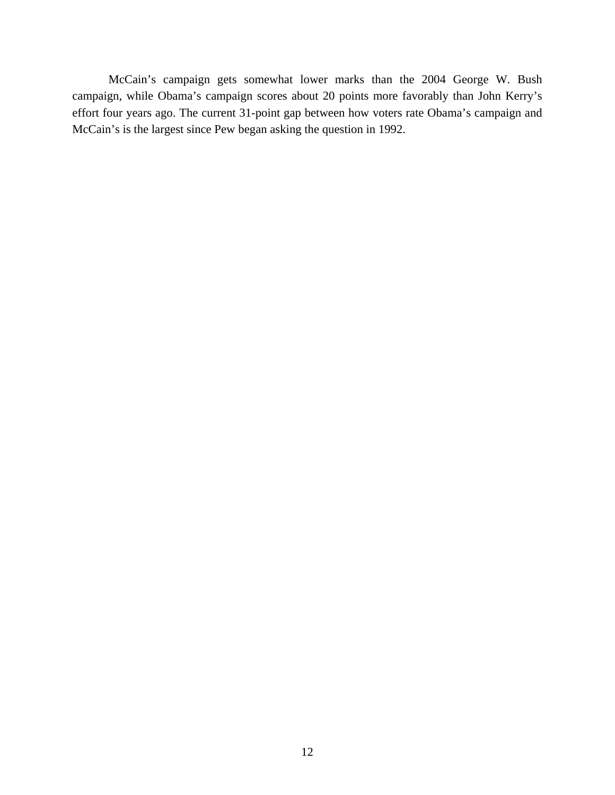McCain's campaign gets somewhat lower marks than the 2004 George W. Bush campaign, while Obama's campaign scores about 20 points more favorably than John Kerry's effort four years ago. The current 31-point gap between how voters rate Obama's campaign and McCain's is the largest since Pew began asking the question in 1992.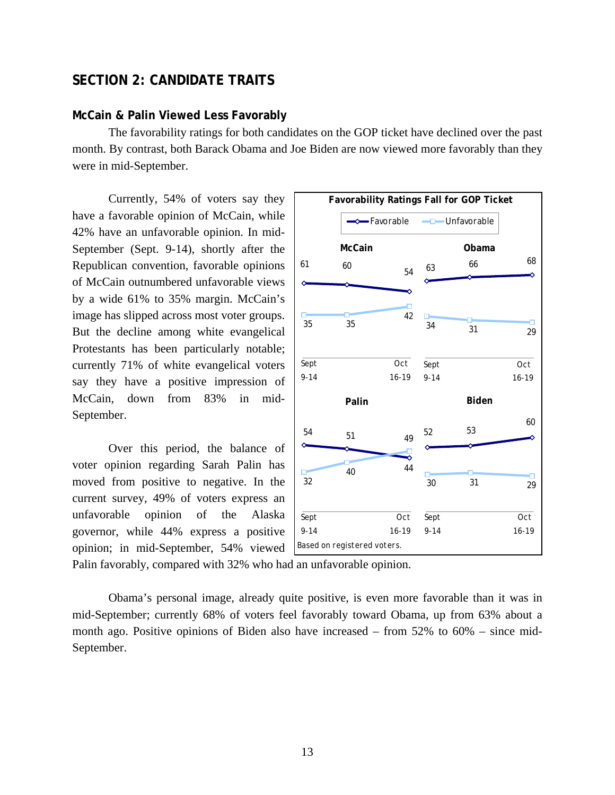# **SECTION 2: CANDIDATE TRAITS**

# **McCain & Palin Viewed Less Favorably**

 The favorability ratings for both candidates on the GOP ticket have declined over the past month. By contrast, both Barack Obama and Joe Biden are now viewed more favorably than they were in mid-September.

 Currently, 54% of voters say they have a favorable opinion of McCain, while 42% have an unfavorable opinion. In mid-September (Sept. 9-14), shortly after the Republican convention, favorable opinions of McCain outnumbered unfavorable views by a wide 61% to 35% margin. McCain's image has slipped across most voter groups. But the decline among white evangelical Protestants has been particularly notable; currently 71% of white evangelical voters say they have a positive impression of McCain, down from 83% in mid-September.

Over this period, the balance of voter opinion regarding Sarah Palin has moved from positive to negative. In the current survey, 49% of voters express an unfavorable opinion of the Alaska governor, while 44% express a positive opinion; in mid-September, 54% viewed



Palin favorably, compared with 32% who had an unfavorable opinion.

Obama's personal image, already quite positive, is even more favorable than it was in mid-September; currently 68% of voters feel favorably toward Obama, up from 63% about a month ago. Positive opinions of Biden also have increased – from 52% to 60% – since mid-September.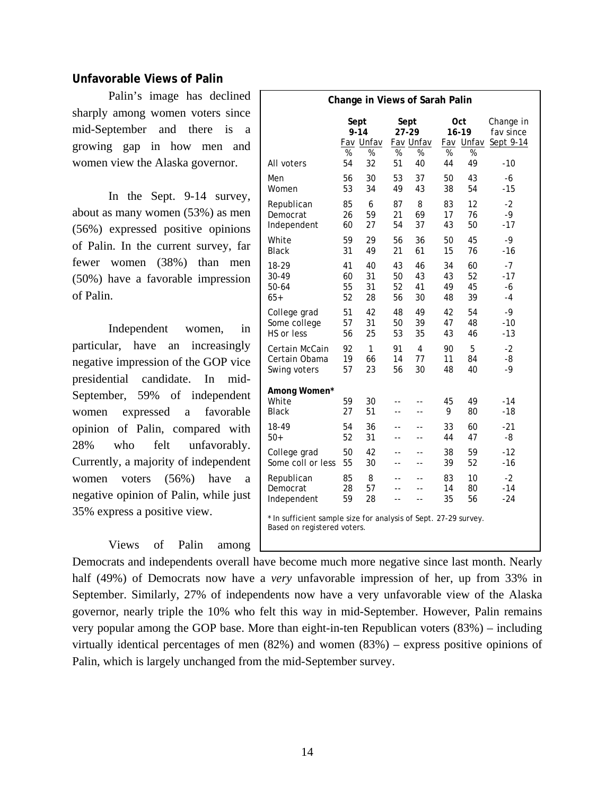# **Unfavorable Views of Palin**

Palin's image has declined sharply among women voters since mid-September and there is a growing gap in how men and women view the Alaska governor.

In the Sept. 9-14 survey, about as many women (53%) as men (56%) expressed positive opinions of Palin. In the current survey, far fewer women (38%) than men (50%) have a favorable impression of Palin.

Independent women, in particular, have an increasingly negative impression of the GOP vice presidential candidate. In mid-September, 59% of independent women expressed a favorable opinion of Palin, compared with 28% who felt unfavorably. Currently, a majority of independent women voters (56%) have a negative opinion of Palin, while just 35% express a positive view.

# Views of Palin among

| Change in Views of Sarah Palin                                                                 |                                       |               |                |                |              |                        |              |
|------------------------------------------------------------------------------------------------|---------------------------------------|---------------|----------------|----------------|--------------|------------------------|--------------|
|                                                                                                |                                       |               |                |                |              |                        |              |
|                                                                                                | Sept<br>Sept<br>$9 - 14$<br>$27 - 29$ |               |                |                | Oct<br>16-19 | Change in<br>fay since |              |
|                                                                                                |                                       | Fav Unfav     |                | Fav Unfav      |              | Fav Unfav              | Sept 9-14    |
|                                                                                                | %                                     | $\frac{9}{6}$ | %              | %              | %            | %                      |              |
| All voters                                                                                     | 54                                    | 32            | 51             | 40             | 44           | 49                     | - 10         |
| Men                                                                                            | 56                                    | 30            | 53             | 37             | 50           | 43                     | -6           |
| Women                                                                                          | 53                                    | 34            | 49             | 43             | 38           | 54                     | $-15$        |
| Republican                                                                                     | 85                                    | 6             | 87             | 8              | 83           | 12                     | $-2$         |
| Democrat                                                                                       | 26                                    | 59            | 21             | 69             | 17           | 76                     | $-9$         |
| Independent                                                                                    | 60                                    | 27            | 54             | 37             | 43           | 50                     | $-17$        |
| White                                                                                          | 59                                    | 29            | 56             | 36             | 50           | 45                     | -9           |
| <b>Black</b>                                                                                   | 31                                    | 49            | 21             | 61             | 15           | 76                     | -16          |
| 18-29                                                                                          | 41                                    | 40            | 43             | 46             | 34           | 60                     | $-7$         |
| 30-49                                                                                          | 60                                    | 31            | 50             | 43             | 43           | 52                     | $-17$        |
| 50-64<br>$65+$                                                                                 | 55<br>52                              | 31<br>28      | 52<br>56       | 41<br>30       | 49<br>48     | 45<br>39               | -6<br>$-4$   |
|                                                                                                |                                       |               |                |                |              |                        |              |
| College grad                                                                                   | 51                                    | 42            | 48             | 49             | 42           | 54                     | -9           |
| Some college<br>HS or less                                                                     | 57<br>56                              | 31<br>25      | 50<br>53       | 39<br>35       | 47<br>43     | 48<br>46               | -10<br>$-13$ |
|                                                                                                |                                       |               |                |                |              |                        |              |
| Certain McCain<br>Certain Obama                                                                | 92<br>19                              | 1<br>66       | 91<br>14       | 4<br>77        | 90<br>11     | 5<br>84                | $-2$<br>-8   |
| Swing voters                                                                                   | 57                                    | 23            | 56             | 30             | 48           | 40                     | $-9$         |
|                                                                                                |                                       |               |                |                |              |                        |              |
| Among Women*                                                                                   |                                       |               |                |                |              |                        |              |
| White                                                                                          | 59                                    | 30            | $-$            | --             | 45           | 49                     | $-14$        |
| <b>Black</b>                                                                                   | 27                                    | 51            | --             | --             | 9            | 80                     | -18          |
| 18-49                                                                                          | 54                                    | 36            | --             |                | 33           | 60                     | -21          |
| $50+$                                                                                          | 52                                    | 31            | --             | $-1$           | 44           | 47                     | -8           |
| College grad                                                                                   | 50                                    | 42            | $\overline{a}$ | --             | 38           | 59                     | $-12$        |
| Some coll or less                                                                              | 55                                    | 30            | --             | $\overline{a}$ | 39           | 52                     | -16          |
| Republican                                                                                     | 85                                    | 8             |                |                | 83           | 10                     | $-2$         |
| Democrat                                                                                       | 28                                    | 57            |                |                | 14           | 80                     | $-14$        |
| Independent                                                                                    | 59                                    | 28            | $-1$           | $-1$           | 35           | 56                     | $-24$        |
| * In sufficient sample size for analysis of Sept. 27-29 survey.<br>Based on registered voters. |                                       |               |                |                |              |                        |              |

Democrats and independents overall have become much more negative since last month. Nearly half (49%) of Democrats now have a *very* unfavorable impression of her, up from 33% in September. Similarly, 27% of independents now have a very unfavorable view of the Alaska governor, nearly triple the 10% who felt this way in mid-September. However, Palin remains very popular among the GOP base. More than eight-in-ten Republican voters (83%) – including virtually identical percentages of men (82%) and women (83%) – express positive opinions of Palin, which is largely unchanged from the mid-September survey.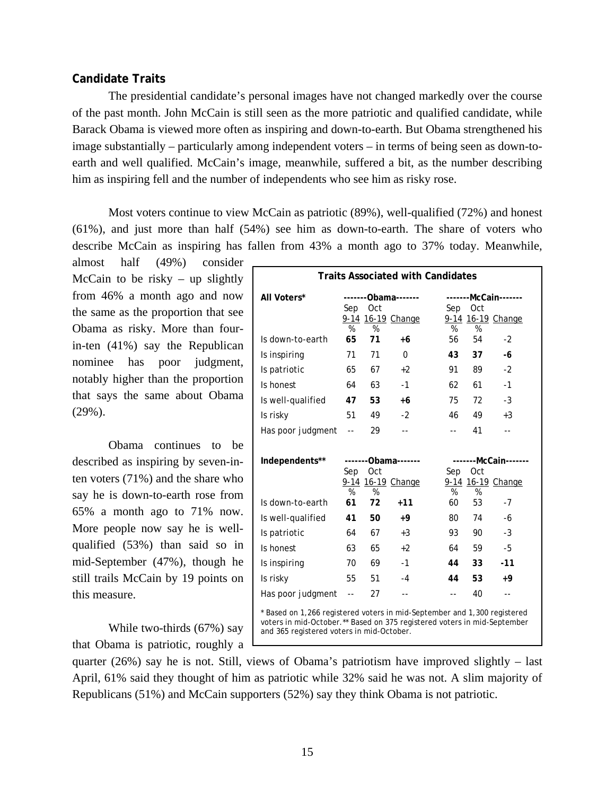# **Candidate Traits**

 The presidential candidate's personal images have not changed markedly over the course of the past month. John McCain is still seen as the more patriotic and qualified candidate, while Barack Obama is viewed more often as inspiring and down-to-earth. But Obama strengthened his image substantially – particularly among independent voters – in terms of being seen as down-toearth and well qualified. McCain's image, meanwhile, suffered a bit, as the number describing him as inspiring fell and the number of independents who see him as risky rose.

 Most voters continue to view McCain as patriotic (89%), well-qualified (72%) and honest (61%), and just more than half (54%) see him as down-to-earth. The share of voters who describe McCain as inspiring has fallen from 43% a month ago to 37% today. Meanwhile,

almost half (49%) consider McCain to be risky  $-$  up slightly from 46% a month ago and now the same as the proportion that see Obama as risky. More than fourin-ten (41%) say the Republican nominee has poor judgment, notably higher than the proportion that says the same about Obama (29%).

 Obama continues to be described as inspiring by seven-inten voters (71%) and the share who say he is down-to-earth rose from 65% a month ago to 71% now. More people now say he is wellqualified (53%) than said so in mid-September (47%), though he still trails McCain by 19 points on this measure.

 While two-thirds (67%) say that Obama is patriotic, roughly a

| All Voters*       | Sep            | Oct     | -------0bama------- | Sep                      | -------McCain-------<br><b>Oct</b> |                      |  |
|-------------------|----------------|---------|---------------------|--------------------------|------------------------------------|----------------------|--|
|                   |                |         | 9-14 16-19 Change   |                          |                                    | 9-14 16-19 Change    |  |
| Is down-to-earth  | %<br>65        | %<br>71 | +6                  | %<br>56                  | $\frac{9}{6}$<br>54                | $-2$                 |  |
| Is inspiring      | 71             | 71      | $\Omega$            | 43                       | 37                                 | -6                   |  |
| Is patriotic      | 65             | 67      | $+2$                | 91                       | 89                                 | $-2$                 |  |
| Is honest         | 64             | 63      | $-1$                | 62                       | 61                                 | $-1$                 |  |
| Is well-qualified | 47             | 53      | $+6$                | 75                       | 72                                 | $-3$                 |  |
| Is risky          | 51             | 49      | $-2$                | 46                       | 49                                 | $+3$                 |  |
| Has poor judgment | $\overline{a}$ | 29      | --                  | $- -$                    | 41                                 | $- -$                |  |
| Independents**    | Sep            | Oct     | -------0bama------- | Sep                      | Oct                                | -------McCain------- |  |
|                   | %              | %       | 9-14 16-19 Change   | %                        | %                                  | 9-14 16-19 Change    |  |
| Is down-to-earth  | 61             | 72      | $+11$               | 60                       | 53                                 | $-7$                 |  |
| Is well-qualified | 41             | 50      | $+9$                | 80                       | 74                                 | -6                   |  |
| Is patriotic      | 64             | 67      | $+3$                | 93                       | 90                                 | $-3$                 |  |
| Is honest         | 63             | 65      | $+2$                | 64                       | 59                                 | -5                   |  |
| Is inspiring      | 70             | 69      | $-1$                | 44                       | 33                                 | $-11$                |  |
| Is risky          | 55             | 51      | $-4$                | 44                       | 53                                 | +9                   |  |
| Has poor judgment | $\sim$ $\sim$  | 27      | $-$                 | $\overline{\phantom{a}}$ | 40                                 | --                   |  |

quarter (26%) say he is not. Still, views of Obama's patriotism have improved slightly – last April, 61% said they thought of him as patriotic while 32% said he was not. A slim majority of Republicans (51%) and McCain supporters (52%) say they think Obama is not patriotic.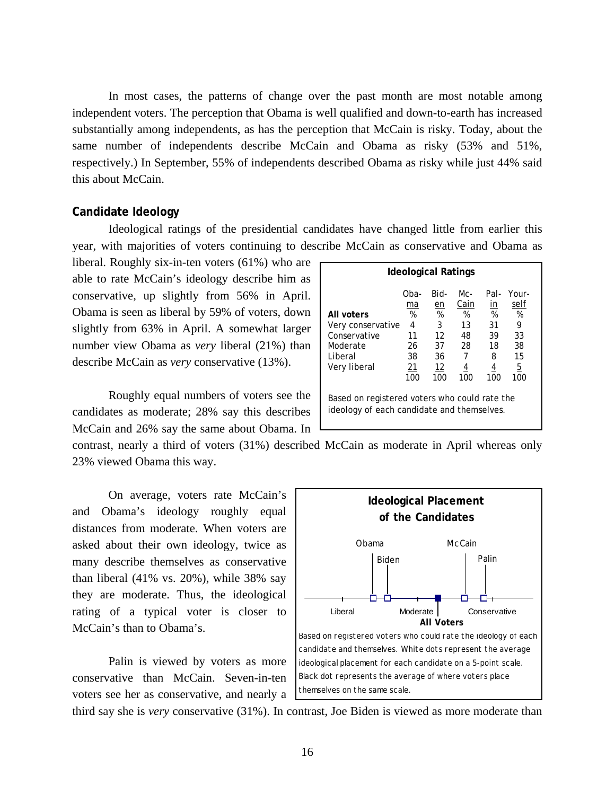In most cases, the patterns of change over the past month are most notable among independent voters. The perception that Obama is well qualified and down-to-earth has increased substantially among independents, as has the perception that McCain is risky. Today, about the same number of independents describe McCain and Obama as risky (53% and 51%, respectively.) In September, 55% of independents described Obama as risky while just 44% said this about McCain.

# **Candidate Ideology**

 Ideological ratings of the presidential candidates have changed little from earlier this year, with majorities of voters continuing to describe McCain as conservative and Obama as

liberal. Roughly six-in-ten voters (61%) who are able to rate McCain's ideology describe him as conservative, up slightly from 56% in April. Obama is seen as liberal by 59% of voters, down slightly from 63% in April. A somewhat larger number view Obama as *very* liberal (21%) than describe McCain as *very* conservative (13%).

 Roughly equal numbers of voters see the candidates as moderate; 28% say this describes McCain and 26% say the same about Obama. In

| Ideological Ratings                                                                    |                                              |                                              |                                              |                                                    |                                                |  |
|----------------------------------------------------------------------------------------|----------------------------------------------|----------------------------------------------|----------------------------------------------|----------------------------------------------------|------------------------------------------------|--|
| All voters<br>Very conservative<br>Conservative<br>Moderate<br>Liberal<br>Very liberal | Oba-<br>ma<br>%<br>4<br>11<br>26<br>38<br>21 | Bid-<br>en<br>%<br>3<br>12<br>37<br>36<br>12 | Mc-<br>Cain<br>%<br>13<br>48<br>28<br>7<br>4 | Pal-<br><u>in</u><br>%<br>31<br>39<br>18<br>8<br>4 | Your-<br>self<br>%<br>9<br>33<br>38<br>15<br>5 |  |
| 100<br>100<br>100<br>100<br>100<br>Based on registered voters who could rate the       |                                              |                                              |                                              |                                                    |                                                |  |
| ideology of each candidate and themselves.                                             |                                              |                                              |                                              |                                                    |                                                |  |

contrast, nearly a third of voters (31%) described McCain as moderate in April whereas only 23% viewed Obama this way.

On average, voters rate McCain's and Obama's ideology roughly equal distances from moderate. When voters are asked about their own ideology, twice as many describe themselves as conservative than liberal (41% vs. 20%), while 38% say they are moderate. Thus, the ideological rating of a typical voter is closer to McCain's than to Obama's.

Palin is viewed by voters as more conservative than McCain. Seven-in-ten voters see her as conservative, and nearly a



third say she is *very* conservative (31%). In contrast, Joe Biden is viewed as more moderate than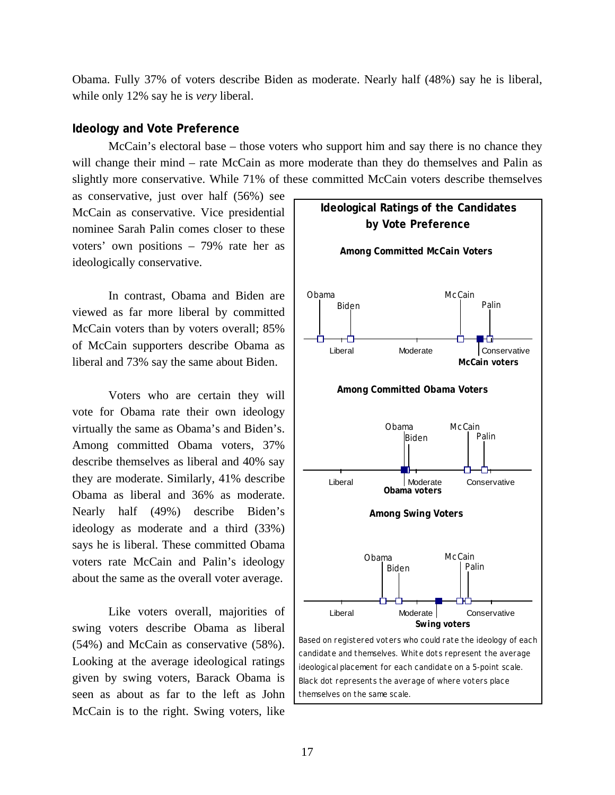Obama. Fully 37% of voters describe Biden as moderate. Nearly half (48%) say he is liberal, while only 12% say he is *very* liberal.

### **Ideology and Vote Preference**

McCain's electoral base – those voters who support him and say there is no chance they will change their mind – rate McCain as more moderate than they do themselves and Palin as slightly more conservative. While 71% of these committed McCain voters describe themselves

as conservative, just over half (56%) see McCain as conservative. Vice presidential nominee Sarah Palin comes closer to these voters' own positions – 79% rate her as ideologically conservative.

In contrast, Obama and Biden are viewed as far more liberal by committed McCain voters than by voters overall; 85% of McCain supporters describe Obama as liberal and 73% say the same about Biden.

Voters who are certain they will vote for Obama rate their own ideology virtually the same as Obama's and Biden's. Among committed Obama voters, 37% describe themselves as liberal and 40% say they are moderate. Similarly, 41% describe Obama as liberal and 36% as moderate. Nearly half (49%) describe Biden's ideology as moderate and a third (33%) says he is liberal. These committed Obama voters rate McCain and Palin's ideology about the same as the overall voter average.

Like voters overall, majorities of swing voters describe Obama as liberal (54%) and McCain as conservative (58%). Looking at the average ideological ratings given by swing voters, Barack Obama is seen as about as far to the left as John McCain is to the right. Swing voters, like

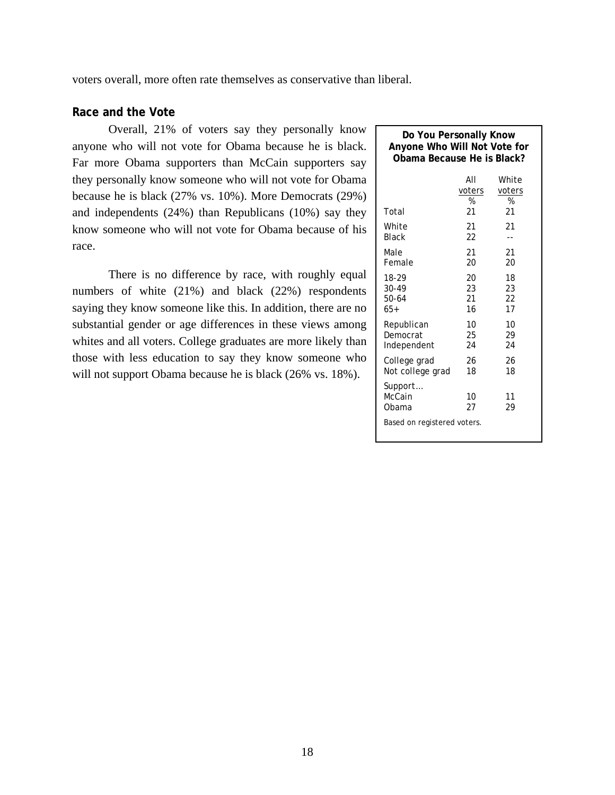voters overall, more often rate themselves as conservative than liberal.

# **Race and the Vote**

Overall, 21% of voters say they personally know anyone who will not vote for Obama because he is black. Far more Obama supporters than McCain supporters say they personally know someone who will not vote for Obama because he is black (27% vs. 10%). More Democrats (29%) and independents (24%) than Republicans (10%) say they know someone who will not vote for Obama because of his race.

There is no difference by race, with roughly equal numbers of white (21%) and black (22%) respondents saying they know someone like this. In addition, there are no substantial gender or age differences in these views among whites and all voters. College graduates are more likely than those with less education to say they know someone who will not support Obama because he is black (26% vs. 18%).

| Do You Personally Know<br>Anyone Who Will Not Vote for<br>Obama Because He is Black? |                    |                      |  |  |  |  |
|--------------------------------------------------------------------------------------|--------------------|----------------------|--|--|--|--|
|                                                                                      | AII<br>voters<br>% | White<br>voters<br>% |  |  |  |  |
| Total                                                                                | 21                 | 21                   |  |  |  |  |
| White                                                                                | 21                 | 21                   |  |  |  |  |
| <b>Black</b>                                                                         | 22                 | --                   |  |  |  |  |
| Male                                                                                 | 21                 | 21                   |  |  |  |  |
| Female                                                                               | 20                 | 20                   |  |  |  |  |
| 18-29                                                                                | 20                 | 18                   |  |  |  |  |
| 30-49                                                                                | 23                 | 23                   |  |  |  |  |
| 50-64                                                                                | 21                 | 22                   |  |  |  |  |
| $65+$                                                                                | 16                 | 17                   |  |  |  |  |
| Republican                                                                           | 10                 | 10                   |  |  |  |  |
| Democrat                                                                             | 25                 | 29                   |  |  |  |  |
| Independent                                                                          | 24                 | 24                   |  |  |  |  |
| College grad                                                                         | 26                 | 26                   |  |  |  |  |
| Not college grad                                                                     | 18                 | 18                   |  |  |  |  |
| Support<br>McCain<br>10<br>11<br>Obama<br>27<br>29<br>Based on registered voters.    |                    |                      |  |  |  |  |
|                                                                                      |                    |                      |  |  |  |  |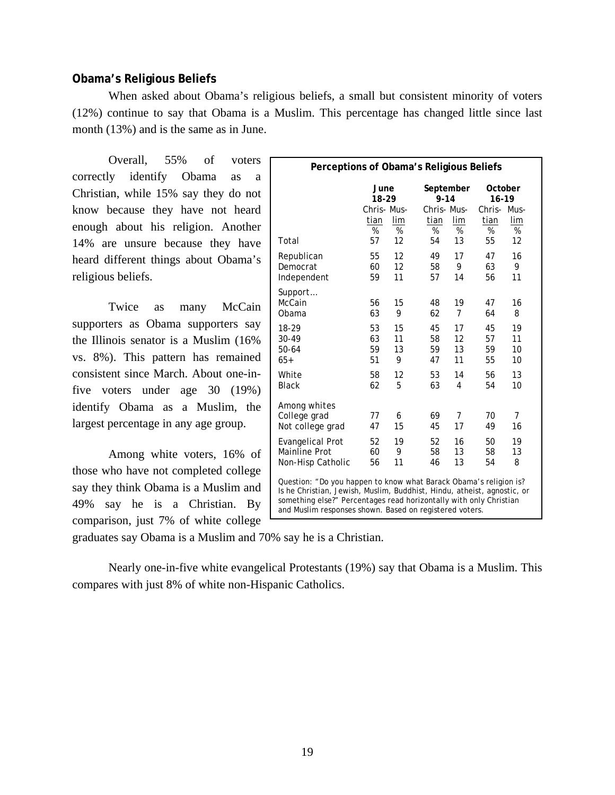# **Obama's Religious Beliefs**

 When asked about Obama's religious beliefs, a small but consistent minority of voters (12%) continue to say that Obama is a Muslim. This percentage has changed little since last month (13%) and is the same as in June.

 Overall, 55% of voters correctly identify Obama as a Christian, while 15% say they do not know because they have not heard enough about his religion. Another 14% are unsure because they have heard different things about Obama's religious beliefs.

Twice as many McCain supporters as Obama supporters say the Illinois senator is a Muslim (16% vs. 8%). This pattern has remained consistent since March. About one-infive voters under age 30 (19%) identify Obama as a Muslim, the largest percentage in any age group.

Among white voters, 16% of those who have not completed college say they think Obama is a Muslim and 49% say he is a Christian. By comparison, just 7% of white college

| Perceptions of Obama's Religious Beliefs                                                                                                                                                                                                                                      |                     |          |  |                       |                |                  |          |  |
|-------------------------------------------------------------------------------------------------------------------------------------------------------------------------------------------------------------------------------------------------------------------------------|---------------------|----------|--|-----------------------|----------------|------------------|----------|--|
|                                                                                                                                                                                                                                                                               | June<br>18-29       |          |  | September<br>$9 - 14$ |                | October<br>16-19 |          |  |
|                                                                                                                                                                                                                                                                               | Chris-Mus-          |          |  | Chris-Mus-            |                | Chris-Mus-       |          |  |
|                                                                                                                                                                                                                                                                               | tian                | lim      |  | tian                  | lim            | tian             | lim      |  |
| Total                                                                                                                                                                                                                                                                         | $\frac{9}{6}$<br>57 | %<br>12  |  | %<br>54               | %<br>13        | %<br>55          | %<br>12  |  |
|                                                                                                                                                                                                                                                                               |                     |          |  |                       |                |                  |          |  |
| Republican                                                                                                                                                                                                                                                                    | 55                  | 12<br>12 |  | 49                    | 17<br>9        | 47               | 16<br>9  |  |
| Democrat<br>Independent                                                                                                                                                                                                                                                       | 60<br>59            | 11       |  | 58<br>57              | 14             | 63<br>56         | 11       |  |
|                                                                                                                                                                                                                                                                               |                     |          |  |                       |                |                  |          |  |
| Support<br>McCain                                                                                                                                                                                                                                                             | 56                  | 15       |  | 48                    | 19             | 47               | 16       |  |
| Obama                                                                                                                                                                                                                                                                         | 63                  | 9        |  | 62                    | 7              | 64               | 8        |  |
|                                                                                                                                                                                                                                                                               |                     |          |  |                       |                |                  |          |  |
| 18-29<br>30-49                                                                                                                                                                                                                                                                | 53<br>63            | 15<br>11 |  | 45<br>58              | 17<br>12       | 45<br>57         | 19<br>11 |  |
| $50 - 64$                                                                                                                                                                                                                                                                     | 59                  | 13       |  | 59                    | 13             | 59               | 10       |  |
| $65+$                                                                                                                                                                                                                                                                         | 51                  | 9        |  | 47                    | 11             | 55               | 10       |  |
| White                                                                                                                                                                                                                                                                         | 58                  | 12       |  | 53                    | 14             | 56               | 13       |  |
| <b>Black</b>                                                                                                                                                                                                                                                                  | 62                  | 5        |  | 63                    | 4              | 54               | 10       |  |
|                                                                                                                                                                                                                                                                               |                     |          |  |                       |                |                  |          |  |
| Among whites                                                                                                                                                                                                                                                                  |                     |          |  |                       |                |                  |          |  |
| College grad                                                                                                                                                                                                                                                                  | 77                  | 6        |  | 69                    | $\overline{7}$ | 70               | 7        |  |
| Not college grad                                                                                                                                                                                                                                                              | 47                  | 15       |  | 45                    | 17             | 49               | 16       |  |
| <b>Evangelical Prot</b>                                                                                                                                                                                                                                                       | 52                  | 19       |  | 52                    | 16             | 50               | 19       |  |
| <b>Mainline Prot</b>                                                                                                                                                                                                                                                          | 60                  | 9        |  | 58                    | 13             | 58               | 13       |  |
| Non-Hisp Catholic                                                                                                                                                                                                                                                             | 56                  | 11       |  | 46                    | 13             | 54               | 8        |  |
| Question: "Do you happen to know what Barack Obama's religion is?<br>Is he Christian, Jewish, Muslim, Buddhist, Hindu, atheist, agnostic, or<br>something else?" Percentages read horizontally with only Christian<br>and Muslim responses shown. Based on registered voters. |                     |          |  |                       |                |                  |          |  |

graduates say Obama is a Muslim and 70% say he is a Christian.

Nearly one-in-five white evangelical Protestants (19%) say that Obama is a Muslim. This compares with just 8% of white non-Hispanic Catholics.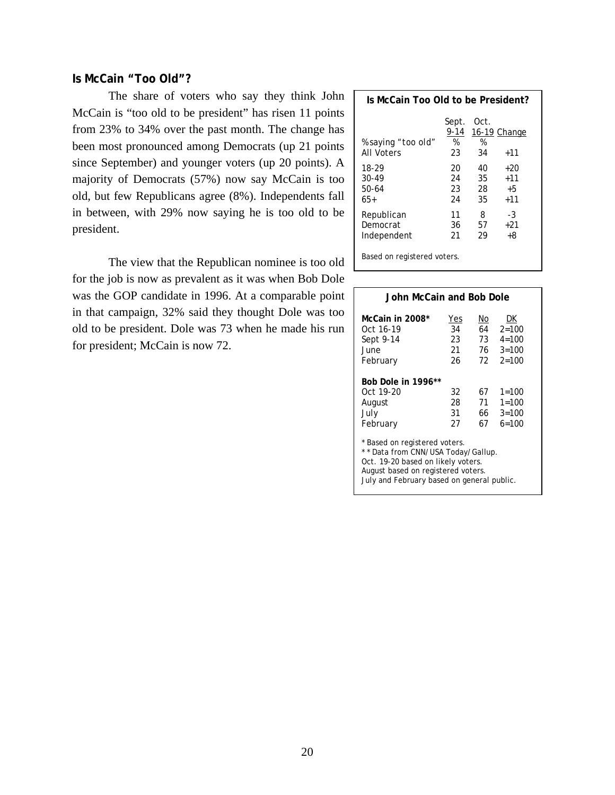# **Is McCain "Too Old"?**

 The share of voters who say they think John McCain is "too old to be president" has risen 11 points from 23% to 34% over the past month. The change has been most pronounced among Democrats (up 21 points since September) and younger voters (up 20 points). A majority of Democrats (57%) now say McCain is too old, but few Republicans agree (8%). Independents fall in between, with 29% now saying he is too old to be president.

 The view that the Republican nominee is too old for the job is now as prevalent as it was when Bob Dole was the GOP candidate in 1996. At a comparable point in that campaign, 32% said they thought Dole was too old to be president. Dole was 73 when he made his run for president; McCain is now 72.

| Is McCain Too Old to be President?             |                          |                      |                               |  |  |  |
|------------------------------------------------|--------------------------|----------------------|-------------------------------|--|--|--|
| <i>% saying "too old"</i><br><b>All Voters</b> | Sept.<br>9-14<br>%<br>23 | Oct.<br>%<br>34      | 16-19 Change<br>$+11$         |  |  |  |
| 18-29<br>30-49<br>$50-64$<br>65+               | 20<br>24<br>23<br>24     | 40<br>35<br>28<br>35 | +20<br>$+11$<br>$+5$<br>$+11$ |  |  |  |
| Republican<br>Democrat<br>Independent          | 11<br>36<br>21           | 8<br>57<br>29        | -3<br>+21<br>+8               |  |  |  |
| Based on registered voters.                    |                          |                      |                               |  |  |  |

| John McCain and Bob Dole                                                                                                                                                                      |                             |                              |                                                        |  |  |  |
|-----------------------------------------------------------------------------------------------------------------------------------------------------------------------------------------------|-----------------------------|------------------------------|--------------------------------------------------------|--|--|--|
| McCain in 2008*<br>Oct 16-19<br>Sept 9-14<br>June<br>February                                                                                                                                 | Yes<br>34<br>23<br>21<br>26 | No<br>64<br>73<br>76 -<br>72 | DK<br>$2 = 100$<br>$4 = 100$<br>$3 = 100$<br>$2 = 100$ |  |  |  |
| Bob Dole in 1996**<br>Oct 19-20<br>32<br>67<br>$1 = 100$<br>28<br>71<br>$1 = 100$<br>August<br>July<br>31<br>66 -<br>$3 = 100$<br>67<br>$6=100$<br>February<br>27                             |                             |                              |                                                        |  |  |  |
| * Based on registered voters.<br>** Data from CNN/USA Today/Gallup.<br>Oct. 19-20 based on likely voters.<br>August based on registered voters.<br>July and February based on general public. |                             |                              |                                                        |  |  |  |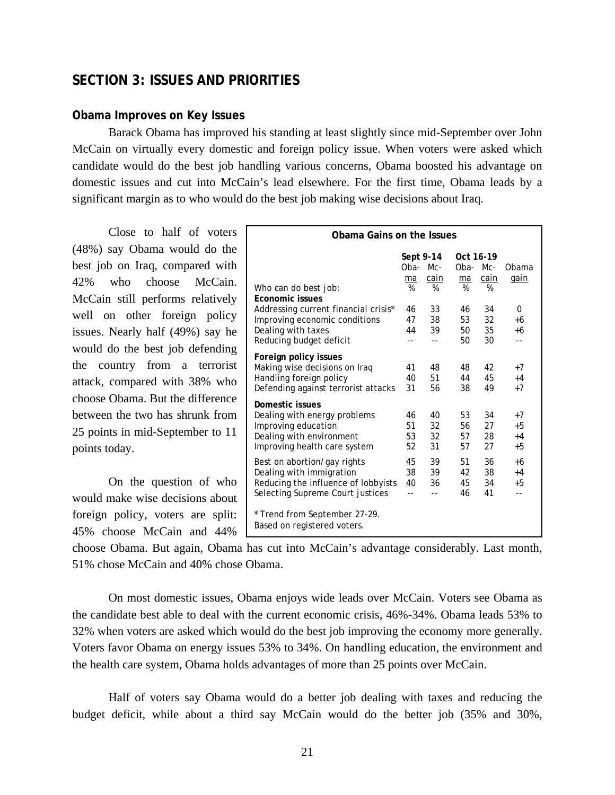# **SECTION 3: ISSUES AND PRIORITIES**

# **Obama Improves on Key Issues**

Barack Obama has improved his standing at least slightly since mid-September over John McCain on virtually every domestic and foreign policy issue. When voters were asked which candidate would do the best job handling various concerns, Obama boosted his advantage on domestic issues and cut into McCain's lead elsewhere. For the first time, Obama leads by a significant margin as to who would do the best job making wise decisions about Iraq.

 Close to half of voters (48%) say Obama would do the best job on Iraq, compared with 42% who choose McCain. McCain still performs relatively well on other foreign policy issues. Nearly half (49%) say he would do the best job defending the country from a terrorist attack, compared with 38% who choose Obama. But the difference between the two has shrunk from 25 points in mid-September to 11 points today.

 On the question of who would make wise decisions about foreign policy, voters are split: 45% choose McCain and 44%

| Obama Gains on the Issues                                    |      |           |           |      |       |  |
|--------------------------------------------------------------|------|-----------|-----------|------|-------|--|
|                                                              |      | Sept 9-14 | Oct 16-19 |      |       |  |
|                                                              | Oba- | $Mc-$     | Oba-      | Mc-  | Obama |  |
|                                                              | ma   | cain      | ma        | cain | gain  |  |
| Who can do best job:                                         | %    | %         | %         | %    |       |  |
| <b>Economic issues</b>                                       |      |           |           |      |       |  |
| Addressing current financial crisis*                         | 46   | 33        | 46        | 34   | 0     |  |
| Improving economic conditions                                | 47   | 38        | 53        | 32   | +6    |  |
| Dealing with taxes                                           | 44   | 39        | 50        | 35   | +6    |  |
| Reducing budget deficit                                      |      | $=$       | 50        | 30   | $-1$  |  |
| Foreign policy issues                                        |      |           |           |      |       |  |
| Making wise decisions on Iraq                                | 41   | 48        | 48        | 42   | $+7$  |  |
| Handling foreign policy                                      | 40   | 51        | 44        | 45   | $+4$  |  |
| Defending against terrorist attacks                          | 31   | 56        | 38        | 49   | $+7$  |  |
|                                                              |      |           |           |      |       |  |
| Domestic issues                                              |      |           |           |      |       |  |
| Dealing with energy problems                                 | 46   | 40        | 53        | 34   | $+7$  |  |
| Improving education                                          | 51   | 32        | 56        | 27   | +5    |  |
| Dealing with environment                                     | 53   | 32        | 57        | 28   | $+4$  |  |
| Improving health care system                                 | 52   | 31        | 57        | 27   | $+5$  |  |
| Best on abortion/gay rights                                  | 45   | 39        | 51        | 36   | +6    |  |
| Dealing with immigration                                     | 38   | 39        | 42        | 38   | $+4$  |  |
| Reducing the influence of lobbyists                          | 40   | 36        | 45        | 34   | $+5$  |  |
|                                                              |      | $-1$      | 46        | 41   | --    |  |
| Selecting Supreme Court justices                             |      |           |           |      |       |  |
| * Trend from September 27-29.<br>Based on registered voters. |      |           |           |      |       |  |

choose Obama. But again, Obama has cut into McCain's advantage considerably. Last month, 51% chose McCain and 40% chose Obama.

 On most domestic issues, Obama enjoys wide leads over McCain. Voters see Obama as the candidate best able to deal with the current economic crisis, 46%-34%. Obama leads 53% to 32% when voters are asked which would do the best job improving the economy more generally. Voters favor Obama on energy issues 53% to 34%. On handling education, the environment and the health care system, Obama holds advantages of more than 25 points over McCain.

 Half of voters say Obama would do a better job dealing with taxes and reducing the budget deficit, while about a third say McCain would do the better job (35% and 30%,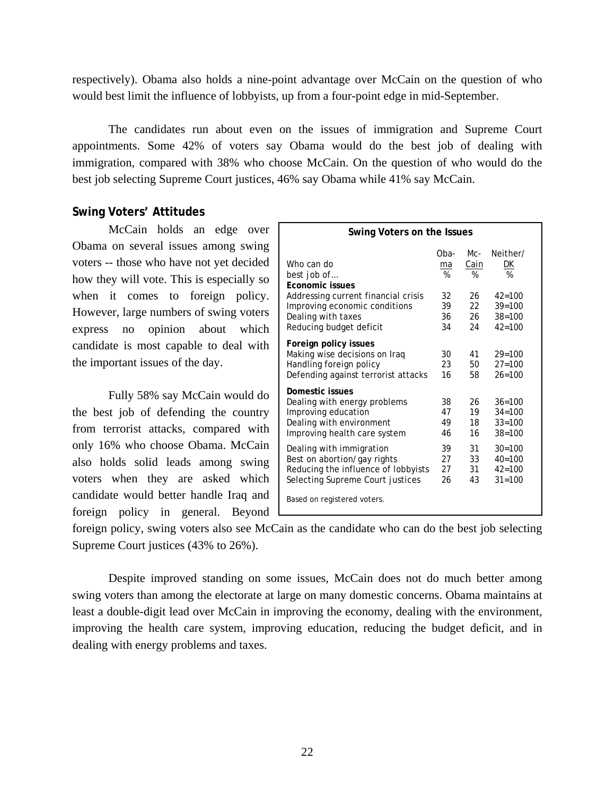respectively). Obama also holds a nine-point advantage over McCain on the question of who would best limit the influence of lobbyists, up from a four-point edge in mid-September.

 The candidates run about even on the issues of immigration and Supreme Court appointments. Some 42% of voters say Obama would do the best job of dealing with immigration, compared with 38% who choose McCain. On the question of who would do the best job selecting Supreme Court justices, 46% say Obama while 41% say McCain.

# **Swing Voters' Attitudes**

 McCain holds an edge over Obama on several issues among swing voters *--* those who have not yet decided how they will vote. This is especially so when it comes to foreign policy. However, large numbers of swing voters express no opinion about which candidate is most capable to deal with the important issues of the day.

Fully 58% say McCain would do the best job of defending the country from terrorist attacks, compared with only 16% who choose Obama. McCain also holds solid leads among swing voters when they are asked which candidate would better handle Iraq and foreign policy in general. Beyond

| Swing Voters on the Issues                                                                                                         |                      |                      |                                                    |  |  |  |
|------------------------------------------------------------------------------------------------------------------------------------|----------------------|----------------------|----------------------------------------------------|--|--|--|
| Who can do<br>best job of<br><b>Fconomic issues</b>                                                                                | Oba-<br>ma<br>%      | Mc-<br>Cain<br>%     | Neither/<br><u>DК</u><br>%                         |  |  |  |
| Addressing current financial crisis<br>Improving economic conditions<br>Dealing with taxes                                         | 32<br>39<br>36       | 26<br>22<br>26       | $42 = 100$<br>$39 = 100$<br>$38 = 100$             |  |  |  |
| Reducing budget deficit                                                                                                            | 34                   | 24                   | $42 = 100$                                         |  |  |  |
| Foreign policy issues<br>Making wise decisions on Iraq<br>Handling foreign policy<br>Defending against terrorist attacks           | 30<br>23<br>16       | 41<br>50<br>58       | $29 = 100$<br>$27 = 100$<br>$26 = 100$             |  |  |  |
| Domestic issues<br>Dealing with energy problems<br>Improving education<br>Dealing with environment<br>Improving health care system | 38<br>47<br>49<br>46 | 26<br>19<br>18<br>16 | $36=100$<br>$34 = 100$<br>$33 = 100$<br>$38 = 100$ |  |  |  |
| Dealing with immigration<br>Best on abortion/gay rights<br>Reducing the influence of lobbyists<br>Selecting Supreme Court justices | 39<br>27<br>27<br>26 | 31<br>33<br>31<br>43 | $30 = 100$<br>$40=100$<br>$42 = 100$<br>$31 = 100$ |  |  |  |
| Based on registered voters.                                                                                                        |                      |                      |                                                    |  |  |  |

foreign policy, swing voters also see McCain as the candidate who can do the best job selecting Supreme Court justices (43% to 26%).

 Despite improved standing on some issues, McCain does not do much better among swing voters than among the electorate at large on many domestic concerns. Obama maintains at least a double-digit lead over McCain in improving the economy, dealing with the environment, improving the health care system, improving education, reducing the budget deficit, and in dealing with energy problems and taxes.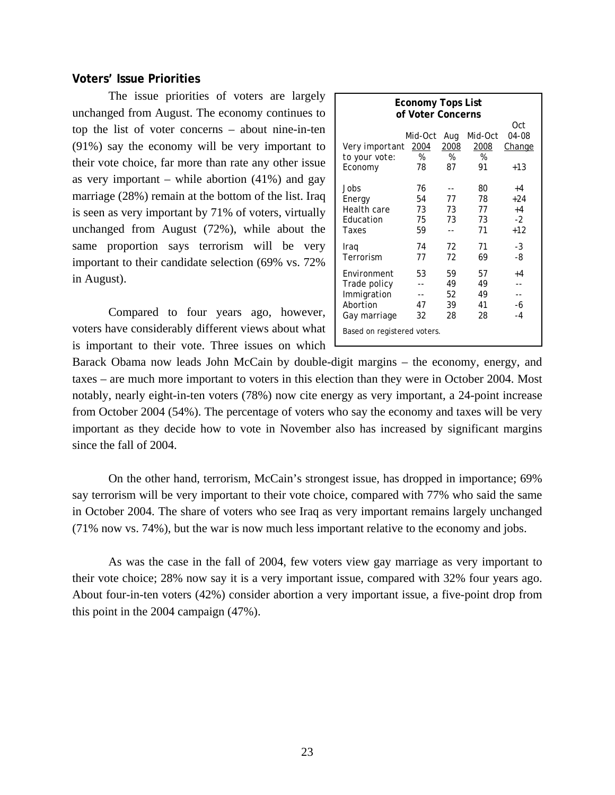# **Voters' Issue Priorities**

The issue priorities of voters are largely unchanged from August. The economy continues to top the list of voter concerns – about nine-in-ten (91%) say the economy will be very important to their vote choice, far more than rate any other issue as very important – while abortion  $(41\%)$  and gay marriage (28%) remain at the bottom of the list. Iraq is seen as very important by 71% of voters, virtually unchanged from August (72%), while about the same proportion says terrorism will be very important to their candidate selection (69% vs. 72% in August).

Compared to four years ago, however, voters have considerably different views about what is important to their vote. Three issues on which

|     | Economy Tops List<br>of Voter Concerns |         |      |         |               |  |  |  |  |  |  |
|-----|----------------------------------------|---------|------|---------|---------------|--|--|--|--|--|--|
| Oct |                                        |         |      |         |               |  |  |  |  |  |  |
|     |                                        | Mid-Oct | Aug  | Mid-Oct | <i>04-08</i>  |  |  |  |  |  |  |
|     | Very important 2004                    |         | 2008 | 2008    | <b>Change</b> |  |  |  |  |  |  |
|     | to your vote:                          | %       | %    | %       |               |  |  |  |  |  |  |
|     | Economy                                | 78      | 87   | 91      | $+13$         |  |  |  |  |  |  |
|     |                                        |         |      |         |               |  |  |  |  |  |  |
|     | Jobs                                   | 76      |      | 80      | $+4$          |  |  |  |  |  |  |
|     | Energy                                 | 54      | 77   | 78      | $+24$         |  |  |  |  |  |  |
|     | Health care                            | 73      | 73   | 77      | $+4$          |  |  |  |  |  |  |
|     | Education                              | 75      | 73   | 73      | $-2$          |  |  |  |  |  |  |
|     | Taxes                                  | 59      |      | 71      | $+12$         |  |  |  |  |  |  |
|     | Iraq                                   | 74      | 72   | 71      | -3            |  |  |  |  |  |  |
|     | Terrorism                              | 77      | 72   | 69      | -8            |  |  |  |  |  |  |
|     |                                        |         |      |         |               |  |  |  |  |  |  |
|     | Environment                            | 53      | 59   | 57      | $+4$          |  |  |  |  |  |  |
|     | Trade policy                           |         | 49   | 49      |               |  |  |  |  |  |  |
|     | Immigration                            |         | 52   | 49      |               |  |  |  |  |  |  |
|     | Abortion                               | 47      | 39   | 41      | -6            |  |  |  |  |  |  |
|     | Gay marriage                           | 32      | 28   | 28      | $-4$          |  |  |  |  |  |  |
|     | Based on registered voters.            |         |      |         |               |  |  |  |  |  |  |
|     |                                        |         |      |         |               |  |  |  |  |  |  |
|     |                                        |         |      |         |               |  |  |  |  |  |  |

Barack Obama now leads John McCain by double-digit margins – the economy, energy, and taxes – are much more important to voters in this election than they were in October 2004. Most notably, nearly eight-in-ten voters (78%) now cite energy as very important, a 24-point increase from October 2004 (54%). The percentage of voters who say the economy and taxes will be very important as they decide how to vote in November also has increased by significant margins since the fall of 2004.

On the other hand, terrorism, McCain's strongest issue, has dropped in importance; 69% say terrorism will be very important to their vote choice, compared with 77% who said the same in October 2004. The share of voters who see Iraq as very important remains largely unchanged (71% now vs. 74%), but the war is now much less important relative to the economy and jobs.

As was the case in the fall of 2004, few voters view gay marriage as very important to their vote choice; 28% now say it is a very important issue, compared with 32% four years ago. About four-in-ten voters (42%) consider abortion a very important issue, a five-point drop from this point in the 2004 campaign (47%).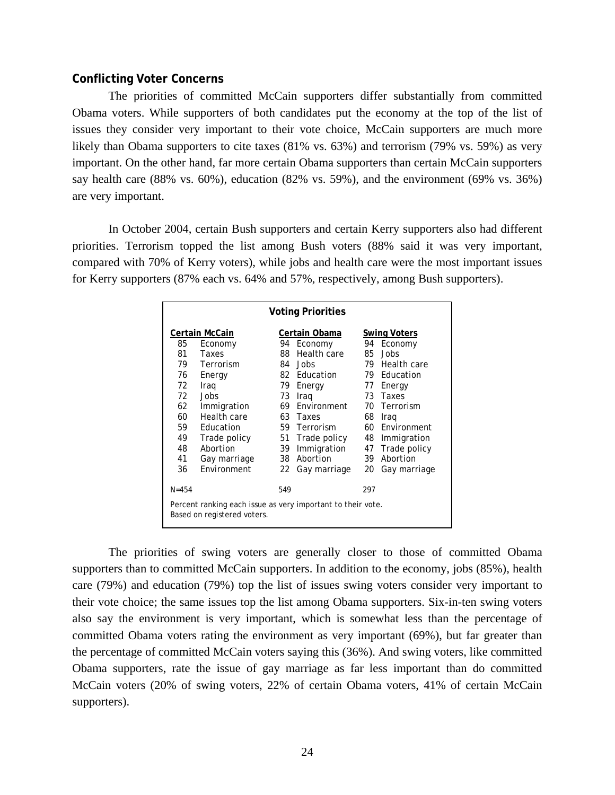# **Conflicting Voter Concerns**

The priorities of committed McCain supporters differ substantially from committed Obama voters. While supporters of both candidates put the economy at the top of the list of issues they consider very important to their vote choice, McCain supporters are much more likely than Obama supporters to cite taxes (81% vs. 63%) and terrorism (79% vs. 59%) as very important. On the other hand, far more certain Obama supporters than certain McCain supporters say health care (88% vs. 60%), education (82% vs. 59%), and the environment (69% vs. 36%) are very important.

In October 2004, certain Bush supporters and certain Kerry supporters also had different priorities. Terrorism topped the list among Bush voters (88% said it was very important, compared with 70% of Kerry voters), while jobs and health care were the most important issues for Kerry supporters (87% each vs. 64% and 57%, respectively, among Bush supporters).

| <b>Voting Priorities</b> |                                                                                            |               |                |     |                     |  |  |  |  |  |
|--------------------------|--------------------------------------------------------------------------------------------|---------------|----------------|-----|---------------------|--|--|--|--|--|
|                          | Certain McCain                                                                             |               | Certain Obama  |     | <b>Swing Voters</b> |  |  |  |  |  |
| 85                       | Economy                                                                                    | Economy<br>94 |                | 94  | Economy             |  |  |  |  |  |
| 81                       | Taxes                                                                                      | 88            | Health care    |     | 85 Jobs             |  |  |  |  |  |
| 79                       | Terrorism                                                                                  |               | 84 Jobs        | 79  | Health care         |  |  |  |  |  |
| 76                       | Energy                                                                                     |               | 82 Education   |     | 79 Education        |  |  |  |  |  |
| 72                       | Iraq                                                                                       | 79            | Energy         | 77  | Energy              |  |  |  |  |  |
| 72                       | <b>Jobs</b>                                                                                | 73            | Iraq           |     | 73 Taxes            |  |  |  |  |  |
| 62                       | Immigration                                                                                |               | 69 Environment |     | 70 Terrorism        |  |  |  |  |  |
| 60                       | Health care                                                                                |               | 63 Taxes       | 68  | Iraq                |  |  |  |  |  |
| 59                       | Education                                                                                  |               | 59 Terrorism   |     | 60 Environment      |  |  |  |  |  |
| 49                       | Trade policy                                                                               | 51            | Trade policy   | 48  | Immigration         |  |  |  |  |  |
| 48                       | Abortion                                                                                   | 39            | Immigration    | 47  | Trade policy        |  |  |  |  |  |
| 41                       | Gay marriage                                                                               |               | 38 Abortion    | 39  | Abortion            |  |  |  |  |  |
| 36                       | Environment                                                                                | 22            | Gay marriage   | 20  | Gay marriage        |  |  |  |  |  |
| $N = 454$                |                                                                                            | 549           |                | 297 |                     |  |  |  |  |  |
|                          | Percent ranking each issue as very important to their vote.<br>Based on registered voters. |               |                |     |                     |  |  |  |  |  |

The priorities of swing voters are generally closer to those of committed Obama supporters than to committed McCain supporters. In addition to the economy, jobs (85%), health care (79%) and education (79%) top the list of issues swing voters consider very important to their vote choice; the same issues top the list among Obama supporters. Six-in-ten swing voters also say the environment is very important, which is somewhat less than the percentage of committed Obama voters rating the environment as very important (69%), but far greater than the percentage of committed McCain voters saying this (36%). And swing voters, like committed Obama supporters, rate the issue of gay marriage as far less important than do committed McCain voters (20% of swing voters, 22% of certain Obama voters, 41% of certain McCain supporters).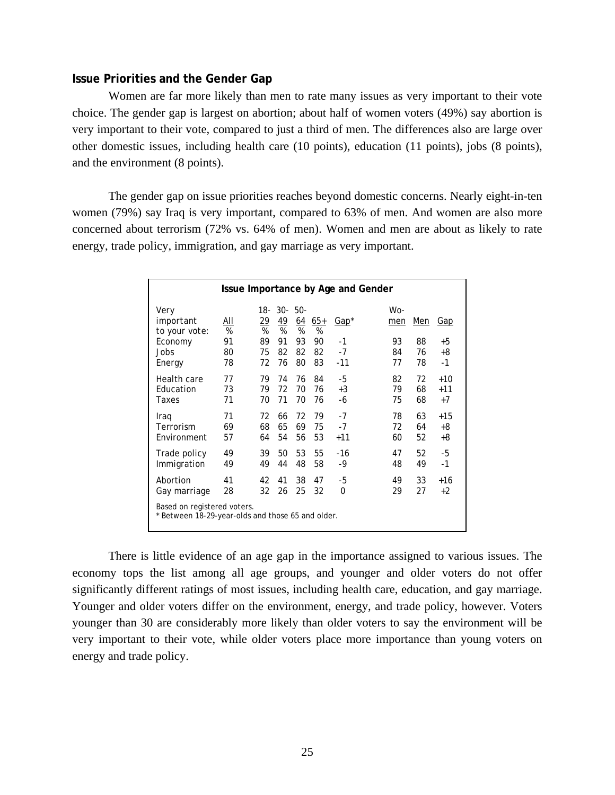#### **Issue Priorities and the Gender Gap**

 Women are far more likely than men to rate many issues as very important to their vote choice. The gender gap is largest on abortion; about half of women voters (49%) say abortion is very important to their vote, compared to just a third of men. The differences also are large over other domestic issues, including health care (10 points), education (11 points), jobs (8 points), and the environment (8 points).

 The gender gap on issue priorities reaches beyond domestic concerns. Nearly eight-in-ten women (79%) say Iraq is very important, compared to 63% of men. And women are also more concerned about terrorism (72% vs. 64% of men). Women and men are about as likely to rate energy, trade policy, immigration, and gay marriage as very important.

| Issue Importance by Age and Gender                                             |                 |                        |                        |                     |                        |              |            |            |       |
|--------------------------------------------------------------------------------|-----------------|------------------------|------------------------|---------------------|------------------------|--------------|------------|------------|-------|
| Very<br>important<br>to your vote:                                             | <u>aii</u><br>% | 18-<br><u> 29</u><br>% | $30 - 50 -$<br>49<br>% | 64<br>$\frac{9}{6}$ | $65+$<br>$\frac{9}{6}$ | <u>Gap</u> * | Wo-<br>men | <u>Men</u> | Gap   |
| Economy                                                                        | 91              | 89                     | 91                     | 93                  | 90                     | $-1$         | 93         | 88         | +5    |
| Jobs                                                                           | 80              | 75                     | 82                     | 82                  | 82                     | $-7$         | 84         | 76         | +8    |
| Energy                                                                         | 78              | 72                     | 76                     | 80                  | 83                     | $-11$        | 77         | 78         | $-1$  |
| Health care                                                                    | 77              | 79                     | 74                     | 76                  | 84                     | -5           | 82         | 72         | $+10$ |
| Education                                                                      | 73              | 79                     | 72                     | 70                  | 76                     | $+3$         | 79         | 68         | $+11$ |
| Taxes                                                                          | 71              | 70                     | 71                     | 70                  | 76                     | -6           | 75         | 68         | $+7$  |
| Iraq                                                                           | 71              | 72                     | 66                     | 72                  | 79                     | $-7$         | 78         | 63         | $+15$ |
| Terrorism                                                                      | 69              | 68                     | 65                     | 69                  | 75                     | $-7$         | 72         | 64         | +8    |
| Environment                                                                    | 57              | 64                     | 54                     | 56                  | 53                     | $+11$        | 60         | 52         | +8    |
| Trade policy                                                                   | 49              | 39                     | 50                     | 53                  | 55                     | -16          | 47         | 52         | -5    |
| Immigration                                                                    | 49              | 49                     | 44                     | 48                  | 58                     | -9           | 48         | 49         | $-1$  |
| Abortion                                                                       | 41              | 42                     | 41                     | 38                  | 47                     | -5           | 49         | 33         | $+16$ |
| Gay marriage                                                                   | 28              | 32                     | 26                     | 25                  | 32                     | 0            | 29         | 27         | $+2$  |
| Based on registered voters.<br>Between 18-29-year-olds and those 65 and older. |                 |                        |                        |                     |                        |              |            |            |       |

 There is little evidence of an age gap in the importance assigned to various issues. The economy tops the list among all age groups, and younger and older voters do not offer significantly different ratings of most issues, including health care, education, and gay marriage. Younger and older voters differ on the environment, energy, and trade policy, however. Voters younger than 30 are considerably more likely than older voters to say the environment will be very important to their vote, while older voters place more importance than young voters on energy and trade policy.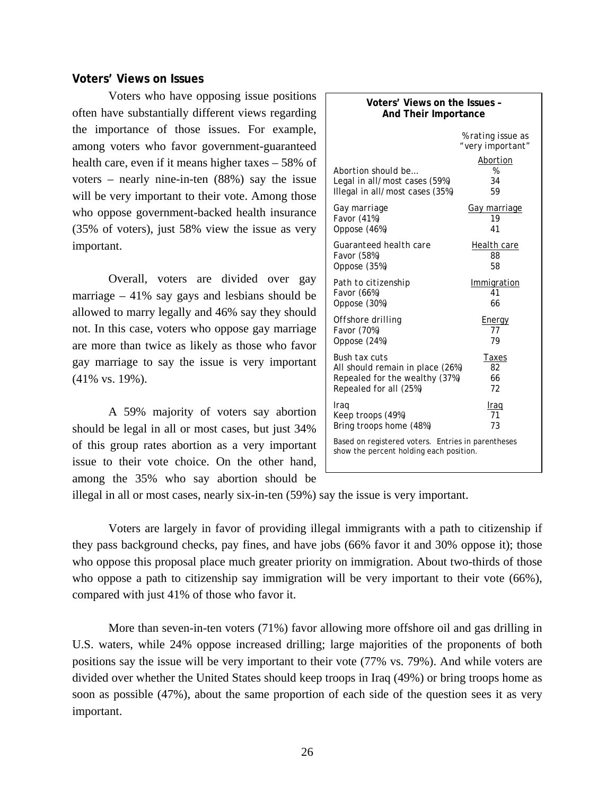#### **Voters' Views on Issues**

 Voters who have opposing issue positions often have substantially different views regarding the importance of those issues. For example, among voters who favor government-guaranteed health care, even if it means higher taxes – 58% of voters – nearly nine-in-ten (88%) say the issue will be very important to their vote. Among those who oppose government-backed health insurance (35% of voters), just 58% view the issue as very important.

 Overall, voters are divided over gay marriage  $-41\%$  say gays and lesbians should be allowed to marry legally and 46% say they should not. In this case, voters who oppose gay marriage are more than twice as likely as those who favor gay marriage to say the issue is very important (41% vs. 19%).

A 59% majority of voters say abortion should be legal in all or most cases, but just 34% of this group rates abortion as a very important issue to their vote choice. On the other hand, among the 35% who say abortion should be

| Voters' Views on the Issues -<br>And Their Importance                                         |                                       |  |  |  |  |  |  |  |
|-----------------------------------------------------------------------------------------------|---------------------------------------|--|--|--|--|--|--|--|
|                                                                                               | % rating issue as<br>"very important" |  |  |  |  |  |  |  |
| Abortion should be<br>Legal in all/most cases (59%)<br>Illegal in all/most cases (35%)        | Abortion<br>%<br>34<br>59             |  |  |  |  |  |  |  |
| <i>Gay marriage</i>                                                                           | <u>Gay marriage</u>                   |  |  |  |  |  |  |  |
| Favor (41%)                                                                                   | 19                                    |  |  |  |  |  |  |  |
| Oppose (46%)                                                                                  | 41                                    |  |  |  |  |  |  |  |
| Guaranteed health care                                                                        | Health care                           |  |  |  |  |  |  |  |
| Favor (58%)                                                                                   | 88                                    |  |  |  |  |  |  |  |
| Oppose (35%)                                                                                  | 58                                    |  |  |  |  |  |  |  |
| Path to citizenship                                                                           | Immigration                           |  |  |  |  |  |  |  |
| Favor (66%)                                                                                   | 41                                    |  |  |  |  |  |  |  |
| Oppose (30%)                                                                                  | 66                                    |  |  |  |  |  |  |  |
| Offshore drilling                                                                             | Energy                                |  |  |  |  |  |  |  |
| Favor (70%)                                                                                   | 77                                    |  |  |  |  |  |  |  |
| Oppose (24%)                                                                                  | 79                                    |  |  |  |  |  |  |  |
| Bush tax cuts                                                                                 | Taxes                                 |  |  |  |  |  |  |  |
| All should remain in place (26%)                                                              | 82                                    |  |  |  |  |  |  |  |
| Repealed for the wealthy (37%)                                                                | 66                                    |  |  |  |  |  |  |  |
| Repealed for all (25%)                                                                        | 72                                    |  |  |  |  |  |  |  |
| Iraq                                                                                          | Iraq                                  |  |  |  |  |  |  |  |
| Keep troops (49%)                                                                             | 71                                    |  |  |  |  |  |  |  |
| Bring troops home (48%)                                                                       | 73                                    |  |  |  |  |  |  |  |
| Based on registered voters. Entries in parentheses<br>show the percent holding each position. |                                       |  |  |  |  |  |  |  |

illegal in all or most cases, nearly six-in-ten (59%) say the issue is very important.

 Voters are largely in favor of providing illegal immigrants with a path to citizenship if they pass background checks, pay fines, and have jobs (66% favor it and 30% oppose it); those who oppose this proposal place much greater priority on immigration. About two-thirds of those who oppose a path to citizenship say immigration will be very important to their vote (66%), compared with just 41% of those who favor it.

 More than seven-in-ten voters (71%) favor allowing more offshore oil and gas drilling in U.S. waters, while 24% oppose increased drilling; large majorities of the proponents of both positions say the issue will be very important to their vote (77% vs. 79%). And while voters are divided over whether the United States should keep troops in Iraq (49%) or bring troops home as soon as possible (47%), about the same proportion of each side of the question sees it as very important.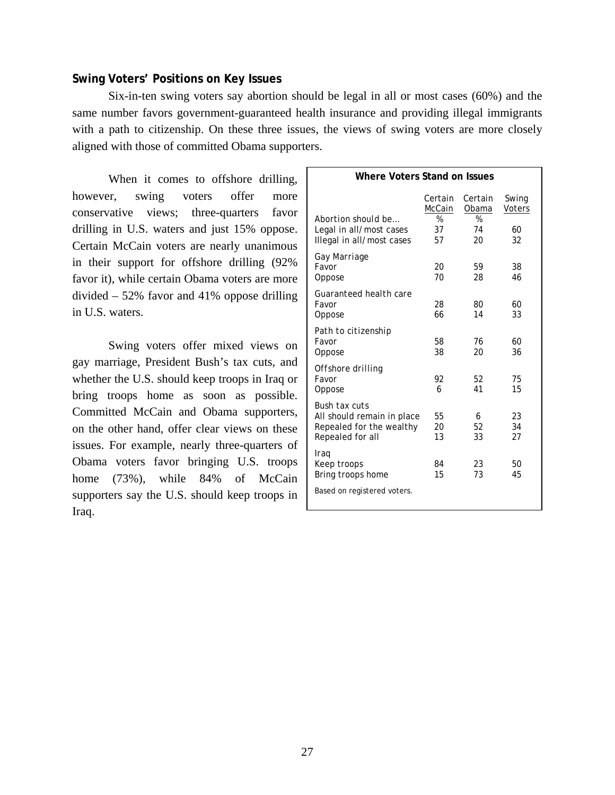# **Swing Voters' Positions on Key Issues**

Six-in-ten swing voters say abortion should be legal in all or most cases (60%) and the same number favors government-guaranteed health insurance and providing illegal immigrants with a path to citizenship. On these three issues, the views of swing voters are more closely aligned with those of committed Obama supporters.

When it comes to offshore drilling, however, swing voters offer more conservative views; three-quarters favor drilling in U.S. waters and just 15% oppose. Certain McCain voters are nearly unanimous in their support for offshore drilling (92% favor it), while certain Obama voters are more divided – 52% favor and 41% oppose drilling in U.S. waters.

Swing voters offer mixed views on gay marriage, President Bush's tax cuts, and whether the U.S. should keep troops in Iraq or bring troops home as soon as possible. Committed McCain and Obama supporters, on the other hand, offer clear views on these issues. For example, nearly three-quarters of Obama voters favor bringing U.S. troops home (73%), while 84% of McCain supporters say the U.S. should keep troops in Iraq.

| Where Voters Stand on Issues                                                                       |                           |                           |                        |  |  |  |  |  |  |  |
|----------------------------------------------------------------------------------------------------|---------------------------|---------------------------|------------------------|--|--|--|--|--|--|--|
|                                                                                                    | Certain<br>McCain         | Certain<br>Obama          | Swing<br><b>Voters</b> |  |  |  |  |  |  |  |
| Abortion should be<br>Legal in all/most cases<br>Illegal in all/most cases                         | $\frac{9}{6}$<br>37<br>57 | $\frac{9}{6}$<br>74<br>20 | 60<br>32               |  |  |  |  |  |  |  |
| Gay Marriage<br>Favor<br>Oppose                                                                    | 20<br>70                  | 59<br>28                  | 38<br>46               |  |  |  |  |  |  |  |
| Guaranteed health care<br>Favor<br>Oppose                                                          | 28<br>66                  | 80<br>14                  | 60<br>33               |  |  |  |  |  |  |  |
| Path to citizenship<br>Favor<br>Oppose                                                             | 58<br>38                  | 76<br>20                  | 60<br>36               |  |  |  |  |  |  |  |
| Offshore drilling<br>Favor<br>Oppose                                                               | 92<br>6                   | 52<br>41                  | 75<br>15               |  |  |  |  |  |  |  |
| <b>Bush tax cuts</b><br>All should remain in place<br>Repealed for the wealthy<br>Repealed for all | 55<br>20<br>13            | 6<br>52<br>33             | 23<br>34<br>27         |  |  |  |  |  |  |  |
| Iraq<br>Keep troops<br>Bring troops home                                                           | 84<br>15                  | 23<br>73                  | 50<br>45               |  |  |  |  |  |  |  |
| Based on registered voters.                                                                        |                           |                           |                        |  |  |  |  |  |  |  |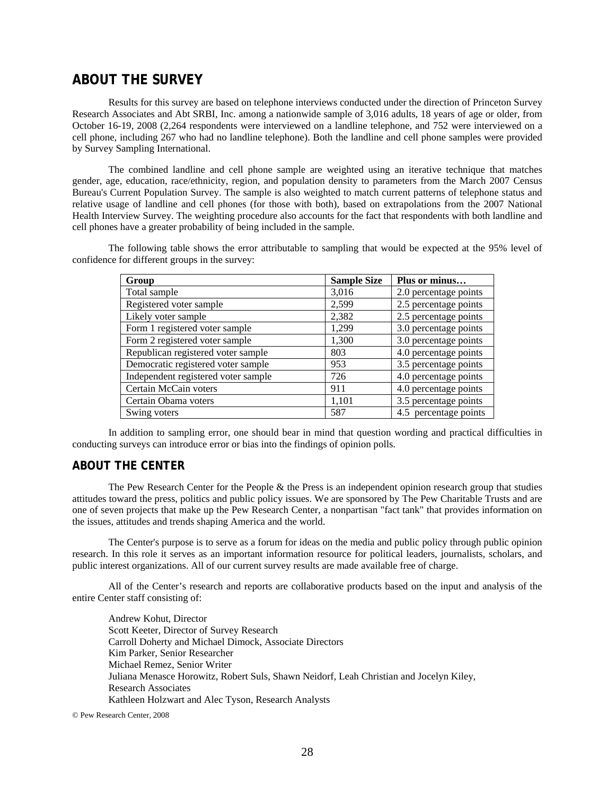# **ABOUT THE SURVEY**

 Results for this survey are based on telephone interviews conducted under the direction of Princeton Survey Research Associates and Abt SRBI, Inc. among a nationwide sample of 3,016 adults, 18 years of age or older, from October 16-19, 2008 (2,264 respondents were interviewed on a landline telephone, and 752 were interviewed on a cell phone, including 267 who had no landline telephone). Both the landline and cell phone samples were provided by Survey Sampling International.

The combined landline and cell phone sample are weighted using an iterative technique that matches gender, age, education, race/ethnicity, region, and population density to parameters from the March 2007 Census Bureau's Current Population Survey. The sample is also weighted to match current patterns of telephone status and relative usage of landline and cell phones (for those with both), based on extrapolations from the 2007 National Health Interview Survey. The weighting procedure also accounts for the fact that respondents with both landline and cell phones have a greater probability of being included in the sample.

The following table shows the error attributable to sampling that would be expected at the 95% level of confidence for different groups in the survey:

| Group                               | <b>Sample Size</b> | Plus or minus         |
|-------------------------------------|--------------------|-----------------------|
| Total sample                        | 3,016              | 2.0 percentage points |
| Registered voter sample             | 2,599              | 2.5 percentage points |
| Likely voter sample                 | 2,382              | 2.5 percentage points |
| Form 1 registered voter sample      | 1,299              | 3.0 percentage points |
| Form 2 registered voter sample      | 1,300              | 3.0 percentage points |
| Republican registered voter sample  | 803                | 4.0 percentage points |
| Democratic registered voter sample  | 953                | 3.5 percentage points |
| Independent registered voter sample | 726                | 4.0 percentage points |
| Certain McCain voters               | 911                | 4.0 percentage points |
| Certain Obama voters                | 1,101              | 3.5 percentage points |
| Swing voters                        | 587                | 4.5 percentage points |

 In addition to sampling error, one should bear in mind that question wording and practical difficulties in conducting surveys can introduce error or bias into the findings of opinion polls.

### **ABOUT THE CENTER**

 The Pew Research Center for the People & the Press is an independent opinion research group that studies attitudes toward the press, politics and public policy issues. We are sponsored by The Pew Charitable Trusts and are one of seven projects that make up the Pew Research Center, a nonpartisan "fact tank" that provides information on the issues, attitudes and trends shaping America and the world.

 The Center's purpose is to serve as a forum for ideas on the media and public policy through public opinion research. In this role it serves as an important information resource for political leaders, journalists, scholars, and public interest organizations. All of our current survey results are made available free of charge.

 All of the Center's research and reports are collaborative products based on the input and analysis of the entire Center staff consisting of:

 Andrew Kohut, Director Scott Keeter, Director of Survey Research Carroll Doherty and Michael Dimock, Associate Directors Kim Parker, Senior Researcher Michael Remez, Senior Writer Juliana Menasce Horowitz, Robert Suls, Shawn Neidorf, Leah Christian and Jocelyn Kiley, Research Associates Kathleen Holzwart and Alec Tyson, Research Analysts

© Pew Research Center, 2008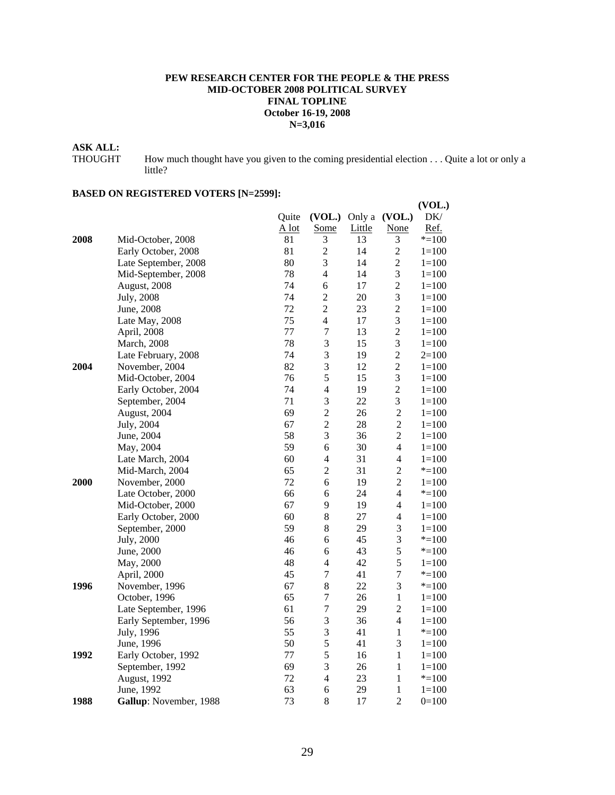#### **PEW RESEARCH CENTER FOR THE PEOPLE & THE PRESS MID-OCTOBER 2008 POLITICAL SURVEY FINAL TOPLINE October 16-19, 2008 N=3,016**

# **ASK ALL:**

THOUGHT How much thought have you given to the coming presidential election . . . Quite a lot or only a little?

# **BASED ON REGISTERED VOTERS [N=2599]:**

|      |                        |         |                          |        |                          | (VOL.)    |
|------|------------------------|---------|--------------------------|--------|--------------------------|-----------|
|      |                        | Quite   |                          |        | (VOL.) Only a (VOL.)     | DK/       |
|      |                        | $A$ lot | Some                     | Little | None                     | Ref.      |
| 2008 | Mid-October, 2008      | 81      | 3                        | 13     | 3                        | $* = 100$ |
|      | Early October, 2008    | 81      | $\overline{c}$           | 14     | $\overline{c}$           | $1 = 100$ |
|      | Late September, 2008   | 80      | 3                        | 14     | $\overline{c}$           | $1 = 100$ |
|      | Mid-September, 2008    | 78      | $\overline{4}$           | 14     | 3                        | $1 = 100$ |
|      | August, 2008           | 74      | 6                        | 17     | $\overline{c}$           | $1 = 100$ |
|      | July, 2008             | 74      | $\overline{c}$           | 20     | 3                        | $1=100$   |
|      | June, 2008             | 72      | $\overline{c}$           | 23     | $\overline{2}$           | $1 = 100$ |
|      | Late May, 2008         | 75      | $\overline{4}$           | 17     | 3                        | $1 = 100$ |
|      | April, 2008            | 77      | $\boldsymbol{7}$         | 13     | $\overline{c}$           | $1=100$   |
|      | March, 2008            | 78      | 3                        | 15     | 3                        | $1 = 100$ |
|      | Late February, 2008    | 74      | 3                        | 19     | $\overline{c}$           | $2=100$   |
| 2004 | November, 2004         | 82      | 3                        | 12     | $\overline{c}$           | $1 = 100$ |
|      | Mid-October, 2004      | 76      | 5                        | 15     | 3                        | $1 = 100$ |
|      | Early October, 2004    | 74      | $\overline{4}$           | 19     | $\overline{c}$           | $1 = 100$ |
|      | September, 2004        | 71      | 3                        | 22     | 3                        | $1=100$   |
|      | August, 2004           | 69      | $\overline{c}$           | 26     | $\overline{c}$           | $1 = 100$ |
|      | July, 2004             | 67      | $\overline{2}$           | 28     | $\overline{2}$           | $1 = 100$ |
|      | June, 2004             | 58      | 3                        | 36     | $\overline{2}$           | $1 = 100$ |
|      | May, 2004              | 59      | 6                        | 30     | $\overline{4}$           | $1 = 100$ |
|      | Late March, 2004       | 60      | $\overline{\mathcal{L}}$ | 31     | $\overline{\mathcal{L}}$ | $1 = 100$ |
|      | Mid-March, 2004        | 65      | $\overline{2}$           | 31     | $\overline{c}$           | $* = 100$ |
| 2000 | November, 2000         | 72      | 6                        | 19     | $\overline{2}$           | $1=100$   |
|      | Late October, 2000     | 66      | 6                        | 24     | $\overline{\mathcal{L}}$ | $* = 100$ |
|      | Mid-October, 2000      | 67      | 9                        | 19     | $\overline{4}$           | $1 = 100$ |
|      | Early October, 2000    | 60      | 8                        | 27     | $\overline{4}$           | $1=100$   |
|      | September, 2000        | 59      | 8                        | 29     | 3                        | $1 = 100$ |
|      | July, 2000             | 46      | 6                        | 45     | 3                        | $* = 100$ |
|      | June, 2000             | 46      | 6                        | 43     | 5                        | $* = 100$ |
|      | May, 2000              | 48      | 4                        | 42     | 5                        | $1=100$   |
|      | April, 2000            | 45      | $\tau$                   | 41     | 7                        | $* = 100$ |
| 1996 | November, 1996         | 67      | 8                        | 22     | 3                        | $* = 100$ |
|      | October, 1996          | 65      | $\overline{7}$           | 26     | $\mathbf{1}$             | $1=100$   |
|      | Late September, 1996   | 61      | $\overline{7}$           | 29     | $\overline{c}$           | $1 = 100$ |
|      | Early September, 1996  | 56      | 3                        | 36     | $\overline{4}$           | $1 = 100$ |
|      | July, 1996             | 55      | 3                        | 41     | $\mathbf{1}$             | $* = 100$ |
|      | June, 1996             | 50      | 5                        | 41     | 3                        | $1 = 100$ |
| 1992 | Early October, 1992    | 77      | 5                        | 16     | $\mathbf{1}$             | $1 = 100$ |
|      | September, 1992        | 69      | 3                        | 26     | $\mathbf{1}$             | $1=100$   |
|      | August, 1992           | 72      | $\overline{4}$           | 23     | $\mathbf{1}$             | $* = 100$ |
|      | June, 1992             | 63      | 6                        | 29     | 1                        | $1 = 100$ |
| 1988 | Gallup: November, 1988 | 73      | 8                        | 17     | $\overline{2}$           | $0=100$   |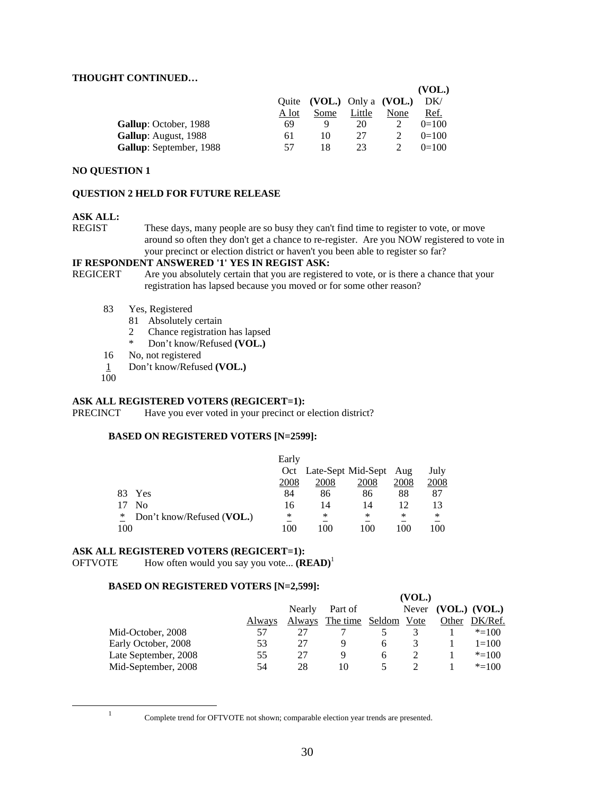#### **THOUGHT CONTINUED…**

|                         |       |                            |        |      | (VOL.)  |
|-------------------------|-------|----------------------------|--------|------|---------|
|                         |       | Quite (VOL.) Only a (VOL.) |        |      | DK/     |
|                         | A lot | Some                       | Little | None | Ref.    |
| Gallup: October, 1988   | 69    |                            | 20     |      | $0=100$ |
| Gallup: August, 1988    | 61    | 10                         | 27     |      | $0=100$ |
| Gallup: September, 1988 | 57    | 18                         | 23.    |      | $0=100$ |

#### **NO QUESTION 1**

#### **QUESTION 2 HELD FOR FUTURE RELEASE**

#### **ASK ALL:**

REGIST These days, many people are so busy they can't find time to register to vote, or move around so often they don't get a chance to re-register. Are you NOW registered to vote in your precinct or election district or haven't you been able to register so far?

#### **IF RESPONDENT ANSWERED '1' YES IN REGIST ASK:**

- REGICERT Are you absolutely certain that you are registered to vote, or is there a chance that your registration has lapsed because you moved or for some other reason?
	- 83 Yes, Registered
		- 81 Absolutely certain
		- 2 Chance registration has lapsed<br> $*$  Don't know Pofused (VOL)
		- Don't know/Refused **(VOL.)**
	- 16 No, not registered
	- 1 Don't know/Refused **(VOL.)**
	- 100

#### **ASK ALL REGISTERED VOTERS (REGICERT=1):**

PRECINCT Have you ever voted in your precinct or election district?

#### **BASED ON REGISTERED VOTERS [N=2599]:**

|     |                           | Early |      |                        |      |      |
|-----|---------------------------|-------|------|------------------------|------|------|
|     |                           | Oct   |      | Late-Sept Mid-Sept Aug |      | July |
|     |                           | 2008  | 2008 | <u>2008</u>            | 2008 | 2008 |
| 83. | Yes                       | 84    | 86   | 86                     | 88   | 87   |
|     | No                        | 16    | 14   | 14                     | 12   |      |
| ∗   | Don't know/Refused (VOL.) | ∗     | ∗    | ∗                      | ∗    | ∗    |
| 100 |                           | 100   | 100  | 100                    | 100  | 100  |

#### **ASK ALL REGISTERED VOTERS (REGICERT=1):**

 $\text{OFTVOTE}$  How often would you say you vote...  $(\text{READ})^1$ 

#### **BASED ON REGISTERED VOTERS [N=2,599]:**

|                      |        |        |                             |              | (VOL.) |       |                     |
|----------------------|--------|--------|-----------------------------|--------------|--------|-------|---------------------|
|                      |        | Nearly | Part of                     |              |        |       | Never (VOL.) (VOL.) |
|                      | Always |        | Always The time Seldom Vote |              |        | Other | DK/Ref.             |
| Mid-October, 2008    | 57     |        |                             |              |        |       | $* = 100$           |
| Early October, 2008  | 53     | 27     | Q                           | h.           |        |       | $1 = 100$           |
| Late September, 2008 | 55     | 27     | Q                           | <sub>6</sub> |        |       | $* = 100$           |
| Mid-September, 2008  | 54     | 28     | 10                          |              |        |       | $* = 100$           |

<u>1</u>

Complete trend for OFTVOTE not shown; comparable election year trends are presented.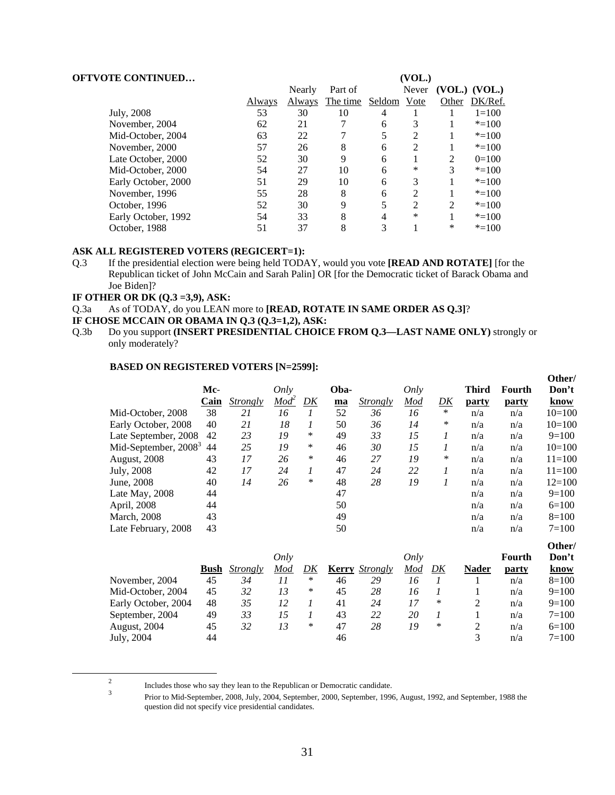| <b>OFTVOTE CONTINUED</b> |        |        |          |        | (VOL.)         |                |                   |
|--------------------------|--------|--------|----------|--------|----------------|----------------|-------------------|
|                          |        | Nearly | Part of  |        | Never          |                | $(VOL.)$ $(VOL.)$ |
|                          | Always | Always | The time | Seldom | Vote           | Other          | DK/Ref.           |
| July, 2008               | 53     | 30     | 10       | 4      |                |                | $1=100$           |
| November, 2004           | 62     | 21     |          | 6      | 3              |                | $* = 100$         |
| Mid-October, 2004        | 63     | 22     |          | 5      | $\mathcal{D}$  |                | $* = 100$         |
| November, 2000           | 57     | 26     | 8        | 6      | $\overline{c}$ |                | $* = 100$         |
| Late October, 2000       | 52     | 30     | 9        | 6      |                | $\mathfrak{D}$ | $0=100$           |
| Mid-October, 2000        | 54     | 27     | 10       | 6      | *              | 3              | $* = 100$         |
| Early October, 2000      | 51     | 29     | 10       | 6      | 3              |                | $* = 100$         |
| November, 1996           | 55     | 28     | 8        | 6      | っ              |                | $* = 100$         |
| October, 1996            | 52     | 30     | 9        | 5      | $\overline{c}$ | $\mathfrak{D}$ | $* = 100$         |
| Early October, 1992      | 54     | 33     | 8        | 4      | *              |                | $* = 100$         |
| October, 1988            | 51     | 37     | 8        | 3      |                | *              | $* = 100$         |

#### **ASK ALL REGISTERED VOTERS (REGICERT=1):**

Q.3 If the presidential election were being held TODAY, would you vote **[READ AND ROTATE]** [for the Republican ticket of John McCain and Sarah Palin] OR [for the Democratic ticket of Barack Obama and Joe Biden]?

#### **IF OTHER OR DK (Q.3 =3,9), ASK:**

 $\overline{\phantom{a}}$ 

Q.3a As of TODAY, do you LEAN more to **[READ, ROTATE IN SAME ORDER AS Q.3]**?

Q.3b Do you support **(INSERT PRESIDENTIAL CHOICE FROM Q.3—LAST NAME ONLY)** strongly or only moderately?

#### **BASED ON REGISTERED VOTERS [N=2599]:**

|                                  | Mc-  |                 | Only             |        | Oba- |                               | Only |    | <b>Third</b> | Fourth       | Other/<br>Don't |
|----------------------------------|------|-----------------|------------------|--------|------|-------------------------------|------|----|--------------|--------------|-----------------|
|                                  | Cain | <b>Strongly</b> | Mod <sup>2</sup> | DK     | ma   | <i><u><b>Strongly</b></u></i> | Mod  | DK | <b>party</b> | <b>party</b> | know            |
| Mid-October, 2008                | 38   | 21              | 16               |        | 52   | 36                            | 16   | *  | n/a          | n/a          | $10=100$        |
| Early October, 2008              | 40   | 21              | 18               |        | 50   | 36                            | 14   | ∗  | n/a          | n/a          | $10=100$        |
| Late September, 2008             | 42   | 23              | 19               | $\ast$ | 49   | 33                            | 15   |    | n/a          | n/a          | $9=100$         |
| Mid-September, 2008 <sup>3</sup> | 44   | 25              | 19               | $\ast$ | 46   | 30                            | 15   |    | n/a          | n/a          | $10=100$        |
| August, 2008                     | 43   | 17              | 26               | $\ast$ | 46   | 27                            | 19   | ∗  | n/a          | n/a          | $11 = 100$      |
| July, 2008                       | 42   | 17              | 24               |        | 47   | 24                            | 22   |    | n/a          | n/a          | $11 = 100$      |
| June, 2008                       | 40   | 14              | 26               | *      | 48   | 28                            | 19   |    | n/a          | n/a          | $12=100$        |
| Late May, 2008                   | 44   |                 |                  |        | 47   |                               |      |    | n/a          | n/a          | $9=100$         |
| April, 2008                      | 44   |                 |                  |        | 50   |                               |      |    | n/a          | n/a          | $6=100$         |
| <b>March</b> , 2008              | 43   |                 |                  |        | 49   |                               |      |    | n/a          | n/a          | $8=100$         |
| Late February, 2008              | 43   |                 |                  |        | 50   |                               |      |    | n/a          | n/a          | $7 = 100$       |

|                     |             |          | Only |   |    |                              | <i>Only</i> |    |              | Fourth | Other/<br>Don't |
|---------------------|-------------|----------|------|---|----|------------------------------|-------------|----|--------------|--------|-----------------|
|                     | <b>Bush</b> | Strongly | Mod  |   |    | <b>Kerry</b> <i>Strongly</i> | Mod         | DK | <b>Nader</b> | party  | <u>know</u>     |
| November, 2004      | 45          | 34       |      | * | 46 | 29                           | 16          |    |              | n/a    | $8=100$         |
| Mid-October, 2004   | 45          | 32       | 13   | * | 45 | 28                           | 16          |    |              | n/a    | $9=100$         |
| Early October, 2004 | 48          | 35       | 12   |   | 41 | 24                           | 17          | ∗  | 2            | n/a    | $9=100$         |
| September, 2004     | 49          | 33       | 15   |   | 43 | 22                           | 20          |    |              | n/a    | $7 = 100$       |
| August, 2004        | 45          | 32       | 13   | * | 47 | 28                           | 19          | *  |              | n/a    | $6=100$         |
| July, 2004          | 44          |          |      |   | 46 |                              |             |    | 3            | n/a    | $7 = 100$       |

**IF CHOSE MCCAIN OR OBAMA IN Q.3 (Q.3=1,2), ASK:** 

Includes those who say they lean to the Republican or Democratic candidate.<br><sup>3</sup> Prior to Mid-September, 2008, July, 2004, September, 2000, September, 1996, August, 1992, and September, 1988 the question did not specify vice presidential candidates.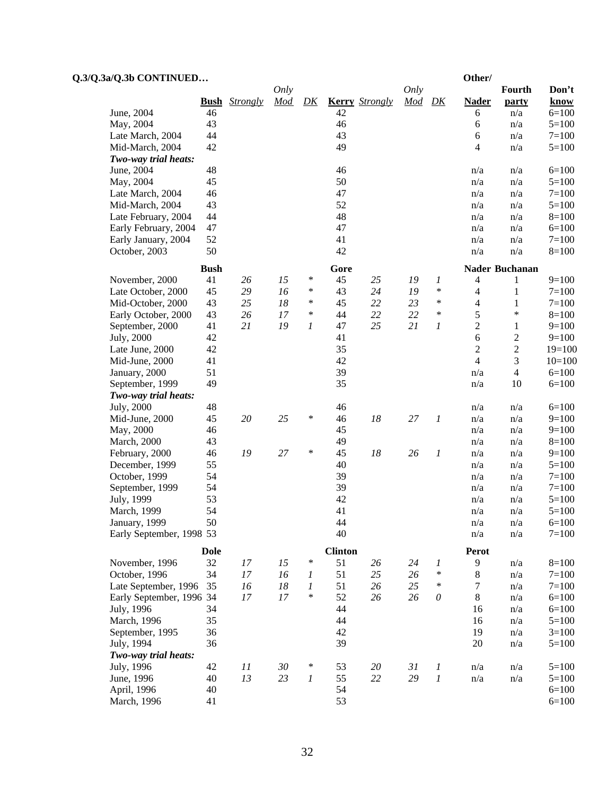| Q.3/Q.3a/Q.3b CONTINUED    |             |                      |        |        |                |                       |      |                       | Other/         |                       |                    |
|----------------------------|-------------|----------------------|--------|--------|----------------|-----------------------|------|-----------------------|----------------|-----------------------|--------------------|
|                            |             |                      | Only   |        |                |                       | Only |                       |                | Fourth                | Don't              |
|                            |             | <b>Bush</b> Strongly | Mod    | D K    |                | <b>Kerry</b> Strongly | Mod  | D K                   | <b>Nader</b>   | party                 | know               |
| June, 2004                 | 46          |                      |        |        | 42             |                       |      |                       | 6              | n/a                   | $6=100$            |
| May, 2004                  | 43          |                      |        |        | 46             |                       |      |                       | 6              | n/a                   | $5=100$            |
| Late March, 2004           | 44          |                      |        |        | 43             |                       |      |                       | 6              | n/a                   | $7=100$            |
| Mid-March, 2004            | 42          |                      |        |        | 49             |                       |      |                       | $\overline{4}$ | n/a                   | $5=100$            |
| Two-way trial heats:       |             |                      |        |        |                |                       |      |                       |                |                       |                    |
| June, 2004                 | 48          |                      |        |        | 46             |                       |      |                       | n/a            | n/a                   | $6=100$            |
| May, 2004                  | 45          |                      |        |        | 50             |                       |      |                       | n/a            | n/a                   | $5=100$            |
| Late March, 2004           | 46          |                      |        |        | 47             |                       |      |                       | n/a            | n/a                   | $7 = 100$          |
| Mid-March, 2004            | 43          |                      |        |        | 52             |                       |      |                       | n/a            | n/a                   | $5=100$            |
| Late February, 2004        | 44          |                      |        |        | 48             |                       |      |                       | n/a            | n/a                   | $8=100$            |
| Early February, 2004       | 47          |                      |        |        | 47             |                       |      |                       | n/a            | n/a                   | $6=100$            |
| Early January, 2004        | 52          |                      |        |        | 41             |                       |      |                       | n/a            | n/a                   | $7=100$            |
| October, 2003              | 50          |                      |        |        | 42             |                       |      |                       | n/a            | n/a                   | $8=100$            |
|                            | <b>Bush</b> |                      |        |        | Gore           |                       |      |                       |                | <b>Nader Buchanan</b> |                    |
| November, 2000             | 41          | 26                   | 15     | $\ast$ | 45             | 25                    | 19   | 1                     | 4              | 1                     | $9=100$            |
| Late October, 2000         | 45          | 29                   | 16     | $\ast$ | 43             | 24                    | 19   | $\ast$                | $\overline{4}$ | 1                     | $7=100$            |
| Mid-October, 2000          | 43          | 25                   | 18     | $\ast$ | 45             | 22                    | 23   | $\ast$                | $\overline{4}$ | 1                     | $7=100$            |
| Early October, 2000        | 43          | 26                   | 17     | $\ast$ | 44             | 22                    | 22   | $\ast$                | 5              | $\ast$                | $8=100$            |
| September, 2000            | 41          | 21                   | 19     | 1      | 47             | 25                    | 21   | 1                     | $\mathfrak{2}$ | $\mathbf{1}$          | $9=100$            |
| July, 2000                 | 42          |                      |        |        | 41             |                       |      |                       | 6              | $\overline{c}$        | $9=100$            |
| Late June, 2000            | 42          |                      |        |        | 35             |                       |      |                       | $\mathfrak{2}$ | $\overline{c}$        | $19=100$           |
| Mid-June, 2000             | 41          |                      |        |        | 42             |                       |      |                       | $\overline{4}$ | 3                     | $10=100$           |
| January, 2000              | 51          |                      |        |        | 39             |                       |      |                       | n/a            | $\overline{4}$        | $6=100$            |
| September, 1999            | 49          |                      |        |        | 35             |                       |      |                       | n/a            | 10                    | $6=100$            |
| Two-way trial heats:       |             |                      |        |        |                |                       |      |                       |                |                       |                    |
| July, 2000                 | 48          |                      |        |        | 46             |                       |      |                       | n/a            | n/a                   | $6=100$            |
| Mid-June, 2000             | 45          | 20                   | 25     | *      | 46             | 18                    | 27   | $\boldsymbol{l}$      | n/a            | n/a                   | $9=100$            |
| May, 2000                  | 46          |                      |        |        | 45             |                       |      |                       | n/a            | n/a                   | $9=100$            |
| March, 2000                | 43          |                      |        |        | 49             |                       |      |                       | n/a            | n/a                   | $8=100$            |
| February, 2000             | 46          | 19                   | 27     | *      | 45             | 18                    | 26   | 1                     | n/a            | n/a                   | $9=100$            |
| December, 1999             | 55          |                      |        |        | 40             |                       |      |                       | n/a            | n/a                   | $5=100$            |
| October, 1999              | 54          |                      |        |        | 39             |                       |      |                       | n/a            | n/a                   | $7=100$            |
| September, 1999            | 54          |                      |        |        | 39             |                       |      |                       | n/a            | n/a                   | $7 = 100$          |
| July, 1999                 | 53          |                      |        |        | 42             |                       |      |                       | n/a            | n/a                   | $5=100$            |
| March, 1999                | 54          |                      |        |        | 41             |                       |      |                       | n/a            | n/a                   | $5=100$            |
| January, 1999              | 50          |                      |        |        | 44             |                       |      |                       | n/a            | n/a                   | $6=100$            |
| Early September, 1998 53   |             |                      |        |        | 40             |                       |      |                       | n/a            | n/a                   | $7=100$            |
|                            | <b>Dole</b> |                      |        |        | <b>Clinton</b> |                       |      |                       | Perot          |                       |                    |
| November, 1996             | 32          | 17                   | 15     | $\ast$ | 51             | 26                    | 24   | 1                     | 9              | n/a                   | $8=100$            |
| October, 1996              | 34          | 17                   | 16     | 1      | 51             | 25                    | 26   | $\ast$                | $8\,$          | n/a                   | $7=100$            |
| Late September, 1996       | 35          | 16                   | $18\,$ | 1      | 51             | 26                    | 25   | $\ast$                | 7              | n/a                   | $7=100$            |
| Early September, 1996 34   |             | 17                   | 17     | $\ast$ | 52             | 26                    | 26   | $\boldsymbol{\theta}$ | $\,$ 8 $\,$    | n/a                   | $6=100$            |
| July, 1996                 | 34          |                      |        |        | 44             |                       |      |                       | 16             | n/a                   | $6=100$            |
| March, 1996                | 35          |                      |        |        | 44             |                       |      |                       | 16             | n/a                   | $5=100$            |
| September, 1995            | 36          |                      |        |        | 42             |                       |      |                       | 19             | n/a                   | $3=100$            |
| July, 1994                 | 36          |                      |        |        | 39             |                       |      |                       | 20             | n/a                   | $5=100$            |
| Two-way trial heats:       |             |                      |        |        |                |                       |      |                       |                |                       |                    |
| July, 1996                 | 42          | 11                   | 30     | $\ast$ | 53             | 20                    | 31   | 1                     | n/a            | n/a                   | $5=100$            |
| June, 1996                 | 40          | 13                   | 23     | 1      | 55             | 22                    | 29   | $\boldsymbol{l}$      | n/a            | n/a                   | $5=100$            |
| April, 1996<br>March, 1996 | 40<br>41    |                      |        |        | 54<br>53       |                       |      |                       |                |                       | $6=100$<br>$6=100$ |
|                            |             |                      |        |        |                |                       |      |                       |                |                       |                    |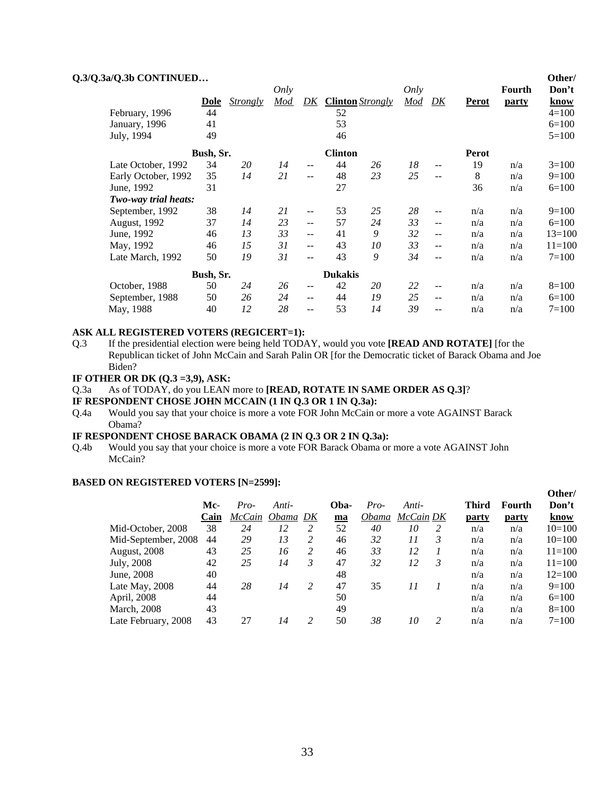| Q.3/Q.3a/Q.3b CONTINUED |             |                 | Only |                          |                |                         | Only       |                            |              | Fourth       | Other/<br>Don't |
|-------------------------|-------------|-----------------|------|--------------------------|----------------|-------------------------|------------|----------------------------|--------------|--------------|-----------------|
|                         | <b>Dole</b> | <b>Strongly</b> | Mod  | DK                       |                | <b>Clinton</b> Strongly | <b>Mod</b> | DK                         | <b>Perot</b> | <u>party</u> | know            |
| February, 1996          | 44          |                 |      |                          | 52             |                         |            |                            |              |              | $4 = 100$       |
| January, 1996           | 41          |                 |      |                          | 53             |                         |            |                            |              |              | $6=100$         |
| July, 1994              | 49          |                 |      |                          | 46             |                         |            |                            |              |              | $5=100$         |
|                         | Bush, Sr.   |                 |      |                          | <b>Clinton</b> |                         |            |                            | Perot        |              |                 |
| Late October, 1992      | 34          | 20              | 14   | $- -$                    | 44             | 26                      | 18         | $- -$                      | 19           | n/a          | $3=100$         |
| Early October, 1992     | 35          | 14              | 21   | $\sim$ $\sim$            | 48             | 23                      | 25         | $\overline{\phantom{a}}$   | 8            | n/a          | $9=100$         |
| June, 1992              | 31          |                 |      |                          | 27             |                         |            |                            | 36           | n/a          | $6=100$         |
| Two-way trial heats:    |             |                 |      |                          |                |                         |            |                            |              |              |                 |
| September, 1992         | 38          | 14              | 21   | $- -$                    | 53             | 25                      | 28         | $- -$                      | n/a          | n/a          | $9=100$         |
| August, 1992            | 37          | 14              | 23   | $\overline{\phantom{a}}$ | 57             | 24                      | 33         | $-$                        | n/a          | n/a          | $6=100$         |
| June, 1992              | 46          | 13              | 33   | $- -$                    | 41             | 9                       | 32         | $\overline{\phantom{m}}$ . | n/a          | n/a          | $13=100$        |
| May, 1992               | 46          | 15              | 31   | $- -$                    | 43             | 10                      | 33         | $-$                        | n/a          | n/a          | $11=100$        |
| Late March, 1992        | 50          | 19              | 31   | $-1$                     | 43             | 9                       | 34         | $- -$                      | n/a          | n/a          | $7 = 100$       |
|                         | Bush, Sr.   |                 |      |                          | <b>Dukakis</b> |                         |            |                            |              |              |                 |
| October, 1988           | 50          | 24              | 26   | $\overline{a}$           | 42             | 20                      | 22         | $- -$                      | n/a          | n/a          | $8=100$         |
| September, 1988         | 50          | 26              | 24   | $\overline{a}$           | 44             | 19                      | 25         | $- -$                      | n/a          | n/a          | $6=100$         |
| May, 1988               | 40          | 12              | 28   | $- -$                    | 53             | 14                      | 39         | $-$                        | n/a          | n/a          | $7 = 100$       |

#### **ASK ALL REGISTERED VOTERS (REGICERT=1):**

- Q.3 If the presidential election were being held TODAY, would you vote **[READ AND ROTATE]** [for the Republican ticket of John McCain and Sarah Palin OR [for the Democratic ticket of Barack Obama and Joe Biden?
- **IF OTHER OR DK (Q.3 =3,9), ASK:**
- Q.3a As of TODAY, do you LEAN more to **[READ, ROTATE IN SAME ORDER AS Q.3]**?
- **IF RESPONDENT CHOSE JOHN MCCAIN (1 IN Q.3 OR 1 IN Q.3a):**
- Q.4a Would you say that your choice is more a vote FOR John McCain or more a vote AGAINST Barack Obama?

# **IF RESPONDENT CHOSE BARACK OBAMA (2 IN Q.3 OR 2 IN Q.3a):**

Q.4b Would you say that your choice is more a vote FOR Barack Obama or more a vote AGAINST John McCain?

#### **BASED ON REGISTERED VOTERS [N=2599]:**

|                     | Mc-  | $Pro-$ | Anti-    |                | Oba- | $Pro-$ | Anti-     |   | <b>Third</b> | Fourth       | Other/<br>Don't |
|---------------------|------|--------|----------|----------------|------|--------|-----------|---|--------------|--------------|-----------------|
|                     | Cain | McCain | Obama DK |                | ma   | Obama  | McCain DK |   | <u>party</u> | <u>party</u> | know            |
| Mid-October, 2008   | 38   | 24     | 12       | 2              | 52   | 40     | 10        | 2 | n/a          | n/a          | $10=100$        |
| Mid-September, 2008 | 44   | 29     | 13       | 2              | 46   | 32     | 11        | 3 | n/a          | n/a          | $10=100$        |
| August, 2008        | 43   | 25     | 16       | $\mathcal{L}$  | 46   | 33     | 12        |   | n/a          | n/a          | $11 = 100$      |
| July, 2008          | 42   | 25     | 14       | 3              | 47   | 32     | 12        | 3 | n/a          | n/a          | $11 = 100$      |
| June, 2008          | 40   |        |          |                | 48   |        |           |   | n/a          | n/a          | $12=100$        |
| Late May, 2008      | 44   | 28     | 14       | $\overline{2}$ | 47   | 35     | 11        |   | n/a          | n/a          | $9=100$         |
| April, 2008         | 44   |        |          |                | 50   |        |           |   | n/a          | n/a          | $6=100$         |
| <b>March</b> , 2008 | 43   |        |          |                | 49   |        |           |   | n/a          | n/a          | $8=100$         |
| Late February, 2008 | 43   | 27     | 14       | 2              | 50   | 38     | 10        | 2 | n/a          | n/a          | $7 = 100$       |
|                     |      |        |          |                |      |        |           |   |              |              |                 |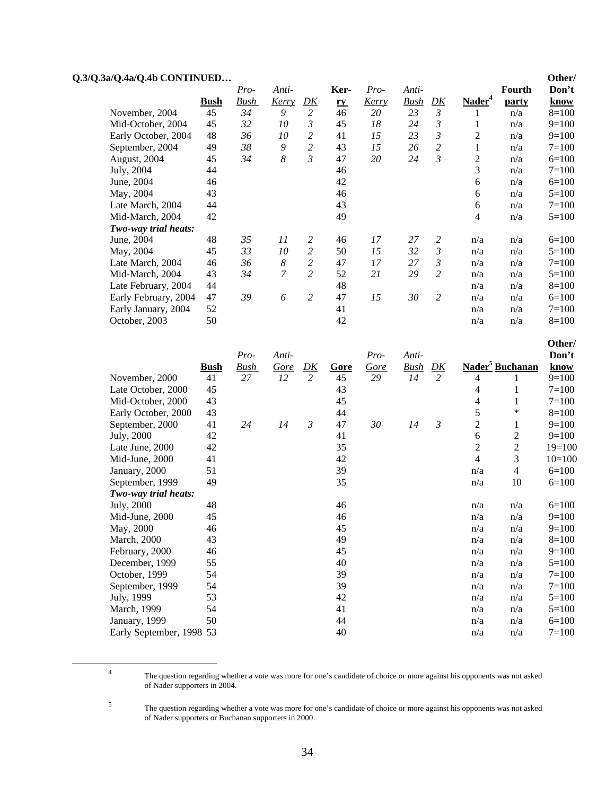| Q.3/Q.3a/Q.4a/Q.4b CONTINUED |             |      |                  |                |           |              |             |                |                                |              | Other/    |
|------------------------------|-------------|------|------------------|----------------|-----------|--------------|-------------|----------------|--------------------------------|--------------|-----------|
|                              |             | Pro- | Anti-            |                | Ker-      | Pro-         | Anti-       |                |                                | Fourth       | Don't     |
|                              | <b>Bush</b> | Bush | <u>Kerry</u>     | <u>DK</u>      | <u>ry</u> | <u>Kerry</u> | <b>Bush</b> | <u>DK</u>      | $\mathbf{N}$ ader <sup>4</sup> | <u>party</u> | know      |
| November, 2004               | 45          | 34   | 9                | $\overline{2}$ | 46        | 20           | 23          | 3              |                                | n/a          | $8=100$   |
| Mid-October, 2004            | 45          | 32   | 10               | 3              | 45        | 18           | 24          | 3              | 1                              | n/a          | $9=100$   |
| Early October, 2004          | 48          | 36   | 10               | 2              | 41        | 15           | 23          | $\mathfrak{Z}$ | 2                              | n/a          | $9=100$   |
| September, 2004              | 49          | 38   | 9                | $\overline{c}$ | 43        | 15           | 26          | $\overline{c}$ | 1                              | n/a          | $7 = 100$ |
| August, 2004                 | 45          | 34   | $\boldsymbol{8}$ | 3              | 47        | 20           | 24          | $\mathfrak{Z}$ | 2                              | n/a          | $6=100$   |
| July, 2004                   | 44          |      |                  |                | 46        |              |             |                | 3                              | n/a          | $7 = 100$ |
| June, 2004                   | 46          |      |                  |                | 42        |              |             |                | 6                              | n/a          | $6=100$   |
| May, 2004                    | 43          |      |                  |                | 46        |              |             |                | 6                              | n/a          | $5=100$   |
| Late March, 2004             | 44          |      |                  |                | 43        |              |             |                | 6                              | n/a          | $7 = 100$ |
| Mid-March, 2004              | 42          |      |                  |                | 49        |              |             |                | $\overline{4}$                 | n/a          | $5=100$   |
| Two-way trial heats:         |             |      |                  |                |           |              |             |                |                                |              |           |
| June, 2004                   | 48          | 35   | 11               | 2              | 46        | 17           | 27          | 2              | n/a                            | n/a          | $6=100$   |
| May, 2004                    | 45          | 33   | 10               | $\overline{c}$ | 50        | 15           | 32          | 3              | n/a                            | n/a          | $5=100$   |
| Late March, 2004             | 46          | 36   | 8                | $\overline{c}$ | 47        | 17           | 27          | 3              | n/a                            | n/a          | $7=100$   |
| Mid-March, 2004              | 43          | 34   | 7                | $\overline{c}$ | 52        | 21           | 29          | $\overline{c}$ | n/a                            | n/a          | $5=100$   |
| Late February, 2004          | 44          |      |                  |                | 48        |              |             |                | n/a                            | n/a          | $8=100$   |
| Early February, 2004         | 47          | 39   | 6                | 2              | 47        | 15           | 30          | 2              | n/a                            | n/a          | $6=100$   |
| Early January, 2004          | 52          |      |                  |                | 41        |              |             |                | n/a                            | n/a          | $7 = 100$ |
| October, 2003                | 50          |      |                  |                | 42        |              |             |                | n/a                            | n/a          | $8=100$   |

|                          |             |             |             |                |      |      |             |                |                |                             | Other/    |
|--------------------------|-------------|-------------|-------------|----------------|------|------|-------------|----------------|----------------|-----------------------------|-----------|
|                          |             | Pro-        | Anti-       |                |      | Pro- | Anti-       |                |                |                             | Don't     |
|                          | <u>Bush</u> | <b>Bush</b> | <u>Gore</u> | D K            | Gore | Gore | <b>Bush</b> | D K            |                | Nader <sup>5</sup> Buchanan | know      |
| November, 2000           | 41          | 27          | 12          | $\overline{2}$ | 45   | 29   | 14          | $\overline{2}$ | 4              |                             | $9=100$   |
| Late October, 2000       | 45          |             |             |                | 43   |      |             |                | 4              |                             | $7 = 100$ |
| Mid-October, 2000        | 43          |             |             |                | 45   |      |             |                | 4              | 1                           | $7 = 100$ |
| Early October, 2000      | 43          |             |             |                | 44   |      |             |                | 5              | $\ast$                      | $8=100$   |
| September, 2000          | 41          | 24          | 14          | 3              | 47   | 30   | 14          | 3              | $\overline{c}$ | 1                           | $9=100$   |
| July, 2000               | 42          |             |             |                | 41   |      |             |                | 6              | 2                           | $9=100$   |
| Late June, 2000          | 42          |             |             |                | 35   |      |             |                | $\mathfrak{2}$ | $\overline{c}$              | $19=100$  |
| Mid-June, 2000           | 41          |             |             |                | 42   |      |             |                | $\overline{4}$ | 3                           | $10=100$  |
| January, 2000            | 51          |             |             |                | 39   |      |             |                | n/a            | 4                           | $6=100$   |
| September, 1999          | 49          |             |             |                | 35   |      |             |                | n/a            | 10                          | $6=100$   |
| Two-way trial heats:     |             |             |             |                |      |      |             |                |                |                             |           |
| July, 2000               | 48          |             |             |                | 46   |      |             |                | n/a            | n/a                         | $6=100$   |
| Mid-June, 2000           | 45          |             |             |                | 46   |      |             |                | n/a            | n/a                         | $9=100$   |
| May, 2000                | 46          |             |             |                | 45   |      |             |                | n/a            | n/a                         | $9=100$   |
| <b>March</b> , 2000      | 43          |             |             |                | 49   |      |             |                | n/a            | n/a                         | $8=100$   |
| February, 2000           | 46          |             |             |                | 45   |      |             |                | n/a            | n/a                         | $9=100$   |
| December, 1999           | 55          |             |             |                | 40   |      |             |                | n/a            | n/a                         | $5=100$   |
| October, 1999            | 54          |             |             |                | 39   |      |             |                | n/a            | n/a                         | $7 = 100$ |
| September, 1999          | 54          |             |             |                | 39   |      |             |                | n/a            | n/a                         | $7 = 100$ |
| July, 1999               | 53          |             |             |                | 42   |      |             |                | n/a            | n/a                         | $5=100$   |
| March, 1999              | 54          |             |             |                | 41   |      |             |                | n/a            | n/a                         | $5=100$   |
| January, 1999            | 50          |             |             |                | 44   |      |             |                | n/a            | n/a                         | $6=100$   |
| Early September, 1998 53 |             |             |             |                | 40   |      |             |                | n/a            | n/a                         | $7 = 100$ |

 $\frac{1}{4}$ 

5

The question regarding whether a vote was more for one's candidate of choice or more against his opponents was not asked of Nader supporters in 2004.

The question regarding whether a vote was more for one's candidate of choice or more against his opponents was not asked of Nader supporters or Buchanan supporters in 2000.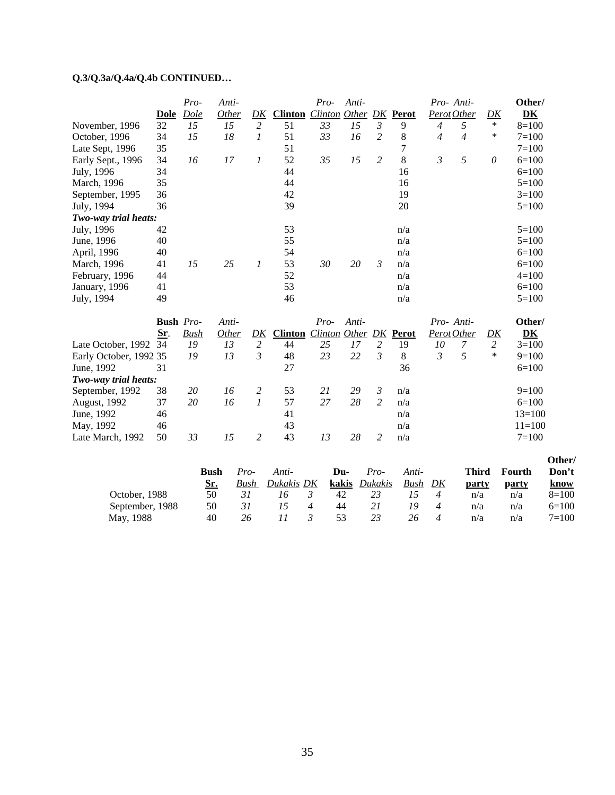# **Q.3/Q.3a/Q.4a/Q.4b CONTINUED…**

|                                                                      |                  | Pro-        | Anti-        |                  |                | Pro-                          | Anti-  |                |       | Pro- Anti-     |                |                  | Other/                            |
|----------------------------------------------------------------------|------------------|-------------|--------------|------------------|----------------|-------------------------------|--------|----------------|-------|----------------|----------------|------------------|-----------------------------------|
|                                                                      | <b>Dole</b>      | Dole        | Other        | DK               | <b>Clinton</b> | <b>Clinton Other DK Perot</b> |        |                |       | Perot Other    |                | DK               | $\overline{\mathbf{D}}\mathbf{K}$ |
| November, 1996                                                       | 32               | 15          | 15           | 2                | 51             | 33                            | $15\,$ | $\mathfrak{Z}$ | 9     | $\overline{4}$ | $\mathfrak{H}$ | $\ast$           | $8=100$                           |
| October, 1996                                                        | 34               | 15          | 18           | 1                | 51             | 33                            | 16     | $\overline{2}$ | 8     | $\overline{4}$ | $\overline{4}$ | $\ast$           | $7=100$                           |
| Late Sept, 1996                                                      | 35               |             |              |                  | 51             |                               |        |                | 7     |                |                |                  | $7=100$                           |
| Early Sept., 1996                                                    | 34               | 16          | 17           | $\boldsymbol{l}$ | 52             | 35                            | 15     | $\overline{2}$ | 8     | $\mathfrak{Z}$ | 5              | $\theta$         | $6=100$                           |
| July, 1996                                                           | 34               |             |              |                  | 44             |                               |        |                | 16    |                |                |                  | $6=100$                           |
| March, 1996                                                          | 35               |             |              |                  | 44             |                               |        |                | 16    |                |                |                  | $5=100$                           |
| September, 1995                                                      | 36               |             |              |                  | 42             |                               |        |                | 19    |                |                |                  | $3=100$                           |
| July, 1994                                                           | 36               |             |              |                  | 39             |                               |        |                | 20    |                |                |                  | $5=100$                           |
| Two-way trial heats:                                                 |                  |             |              |                  |                |                               |        |                |       |                |                |                  |                                   |
| July, 1996                                                           | 42               |             |              |                  | 53             |                               |        |                | n/a   |                |                |                  | $5=100$                           |
| June, 1996                                                           | 40               |             |              |                  | 55             |                               |        |                | n/a   |                |                |                  | $5 = 100$                         |
| April, 1996                                                          | 40               |             |              |                  | 54             |                               |        |                | n/a   |                |                |                  | $6=100$                           |
| March, 1996                                                          | 41               | 15          | 25           | $\boldsymbol{l}$ | 53             | 30                            | 20     | $\mathfrak{Z}$ | n/a   |                |                |                  | $6=100$                           |
| February, 1996                                                       | 44               |             |              |                  | 52             |                               |        |                | n/a   |                |                |                  | $4 = 100$                         |
| January, 1996                                                        | 41               |             |              |                  | 53             |                               |        |                | n/a   |                |                |                  | $6=100$                           |
| July, 1994                                                           | 49               |             |              |                  | 46             |                               |        |                | n/a   |                |                |                  | $5=100$                           |
|                                                                      | <b>Bush</b> Pro- |             | Anti-        |                  |                | $Pro-$                        | Anti-  |                |       | Pro- Anti-     |                |                  | Other/                            |
|                                                                      | Sr.              | <b>Bush</b> | <b>Other</b> | $\underline{DK}$ | <b>Clinton</b> | <b>Clinton</b> Other          |        | D K            | Perot | Perot Other    |                | $\underline{DK}$ | D <sub>K</sub>                    |
|                                                                      |                  |             |              |                  |                |                               |        |                |       |                | 7              | $\overline{2}$   | $3=100$                           |
|                                                                      | 34               | 19          | 13           | 2                | 44             | 25                            | 17     | $\overline{c}$ | 19    | 10             |                |                  |                                   |
|                                                                      |                  | 19          | 13           | 3                | 48             | 23                            | 22     | $\mathfrak{Z}$ | 8     | $\mathfrak{Z}$ | 5              | $\ast$           | $9=100$                           |
| June, 1992                                                           | 31               |             |              |                  | 27             |                               |        |                | 36    |                |                |                  | $6=100$                           |
| Late October, 1992<br>Early October, 1992 35<br>Two-way trial heats: |                  |             |              |                  |                |                               |        |                |       |                |                |                  |                                   |
| September, 1992                                                      | 38               | 20          | 16           | 2                | 53             | 21                            | 29     | $\mathfrak{Z}$ | n/a   |                |                |                  | $9=100$                           |
| August, 1992                                                         | 37               | 20          | 16           | $\boldsymbol{l}$ | 57             | 27                            | 28     | $\overline{2}$ | n/a   |                |                |                  | $6=100$                           |
| June, 1992                                                           | 46               |             |              |                  | 41             |                               |        |                | n/a   |                |                |                  | $13=100$                          |
| May, 1992                                                            | 46               |             |              |                  | 43             |                               |        |                | n/a   |                |                |                  | $11=100$                          |

|                 | Bush | Pro- | Anti-      | Du-   | Pro-    | Anti-          |    | Third | <b>Fourth</b> | Don't     |
|-----------------|------|------|------------|-------|---------|----------------|----|-------|---------------|-----------|
|                 | Sr.  | Bush | Dukakis DK | kakis | Dukakis | Bush           | DK | party | party         | know      |
| October, 1988   | 50   |      | 16         | 42    |         | $\overline{1}$ |    | n/a   | n/a           | $8=100$   |
| September, 1988 | 50   |      |            | 44    |         | 19             | 4  | n/a   | n/a           | $6=100$   |
| May, 1988       | 40   | 26   |            | 53    | 23      | 26             |    | n/a   | n/a           | $7 = 100$ |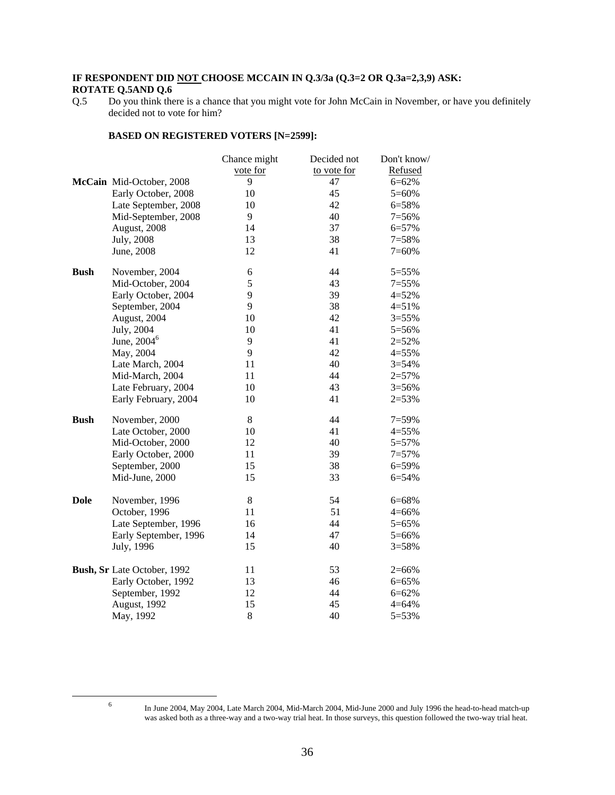### **IF RESPONDENT DID NOT CHOOSE MCCAIN IN Q.3/3a (Q.3=2 OR Q.3a=2,3,9) ASK: ROTATE Q.5AND Q.6**

#### **BASED ON REGISTERED VOTERS [N=2599]:**

|             |                             | Chance might | Decided not | Don't know/ |
|-------------|-----------------------------|--------------|-------------|-------------|
|             |                             | vote for     | to vote for | Refused     |
|             | McCain Mid-October, 2008    | 9            | 47          | $6 = 62%$   |
|             | Early October, 2008         | 10           | 45          | $5=60%$     |
|             | Late September, 2008        | 10           | 42          | 6=58%       |
|             | Mid-September, 2008         | 9            | 40          | $7=56%$     |
|             | August, 2008                | 14           | 37          | 6=57%       |
|             | July, 2008                  | 13           | 38          | $7 = 58%$   |
|             | June, 2008                  | 12           | 41          | $7=60%$     |
| <b>Bush</b> | November, 2004              | 6            | 44          | 5=55%       |
|             | Mid-October, 2004           | 5            | 43          | $7=55%$     |
|             | Early October, 2004         | 9            | 39          | $4 = 52%$   |
|             | September, 2004             | 9            | 38          | $4 = 51%$   |
|             | August, 2004                | 10           | 42          | $3 = 55%$   |
|             | July, 2004                  | 10           | 41          | 5=56%       |
|             | June, 2004 <sup>6</sup>     | 9            | 41          | $2 = 52%$   |
|             | May, 2004                   | 9            | 42          | $4 = 55%$   |
|             | Late March, 2004            | 11           | 40          | $3 = 54%$   |
|             | Mid-March, 2004             | 11           | 44          | $2 = 57%$   |
|             | Late February, 2004         | 10           | 43          | $3 = 56%$   |
|             | Early February, 2004        | 10           | 41          | $2 = 53%$   |
| <b>Bush</b> | November, 2000              | $8\,$        | 44          | $7=59%$     |
|             | Late October, 2000          | 10           | 41          | $4 = 55%$   |
|             | Mid-October, 2000           | 12           | 40          | 5=57%       |
|             | Early October, 2000         | 11           | 39          | $7 = 57%$   |
|             | September, 2000             | 15           | 38          | 6=59%       |
|             | Mid-June, 2000              | 15           | 33          | 6=54%       |
| <b>Dole</b> | November, 1996              | $\,8\,$      | 54          | 6=68%       |
|             | October, 1996               | 11           | 51          | $4 = 66%$   |
|             | Late September, 1996        | 16           | 44          | 5=65%       |
|             | Early September, 1996       | 14           | 47          | 5=66%       |
|             | July, 1996                  | 15           | 40          | $3 = 58%$   |
|             | Bush, Sr Late October, 1992 | 11           | 53          | $2 = 66%$   |
|             | Early October, 1992         | 13           | 46          | 6=65%       |
|             | September, 1992             | 12           | 44          | $6 = 62%$   |
|             | August, 1992                | 15           | 45          | $4 = 64%$   |
|             | May, 1992                   | $8\,$        | 40          | 5=53%       |
|             |                             |              |             |             |

6

Q.5 Do you think there is a chance that you might vote for John McCain in November, or have you definitely decided not to vote for him?

In June 2004, May 2004, Late March 2004, Mid-March 2004, Mid-June 2000 and July 1996 the head-to-head match-up was asked both as a three-way and a two-way trial heat. In those surveys, this question followed the two-way trial heat.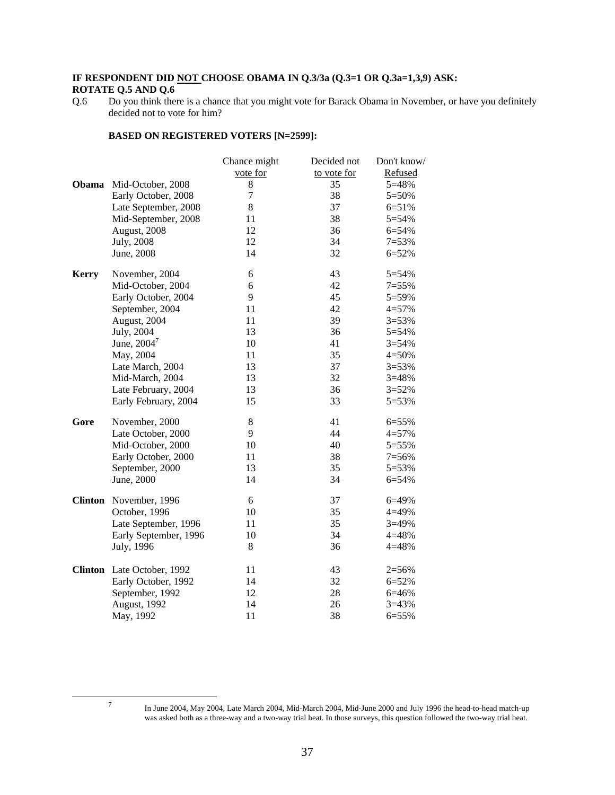### **IF RESPONDENT DID NOT CHOOSE OBAMA IN Q.3/3a (Q.3=1 OR Q.3a=1,3,9) ASK: ROTATE Q.5 AND Q.6**

#### **BASED ON REGISTERED VOTERS [N=2599]:**

|              |                            | Chance might | Decided not | Don't know/ |
|--------------|----------------------------|--------------|-------------|-------------|
|              |                            | vote for     | to vote for | Refused     |
| Obama        | Mid-October, 2008          | 8            | 35          | 5=48%       |
|              | Early October, 2008        | 7            | 38          | 5=50%       |
|              | Late September, 2008       | $8\,$        | 37          | $6 = 51%$   |
|              | Mid-September, 2008        | 11           | 38          | $5 = 54%$   |
|              | August, 2008               | 12           | 36          | $6 = 54%$   |
|              | July, 2008                 | 12           | 34          | $7=53%$     |
|              | June, 2008                 | 14           | 32          | $6 = 52%$   |
| <b>Kerry</b> | November, 2004             | 6            | 43          | 5=54%       |
|              | Mid-October, 2004          | 6            | 42          | $7 = 55%$   |
|              | Early October, 2004        | 9            | 45          | 5=59%       |
|              | September, 2004            | 11           | 42          | $4 = 57%$   |
|              | August, 2004               | 11           | 39          | $3 = 53%$   |
|              | July, 2004                 | 13           | 36          | 5=54%       |
|              | June, $2004^7$             | 10           | 41          | $3 = 54%$   |
|              | May, 2004                  | 11           | 35          | $4 = 50%$   |
|              | Late March, 2004           | 13           | 37          | $3 = 53%$   |
|              | Mid-March, 2004            | 13           | 32          | $3 = 48%$   |
|              | Late February, 2004        | 13           | 36          | $3 = 52%$   |
|              | Early February, 2004       | 15           | 33          | 5=53%       |
| Gore         | November, 2000             | 8            | 41          | 6=55%       |
|              | Late October, 2000         | 9            | 44          | $4 = 57%$   |
|              | Mid-October, 2000          | 10           | 40          | 5=55%       |
|              | Early October, 2000        | 11           | 38          | $7=56%$     |
|              | September, 2000            | 13           | 35          | 5=53%       |
|              | June, 2000                 | 14           | 34          | 6=54%       |
|              | Clinton November, 1996     | 6            | 37          | 6=49%       |
|              | October, 1996              | 10           | 35          | 4=49%       |
|              | Late September, 1996       | 11           | 35          | $3=49%$     |
|              | Early September, 1996      | 10           | 34          | 4=48%       |
|              | July, 1996                 | 8            | 36          | 4=48%       |
|              | Clinton Late October, 1992 | 11           | 43          | $2 = 56%$   |
|              | Early October, 1992        | 14           | 32          | $6 = 52%$   |
|              | September, 1992            | 12           | 28          | 6=46%       |
|              | August, 1992               | 14           | 26          | $3 = 43%$   |
|              | May, 1992                  | 11           | 38          | 6=55%       |

7

Q.6 Do you think there is a chance that you might vote for Barack Obama in November, or have you definitely decided not to vote for him?

In June 2004, May 2004, Late March 2004, Mid-March 2004, Mid-June 2000 and July 1996 the head-to-head match-up was asked both as a three-way and a two-way trial heat. In those surveys, this question followed the two-way trial heat.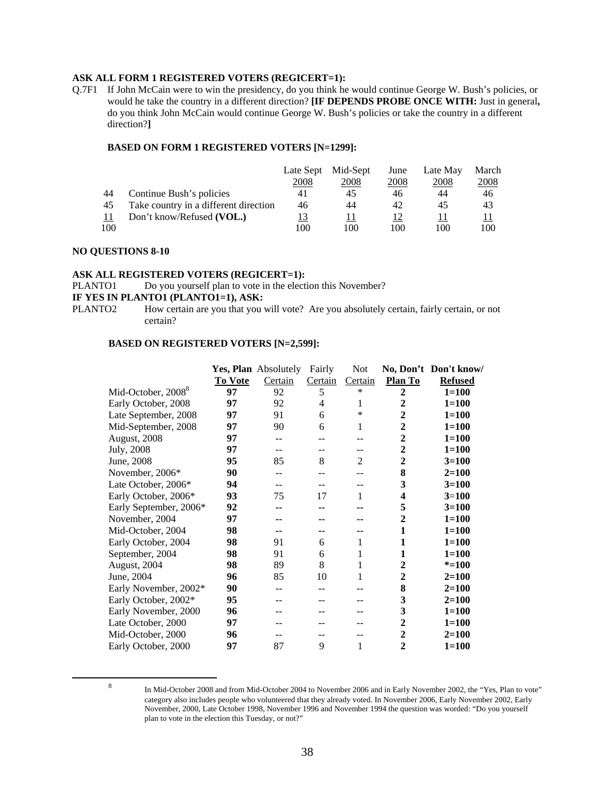#### **ASK ALL FORM 1 REGISTERED VOTERS (REGICERT=1):**

Q.7F1 If John McCain were to win the presidency, do you think he would continue George W. Bush's policies, or would he take the country in a different direction? **[IF DEPENDS PROBE ONCE WITH:** Just in general**,**  do you think John McCain would continue George W. Bush's policies or take the country in a different direction?**]**

#### **BASED ON FORM 1 REGISTERED VOTERS [N=1299]:**

|     |                                       | Late Sept | Mid-Sept | June | Late May | March |
|-----|---------------------------------------|-----------|----------|------|----------|-------|
|     |                                       | 2008      | 2008     | 2008 | 2008     | 2008  |
| 44  | Continue Bush's policies              | 41        | 45       | 46   | 44       | 46    |
| 45  | Take country in a different direction | 46        | 44       | 42   | 45       | 43    |
|     | Don't know/Refused (VOL.)             | <u>13</u> |          | 12   |          |       |
| 100 |                                       | 100       | 100      | 100  | 100      | 100   |

#### **NO QUESTIONS 8-10**

#### **ASK ALL REGISTERED VOTERS (REGICERT=1):**

PLANTO1 Do you yourself plan to vote in the election this November?

# **IF YES IN PLANTO1 (PLANTO1=1), ASK:**<br>PLANTO2 How certain are you that you

How certain are you that you will vote? Are you absolutely certain, fairly certain, or not certain?

#### **BASED ON REGISTERED VOTERS [N=2,599]:**

|                                |                | Yes, Plan Absolutely | Fairly  | <b>Not</b>     |                         | No, Don't Don't know/ |
|--------------------------------|----------------|----------------------|---------|----------------|-------------------------|-----------------------|
|                                | <b>To Vote</b> | Certain              | Certain | Certain        | <b>Plan To</b>          | <b>Refused</b>        |
| Mid-October, 2008 <sup>8</sup> | 97             | 92                   | 5       | $\ast$         | $\overline{2}$          | $1 = 100$             |
| Early October, 2008            | 97             | 92                   | 4       | 1              | 2                       | $1 = 100$             |
| Late September, 2008           | 97             | 91                   | 6       | $\ast$         | 2                       | $1 = 100$             |
| Mid-September, 2008            | 97             | 90                   | 6       | 1              | $\boldsymbol{2}$        | $1 = 100$             |
| August, 2008                   | 97             | --                   |         |                | $\boldsymbol{2}$        | $1 = 100$             |
| July, 2008                     | 97             | --                   |         |                | $\boldsymbol{2}$        | $1 = 100$             |
| June, 2008                     | 95             | 85                   | 8       | $\overline{c}$ | $\boldsymbol{2}$        | $3 = 100$             |
| November, 2006*                | 90             | --                   |         |                | 8                       | $2=100$               |
| Late October, 2006*            | 94             | --                   |         |                | 3                       | $3 = 100$             |
| Early October, 2006*           | 93             | 75                   | 17      | 1              | $\overline{\mathbf{4}}$ | $3 = 100$             |
| Early September, 2006*         | 92             | --                   |         |                | 5                       | $3=100$               |
| November, 2004                 | 97             | --                   |         |                | $\boldsymbol{2}$        | $1 = 100$             |
| Mid-October, 2004              | 98             | --                   | --      |                | 1                       | $1 = 100$             |
| Early October, 2004            | 98             | 91                   | 6       | 1              | 1                       | $1 = 100$             |
| September, 2004                | 98             | 91                   | 6       | 1              | 1                       | $1 = 100$             |
| August, 2004                   | 98             | 89                   | 8       | 1              | $\mathbf{2}$            | $* = 100$             |
| June, 2004                     | 96             | 85                   | 10      | 1              | $\mathbf{2}$            | $2=100$               |
| Early November, 2002*          | 90             | --                   |         |                | 8                       | $2 = 100$             |
| Early October, 2002*           | 95             |                      |         |                | 3                       | $2 = 100$             |
| Early November, 2000           | 96             |                      |         |                | 3                       | $1 = 100$             |
| Late October, 2000             | 97             |                      |         |                | $\overline{2}$          | $1 = 100$             |
| Mid-October, 2000              | 96             | --                   |         |                | 2                       | $2 = 100$             |
| Early October, 2000            | 97             | 87                   | 9       | 1              | $\mathbf{2}$            | $1 = 100$             |

 $\frac{1}{8}$ 

In Mid-October 2008 and from Mid-October 2004 to November 2006 and in Early November 2002, the "Yes, Plan to vote" category also includes people who volunteered that they already voted. In November 2006, Early November 2002, Early November, 2000, Late October 1998, November 1996 and November 1994 the question was worded: "Do you yourself plan to vote in the election this Tuesday, or not?"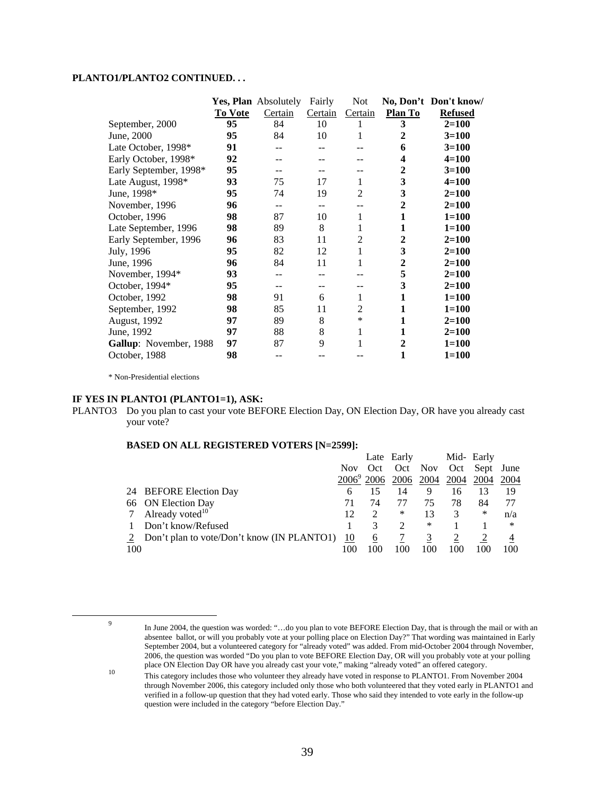#### **PLANTO1/PLANTO2 CONTINUED. . .**

|                        |         | Yes, Plan Absolutely | Fairly  | Not            |         | No, Don't Don't know/ |
|------------------------|---------|----------------------|---------|----------------|---------|-----------------------|
|                        | To Vote | Certain              | Certain | Certain        | Plan To | <b>Refused</b>        |
| September, 2000        | 95      | 84                   | 10      |                | 3       | $2 = 100$             |
| June, 2000             | 95      | 84                   | 10      |                | 2       | $3=100$               |
| Late October, 1998*    | 91      |                      |         |                | 6       | $3=100$               |
| Early October, 1998*   | 92      |                      |         |                | 4       | $4 = 100$             |
| Early September, 1998* | 95      |                      |         |                | 2       | $3 = 100$             |
| Late August, 1998*     | 93      | 75                   | 17      | 1              | 3       | $4 = 100$             |
| June, 1998*            | 95      | 74                   | 19      | $\overline{2}$ | 3       | $2 = 100$             |
| November, 1996         | 96      | --                   |         |                | 2       | $2=100$               |
| October, 1996          | 98      | 87                   | 10      | 1              | 1       | $1 = 100$             |
| Late September, 1996   | 98      | 89                   | 8       | 1              | 1       | $1 = 100$             |
| Early September, 1996  | 96      | 83                   | 11      | $\overline{2}$ | 2       | $2 = 100$             |
| July, 1996             | 95      | 82                   | 12      | 1              | 3       | $2=100$               |
| June, 1996             | 96      | 84                   | 11      |                | 2       | $2=100$               |
| November, 1994*        | 93      |                      |         |                | 5       | $2=100$               |
| October, 1994*         | 95      |                      |         |                | 3       | $2=100$               |
| October, 1992          | 98      | 91                   | 6       | 1              | 1       | $1 = 100$             |
| September, 1992        | 98      | 85                   | 11      | 2              | 1       | $1 = 100$             |
| August, 1992           | 97      | 89                   | 8       | $\ast$         | 1       | $2=100$               |
| June, 1992             | 97      | 88                   | 8       | 1              | 1       | $2=100$               |
| Gallup: November, 1988 | 97      | 87                   | 9       |                | 2       | $1 = 100$             |
| October, 1988          | 98      | --                   |         |                | 1       | $1 = 100$             |

\* Non-Presidential elections

#### **IF YES IN PLANTO1 (PLANTO1=1), ASK:**

PLANTO3 Do you plan to cast your vote BEFORE Election Day, ON Election Day, OR have you already cast your vote?

#### **BASED ON ALL REGISTERED VOTERS [N=2599]:**

|     |                                              |           |      | Late Early |      |      | Mid- Early |      |
|-----|----------------------------------------------|-----------|------|------------|------|------|------------|------|
|     |                                              | Nov Oct   |      | Oct Nov    |      |      | Oct Sept   | June |
|     |                                              |           | 2006 | 2006       | 2004 | 2004 | 2004       | 2004 |
|     | 24 BEFORE Election Day                       | h         |      | 14         | 9    | 16   | 13         | 19   |
|     | 66 ON Election Day                           |           | 74   |            | 75   | 78   | 84         |      |
|     | 7 Already voted $10$                         | 12        | 2    | ∗          | 13   |      | ∗          | n/a  |
|     | Don't know/Refused                           |           |      |            | *    |      |            | ∗    |
|     | 2 Don't plan to vote/Don't know (IN PLANTO1) | <u>10</u> | 6    |            |      |      |            |      |
| 100 |                                              | 100       | 100  | 100        |      | 100  |            | 100  |

 <sup>9</sup> In June 2004, the question was worded: "…do you plan to vote BEFORE Election Day, that is through the mail or with an absentee ballot, or will you probably vote at your polling place on Election Day?" That wording was maintained in Early September 2004, but a volunteered category for "already voted" was added. From mid-October 2004 through November, 2006, the question was worded "Do you plan to vote BEFORE Election Day, OR will you probably vote at your polling

place ON Election Day OR have you already cast your vote," making "already voted" an offered category.<br><sup>10</sup> This category includes those who volunteer they already have voted in response to PLANTO1. From November 2004 through November 2006, this category included only those who both volunteered that they voted early in PLANTO1 and verified in a follow-up question that they had voted early. Those who said they intended to vote early in the follow-up question were included in the category "before Election Day."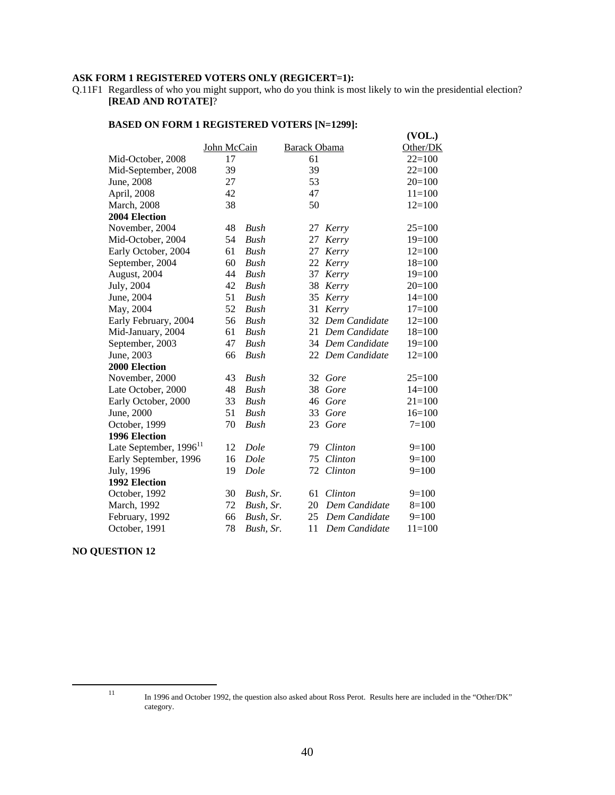# **ASK FORM 1 REGISTERED VOTERS ONLY (REGICERT=1):**

Q.11F1 Regardless of who you might support, who do you think is most likely to win the presidential election? **[READ AND ROTATE]**?

|                                    |             |             |                     |                  | (VOL.)     |
|------------------------------------|-------------|-------------|---------------------|------------------|------------|
|                                    | John McCain |             | <b>Barack Obama</b> |                  | Other/DK   |
| Mid-October, 2008                  | 17          |             | 61                  |                  | $22=100$   |
| Mid-September, 2008                | 39          |             | 39                  |                  | $22=100$   |
| June, 2008                         | 27          |             | 53                  |                  | $20=100$   |
| April, 2008                        | 42          |             | 47                  |                  | $11=100$   |
| <b>March</b> , 2008                | 38          |             | 50                  |                  | $12=100$   |
| 2004 Election                      |             |             |                     |                  |            |
| November, 2004                     | 48          | Bush        | 27                  | Kerry            | $25=100$   |
| Mid-October, 2004                  | 54          | Bush        | 27                  | Kerry            | $19=100$   |
| Early October, 2004                | 61          | <b>Bush</b> | 27                  | Kerry            | $12=100$   |
| September, 2004                    | 60          | Bush        | 22                  | Kerry            | $18=100$   |
| August, 2004                       | 44          | Bush        | 37                  | Kerry            | $19=100$   |
| July, 2004                         | 42          | <b>Bush</b> | 38                  | Kerry            | $20=100$   |
| June, 2004                         | 51          | Bush        | 35                  | Kerry            | $14=100$   |
| May, 2004                          | 52          | Bush        | 31                  | Kerry            | $17=100$   |
| Early February, 2004               | 56          | <b>Bush</b> | 32                  | Dem Candidate    | $12=100$   |
| Mid-January, 2004                  | 61          | Bush        |                     | 21 Dem Candidate | $18=100$   |
| September, 2003                    | 47          | <b>Bush</b> |                     | 34 Dem Candidate | $19=100$   |
| June, 2003                         | 66          | Bush        |                     | 22 Dem Candidate | $12=100$   |
| <b>2000 Election</b>               |             |             |                     |                  |            |
| November, 2000                     | 43          | Bush        |                     | 32 Gore          | $25=100$   |
| Late October, 2000                 | 48          | Bush        | 38                  | Gore             | $14=100$   |
| Early October, 2000                | 33          | <b>Bush</b> | 46                  | Gore             | $21 = 100$ |
| June, 2000                         | 51          | <b>Bush</b> | 33                  | Gore             | $16=100$   |
| October, 1999                      | 70          | Bush        |                     | 23 Gore          | $7 = 100$  |
| 1996 Election                      |             |             |                     |                  |            |
| Late September, 1996 <sup>11</sup> | 12          | Dole        | 79                  | Clinton          | $9=100$    |
| Early September, 1996              | 16          | Dole        | 75                  | Clinton          | $9=100$    |
| July, 1996                         | 19          | Dole        | 72                  | Clinton          | $9=100$    |
| 1992 Election                      |             |             |                     |                  |            |
| October, 1992                      | 30          | Bush, Sr.   | 61                  | Clinton          | $9=100$    |
| March, 1992                        | 72          | Bush, Sr.   | 20                  | Dem Candidate    | $8=100$    |
| February, 1992                     | 66          | Bush, Sr.   | 25                  | Dem Candidate    | $9=100$    |
| October, 1991                      | 78          | Bush, Sr.   | 11                  | Dem Candidate    | $11 = 100$ |

#### **BASED ON FORM 1 REGISTERED VOTERS [N=1299]:**

#### **NO QUESTION 12**

<sup>&</sup>lt;sup>11</sup> In 1996 and October 1992, the question also asked about Ross Perot. Results here are included in the "Other/DK" category.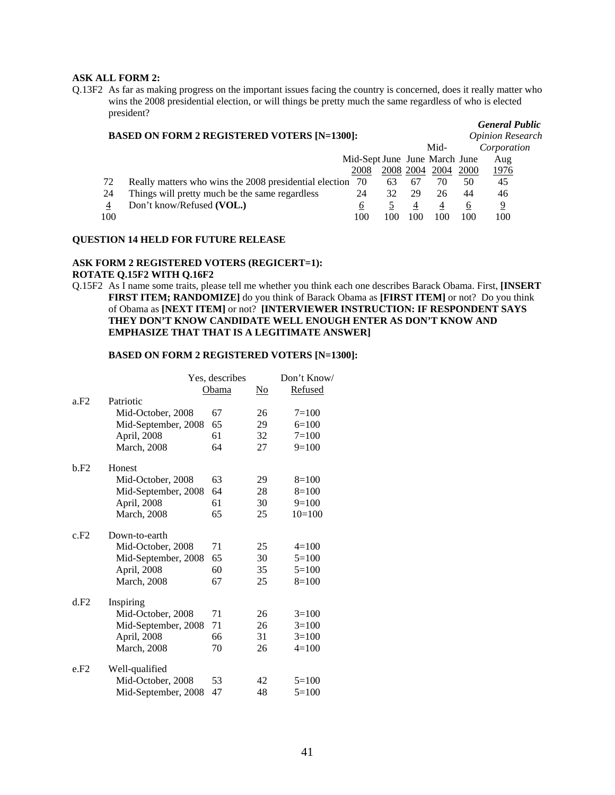#### **ASK ALL FORM 2:**

Q.13F2 As far as making progress on the important issues facing the country is concerned, does it really matter who wins the 2008 presidential election, or will things be pretty much the same regardless of who is elected president?

#### **BASED ON FORM 2 REGISTERED VOTERS [N=1300]:** *Opinion Research*

*General Public*

|     |                                                           |                               |           |     | Mid- |          | Corporation  |
|-----|-----------------------------------------------------------|-------------------------------|-----------|-----|------|----------|--------------|
|     |                                                           | Mid-Sept June June March June |           |     |      |          | Aug          |
|     |                                                           | 2008                          | 2008 2004 |     | 2004 | 2000     | <u> 1976</u> |
| 72  | Really matters who wins the 2008 presidential election 70 |                               | 63        | -67 | 70   | 50       | 45           |
| 24  | Things will pretty much be the same regardless            | 24                            |           | 29  | 26   | 44       | 46           |
| 4   | Don't know/Refused (VOL.)                                 |                               |           | 4   |      | $\sigma$ | 9            |
| 100 |                                                           | 100                           | 100       | 100 | 100  | 100      | 100          |
|     |                                                           |                               |           |     |      |          |              |

#### **QUESTION 14 HELD FOR FUTURE RELEASE**

### **ASK FORM 2 REGISTERED VOTERS (REGICERT=1): ROTATE Q.15F2 WITH Q.16F2**

Q.15F2 As I name some traits, please tell me whether you think each one describes Barack Obama. First, **[INSERT FIRST ITEM; RANDOMIZE]** do you think of Barack Obama as **[FIRST ITEM]** or not? Do you think of Obama as **[NEXT ITEM]** or not? **[INTERVIEWER INSTRUCTION: IF RESPONDENT SAYS THEY DON'T KNOW CANDIDATE WELL ENOUGH ENTER AS DON'T KNOW AND EMPHASIZE THAT THAT IS A LEGITIMATE ANSWER]**

#### **BASED ON FORM 2 REGISTERED VOTERS [N=1300]:**

|      |                     | Yes, describes |    | Don't Know/ |  |  |
|------|---------------------|----------------|----|-------------|--|--|
|      |                     | Obama          | No | Refused     |  |  |
| a.F2 | Patriotic           |                |    |             |  |  |
|      | Mid-October, 2008   | 67             | 26 | $7 = 100$   |  |  |
|      | Mid-September, 2008 | 65             | 29 | $6=100$     |  |  |
|      | April, 2008         | 61             | 32 | $7 = 100$   |  |  |
|      | <b>March</b> , 2008 | 64             | 27 | $9=100$     |  |  |
| b.F2 | Honest              |                |    |             |  |  |
|      | Mid-October, 2008   | 63             | 29 | $8=100$     |  |  |
|      | Mid-September, 2008 | 64             | 28 | $8=100$     |  |  |
|      | April, 2008         | 61             | 30 | $9=100$     |  |  |
|      | <b>March</b> , 2008 | 65             | 25 | $10=100$    |  |  |
| c.F2 | Down-to-earth       |                |    |             |  |  |
|      | Mid-October, 2008   | 71             | 25 | $4=100$     |  |  |
|      | Mid-September, 2008 | 65             | 30 | $5=100$     |  |  |
|      | April, 2008         | 60             | 35 | $5=100$     |  |  |
|      | <b>March</b> , 2008 | 67             | 25 | $8=100$     |  |  |
| d.F2 | Inspiring           |                |    |             |  |  |
|      | Mid-October, 2008   | 71             | 26 | $3=100$     |  |  |
|      | Mid-September, 2008 | 71             | 26 | $3=100$     |  |  |
|      | April, 2008         | 66             | 31 | $3=100$     |  |  |
|      | <b>March</b> , 2008 | 70             | 26 | $4=100$     |  |  |
| e.F2 | Well-qualified      |                |    |             |  |  |
|      | Mid-October, 2008   | 53             | 42 | $5=100$     |  |  |
|      | Mid-September, 2008 | 47             | 48 | $5=100$     |  |  |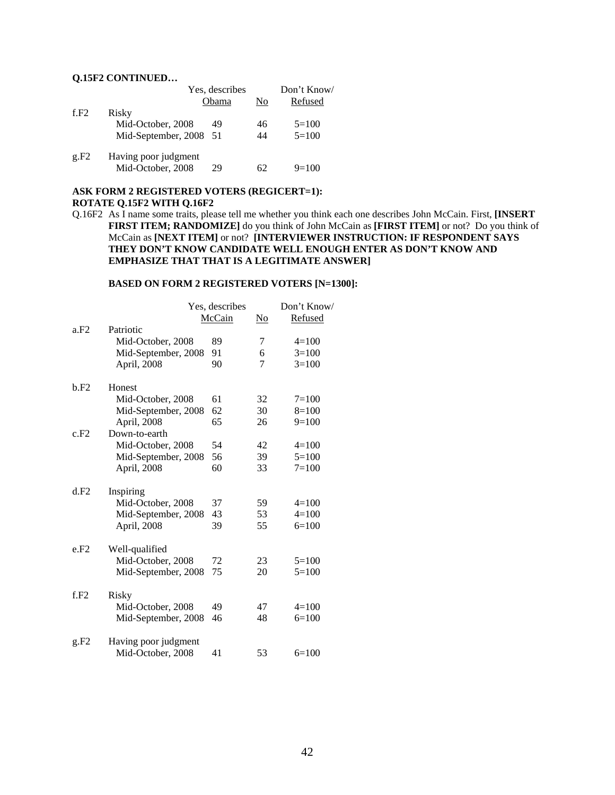#### **Q.15F2 CONTINUED…**

|      |                        | Yes, describes |    | Don't Know/ |
|------|------------------------|----------------|----|-------------|
|      |                        | Obama          | No | Refused     |
| f.F2 | Risky                  |                |    |             |
|      | Mid-October, 2008      | 49             | 46 | $5 = 100$   |
|      | Mid-September, 2008 51 |                | 44 | $5=100$     |
| g.F2 | Having poor judgment   |                |    |             |
|      | Mid-October, 2008      | 29             | 62 | $9=100$     |

#### **ASK FORM 2 REGISTERED VOTERS (REGICERT=1): ROTATE Q.15F2 WITH Q.16F2**

Q.16F2 As I name some traits, please tell me whether you think each one describes John McCain. First, **[INSERT FIRST ITEM; RANDOMIZE]** do you think of John McCain as **[FIRST ITEM]** or not? Do you think of McCain as **[NEXT ITEM]** or not? **[INTERVIEWER INSTRUCTION: IF RESPONDENT SAYS THEY DON'T KNOW CANDIDATE WELL ENOUGH ENTER AS DON'T KNOW AND EMPHASIZE THAT THAT IS A LEGITIMATE ANSWER]**

#### **BASED ON FORM 2 REGISTERED VOTERS [N=1300]:**

|      |                      | Yes, describes |    | Don't Know/ |
|------|----------------------|----------------|----|-------------|
|      |                      | McCain         | No | Refused     |
| a.F2 | Patriotic            |                |    |             |
|      | Mid-October, 2008    | 89             | 7  | $4=100$     |
|      | Mid-September, 2008  | 91             | 6  | $3=100$     |
|      | April, 2008          | 90             | 7  | $3=100$     |
| b.F2 | Honest               |                |    |             |
|      | Mid-October, 2008    | 61             | 32 | $7 = 100$   |
|      | Mid-September, 2008  | 62             | 30 | $8=100$     |
|      | April, 2008          | 65             | 26 | $9=100$     |
| c.F2 | Down-to-earth        |                |    |             |
|      | Mid-October, 2008    | 54             | 42 | $4=100$     |
|      | Mid-September, 2008  | 56             | 39 | $5 = 100$   |
|      | April, 2008          | 60             | 33 | $7=100$     |
| d.F2 | Inspiring            |                |    |             |
|      | Mid-October, 2008    | 37             | 59 | $4=100$     |
|      | Mid-September, 2008  | 43             | 53 | $4 = 100$   |
|      | April, 2008          | 39             | 55 | $6=100$     |
| e.F2 | Well-qualified       |                |    |             |
|      | Mid-October, 2008    | 72             | 23 | $5 = 100$   |
|      | Mid-September, 2008  | 75             | 20 | $5 = 100$   |
| f.F2 | Risky                |                |    |             |
|      | Mid-October, 2008    | 49             | 47 | $4=100$     |
|      | Mid-September, 2008  | 46             | 48 | $6=100$     |
| g.F2 | Having poor judgment |                |    |             |
|      | Mid-October, 2008    | 41             | 53 | $6=100$     |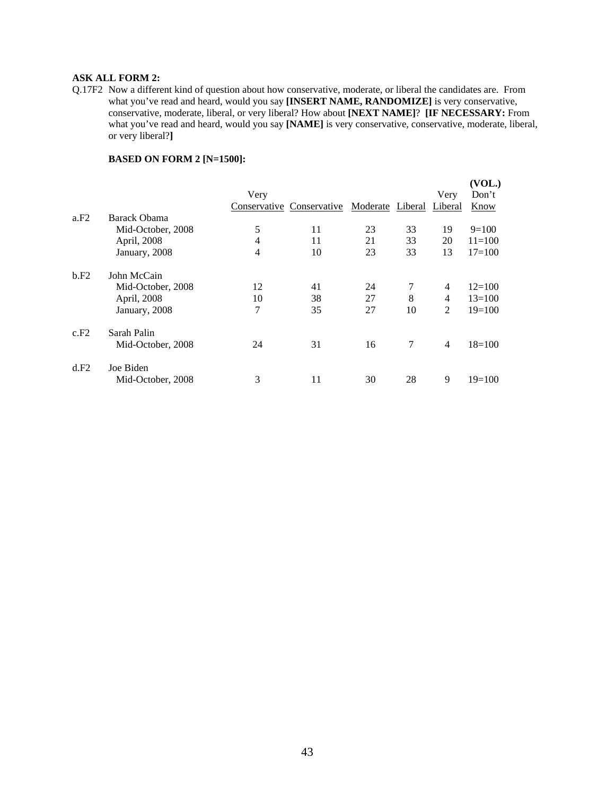#### **ASK ALL FORM 2:**

Q.17F2 Now a different kind of question about how conservative, moderate, or liberal the candidates are. From what you've read and heard, would you say **[INSERT NAME, RANDOMIZE]** is very conservative, conservative, moderate, liberal, or very liberal? How about **[NEXT NAME]**? **[IF NECESSARY:** From what you've read and heard, would you say **[NAME]** is very conservative, conservative, moderate, liberal, or very liberal?**]** 

|      |                   |                |                           |                  |    |                | (VOL.)     |
|------|-------------------|----------------|---------------------------|------------------|----|----------------|------------|
|      |                   | Very           |                           |                  |    | Very           | Don't      |
|      |                   |                | Conservative Conservative | Moderate Liberal |    | Liberal        | Know       |
| a.F2 | Barack Obama      |                |                           |                  |    |                |            |
|      | Mid-October, 2008 | 5              | 11                        | 23               | 33 | 19             | $9=100$    |
|      | April, 2008       | 4              | 11                        | 21               | 33 | 20             | $11 = 100$ |
|      | January, 2008     | $\overline{4}$ | 10                        | 23               | 33 | 13             | $17 = 100$ |
| b.F2 | John McCain       |                |                           |                  |    |                |            |
|      | Mid-October, 2008 | 12             | 41                        | 24               |    | 4              | $12=100$   |
|      | April, 2008       | 10             | 38                        | 27               | 8  | 4              | $13=100$   |
|      | January, 2008     | 7              | 35                        | 27               | 10 | $\overline{2}$ | $19=100$   |
| c.F2 | Sarah Palin       |                |                           |                  |    |                |            |
|      | Mid-October, 2008 | 24             | 31                        | 16               | 7  | 4              | $18=100$   |
| d.F2 | Joe Biden         |                |                           |                  |    |                |            |
|      | Mid-October, 2008 | 3              | 11                        | 30               | 28 | 9              | $19=100$   |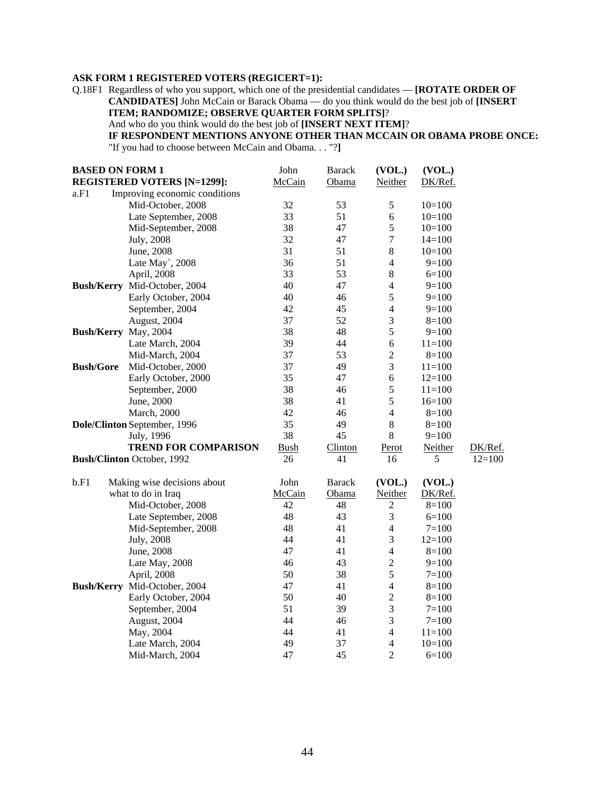### **ASK FORM 1 REGISTERED VOTERS (REGICERT=1):**

Q.18F1 Regardless of who you support, which one of the presidential candidates — **[ROTATE ORDER OF CANDIDATES]** John McCain or Barack Obama — do you think would do the best job of **[INSERT ITEM; RANDOMIZE; OBSERVE QUARTER FORM SPLITS]**?

And who do you think would do the best job of **[INSERT NEXT ITEM]**?

# **IF RESPONDENT MENTIONS ANYONE OTHER THAN MCCAIN OR OBAMA PROBE ONCE:**

"If you had to choose between McCain and Obama. . . "?**]** 

| <b>BASED ON FORM 1</b> |                                    | John        | <b>Barack</b> | (VOL.)         | (VOL.)     |          |
|------------------------|------------------------------------|-------------|---------------|----------------|------------|----------|
|                        | <b>REGISTERED VOTERS [N=1299]:</b> | McCain      | Obama         | Neither        | DK/Ref.    |          |
| a.F1                   | Improving economic conditions      |             |               |                |            |          |
|                        | Mid-October, 2008                  | 32          | 53            | $\sqrt{5}$     | $10=100$   |          |
|                        | Late September, 2008               | 33          | 51            | $\sqrt{6}$     | $10=100$   |          |
|                        | Mid-September, 2008                | 38          | 47            | 5              | $10=100$   |          |
|                        | July, 2008                         | 32          | 47            | $\overline{7}$ | $14=100$   |          |
|                        | June, 2008                         | 31          | 51            | $\,$ 8 $\,$    | $10=100$   |          |
|                        | Late May`, 2008                    | 36          | 51            | $\overline{4}$ | $9=100$    |          |
|                        | April, 2008                        | 33          | 53            | $\,$ 8 $\,$    | $6=100$    |          |
|                        | Bush/Kerry Mid-October, 2004       | 40          | 47            | $\overline{4}$ | $9=100$    |          |
|                        | Early October, 2004                | 40          | 46            | 5              | $9=100$    |          |
|                        | September, 2004                    | 42          | 45            | $\overline{4}$ | $9=100$    |          |
|                        | August, 2004                       | 37          | 52            | $\mathfrak{Z}$ | $8=100$    |          |
|                        | Bush/Kerry May, 2004               | 38          | 48            | 5              | $9=100$    |          |
|                        | Late March, 2004                   | 39          | 44            | 6              | $11=100$   |          |
|                        | Mid-March, 2004                    | 37          | 53            | $\sqrt{2}$     | $8 = 100$  |          |
| <b>Bush/Gore</b>       | Mid-October, 2000                  | 37          | 49            | 3              | $11 = 100$ |          |
|                        | Early October, 2000                | 35          | 47            | 6              | $12=100$   |          |
|                        | September, 2000                    | 38          | 46            | $\sqrt{5}$     | $11=100$   |          |
|                        | June, 2000                         | 38          | 41            | 5              | $16=100$   |          |
|                        | March, 2000                        | 42          | 46            | $\overline{4}$ | $8=100$    |          |
|                        | Dole/Clinton September, 1996       | 35          | 49            | $\,8\,$        | $8=100$    |          |
|                        | July, 1996                         | 38          | 45            | $\,8\,$        | $9=100$    |          |
|                        | <b>TREND FOR COMPARISON</b>        | <b>Bush</b> | Clinton       | Perot          | Neither    | DK/Ref.  |
|                        | <b>Bush/Clinton October, 1992</b>  | 26          | 41            | 16             | 5          | $12=100$ |
| b.F1                   | Making wise decisions about        | John        | <b>Barack</b> | (VOL.)         | (VOL.)     |          |
|                        | what to do in Iraq                 | McCain      | Obama         | Neither        | DK/Ref.    |          |
|                        | Mid-October, 2008                  | 42          | 48            | $\overline{c}$ | $8=100$    |          |
|                        | Late September, 2008               | 48          | 43            | 3              | $6=100$    |          |
|                        | Mid-September, 2008                | 48          | 41            | $\overline{4}$ | $7 = 100$  |          |
|                        | July, 2008                         | 44          | 41            | $\mathfrak{Z}$ | $12=100$   |          |
|                        | June, 2008                         | 47          | 41            | $\overline{4}$ | $8=100$    |          |
|                        | Late May, 2008                     | 46          | 43            | $\overline{c}$ | $9=100$    |          |
|                        | April, 2008                        | 50          | 38            | 5              | $7 = 100$  |          |
|                        | Bush/Kerry Mid-October, 2004       | 47          | 41            | $\overline{4}$ | $8=100$    |          |
|                        | Early October, 2004                | 50          | 40            | $\sqrt{2}$     | $8=100$    |          |
|                        | September, 2004                    | 51          | 39            | 3              | $7 = 100$  |          |
|                        | August, 2004                       | 44          | 46            | $\mathfrak 3$  | $7 = 100$  |          |
|                        | May, 2004                          | 44          | 41            | $\overline{4}$ | $11 = 100$ |          |
|                        | Late March, 2004                   | 49          | 37            | $\overline{4}$ | $10=100$   |          |
|                        | Mid-March, 2004                    | 47          | 45            | $\overline{2}$ | $6=100$    |          |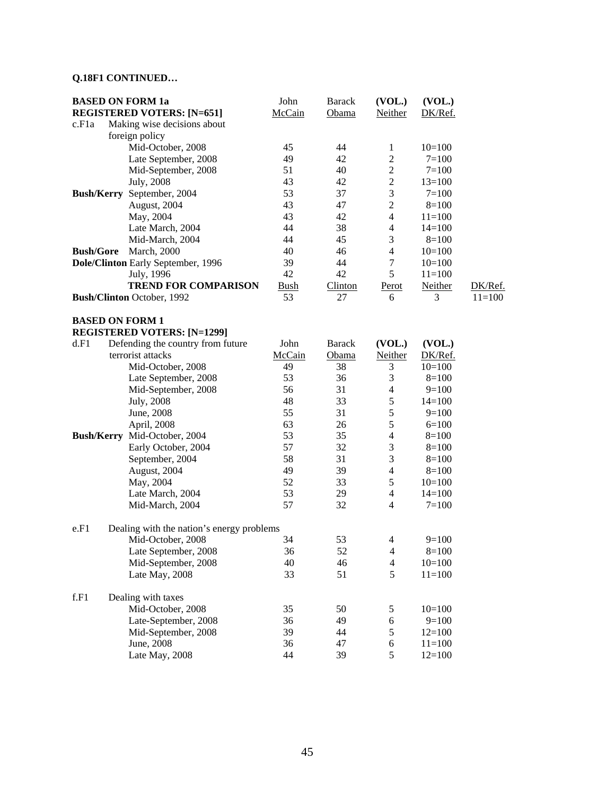# **Q.18F1 CONTINUED…**

|                  | <b>BASED ON FORM 1a</b>                   | John        | <b>Barack</b>  | (VOL.)                   | (VOL.)    |            |
|------------------|-------------------------------------------|-------------|----------------|--------------------------|-----------|------------|
|                  | <b>REGISTERED VOTERS: [N=651]</b>         | McCain      | Obama          | Neither                  | DK/Ref.   |            |
| c.F1a            | Making wise decisions about               |             |                |                          |           |            |
|                  | foreign policy                            |             |                |                          |           |            |
|                  | Mid-October, 2008                         | 45          | 44             | $\mathbf{1}$             | $10=100$  |            |
|                  | Late September, 2008                      | 49          | 42             | $\mathbf{2}$             | $7 = 100$ |            |
|                  | Mid-September, 2008                       | 51          | 40             | $\sqrt{2}$               | $7 = 100$ |            |
|                  | <b>July</b> , 2008                        | 43          | 42             | $\overline{2}$           | $13=100$  |            |
|                  | Bush/Kerry September, 2004                | 53          | 37             | $\mathfrak{Z}$           | $7 = 100$ |            |
|                  | August, 2004                              | 43          | 47             | $\overline{2}$           | $8=100$   |            |
|                  | May, 2004                                 | 43          | 42             | $\overline{4}$           | $11=100$  |            |
|                  | Late March, 2004                          | 44          | 38             | 4                        | $14=100$  |            |
|                  | Mid-March, 2004                           | 44          | 45             | 3                        | $8 = 100$ |            |
| <b>Bush/Gore</b> | <b>March</b> , 2000                       | 40          | 46             | $\overline{4}$           | $10=100$  |            |
|                  | Dole/Clinton Early September, 1996        | 39          | 44             | $\tau$                   | $10=100$  |            |
|                  | July, 1996                                | 42          | 42             | 5                        | $11=100$  |            |
|                  | <b>TREND FOR COMPARISON</b>               | <u>Bush</u> | <b>Clinton</b> | Perot                    | Neither   | DK/Ref.    |
|                  | Bush/Clinton October, 1992                | 53          | 27             | 6                        | 3         | $11 = 100$ |
|                  |                                           |             |                |                          |           |            |
|                  | <b>BASED ON FORM 1</b>                    |             |                |                          |           |            |
|                  | <b>REGISTERED VOTERS: [N=1299]</b>        |             |                |                          |           |            |
| d.F1             | Defending the country from future         | John        | <b>Barack</b>  | (VOL.)                   | (VOL.)    |            |
|                  | terrorist attacks                         | McCain      | Obama          | <b>Neither</b>           | DK/Ref.   |            |
|                  | Mid-October, 2008                         | 49          | 38             | 3                        | $10=100$  |            |
|                  | Late September, 2008                      | 53          | 36             | $\mathfrak{Z}$           | $8=100$   |            |
|                  | Mid-September, 2008                       | 56          | 31             | $\overline{4}$           | $9=100$   |            |
|                  | July, 2008                                | 48          | 33             | 5                        | $14=100$  |            |
|                  | June, 2008                                | 55          | 31             | 5                        | $9=100$   |            |
|                  | April, 2008                               | 63          | 26             | 5                        | $6=100$   |            |
|                  |                                           |             |                |                          |           |            |
|                  | Bush/Kerry Mid-October, 2004              | 53          | 35             | $\overline{\mathcal{L}}$ | $8=100$   |            |
|                  | Early October, 2004                       | 57          | 32             | $\mathfrak 3$            | $8=100$   |            |
|                  | September, 2004                           | 58          | 31             | $\mathfrak{Z}$           | $8=100$   |            |
|                  | August, 2004                              | 49          | 39             | $\overline{\mathcal{L}}$ | $8=100$   |            |
|                  | May, 2004                                 | 52          | 33             | $\sqrt{5}$               | $10=100$  |            |
|                  | Late March, 2004                          | 53          | 29             | $\overline{4}$           | $14=100$  |            |
|                  | Mid-March, 2004                           | 57          | 32             | $\overline{4}$           | $7 = 100$ |            |
|                  |                                           |             |                |                          |           |            |
| e.F1             | Dealing with the nation's energy problems |             |                |                          |           |            |
|                  | Mid-October, 2008                         | 34          | 53             | $\overline{4}$           | $9=100$   |            |
|                  | Late September, 2008                      | 36          | 52             | $\overline{4}$           | $8 = 100$ |            |
|                  | Mid-September, 2008                       | 40          | 46             | 4                        | $10=100$  |            |
|                  | Late May, 2008                            | 33          | 51             | 5                        | $11=100$  |            |
| f.F1             | Dealing with taxes                        |             |                |                          |           |            |
|                  | Mid-October, 2008                         | 35          | 50             | 5                        | $10=100$  |            |
|                  | Late-September, 2008                      | 36          | 49             | 6                        | $9=100$   |            |
|                  | Mid-September, 2008                       | 39          | 44             | $\sqrt{5}$               | $12=100$  |            |
|                  | June, 2008                                | 36          | 47             | 6                        | $11=100$  |            |
|                  | Late May, 2008                            | 44          | 39             | 5                        | $12=100$  |            |
|                  |                                           |             |                |                          |           |            |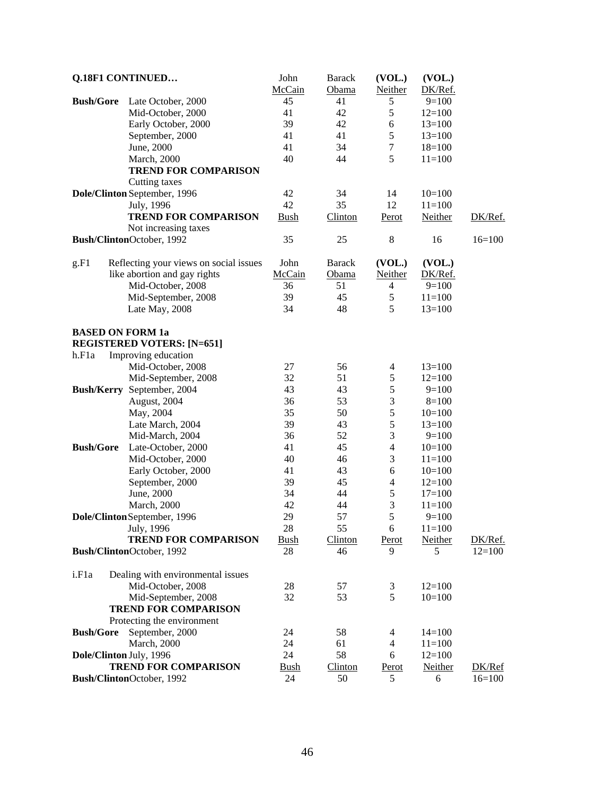|                         | Q.18F1 CONTINUED                       | John              | <b>Barack</b>  | (VOL.)                  | (VOL.)     |          |
|-------------------------|----------------------------------------|-------------------|----------------|-------------------------|------------|----------|
|                         |                                        | McCain            | Obama          | Neither                 | DK/Ref.    |          |
| <b>Bush/Gore</b>        | Late October, 2000                     | 45                | 41             | 5                       | $9=100$    |          |
|                         | Mid-October, 2000                      | 41                | 42             | 5                       | $12=100$   |          |
|                         | Early October, 2000                    | 39                | 42             | 6                       | $13=100$   |          |
|                         | September, 2000                        | 41                | 41             | 5                       | $13=100$   |          |
|                         | June, 2000                             | 41                | 34             | $\tau$                  | $18=100$   |          |
|                         | <b>March</b> , 2000                    | 40                | 44             | 5                       | $11 = 100$ |          |
|                         | <b>TREND FOR COMPARISON</b>            |                   |                |                         |            |          |
|                         | Cutting taxes                          |                   |                |                         |            |          |
|                         |                                        | 42                |                |                         |            |          |
|                         | Dole/Clinton September, 1996           | 42                | 34             | 14                      | $10=100$   |          |
|                         | July, 1996                             |                   | 35             | 12                      | $11=100$   |          |
|                         | <b>TREND FOR COMPARISON</b>            | <b>Bush</b>       | <b>Clinton</b> | Perot                   | Neither    | DK/Ref.  |
|                         | Not increasing taxes                   |                   |                |                         |            |          |
|                         | Bush/ClintonOctober, 1992              | 35                | 25             | 8                       | 16         | $16=100$ |
| g.F1                    | Reflecting your views on social issues | John              | <b>Barack</b>  | (VOL.)                  | (VOL.)     |          |
|                         | like abortion and gay rights           | McCain            | Obama          | Neither                 | DK/Ref.    |          |
|                         | Mid-October, 2008                      | 36                | 51             | 4                       | $9=100$    |          |
|                         | Mid-September, 2008                    | 39                | 45             | $\mathfrak s$           | $11=100$   |          |
|                         | Late May, 2008                         | 34                | 48             | 5                       | $13=100$   |          |
| <b>BASED ON FORM 1a</b> |                                        |                   |                |                         |            |          |
|                         | <b>REGISTERED VOTERS: [N=651]</b>      |                   |                |                         |            |          |
| h.F1a                   | Improving education                    |                   |                |                         |            |          |
|                         | Mid-October, 2008                      | 27                | 56             | 4                       | $13=100$   |          |
|                         | Mid-September, 2008                    | 32                | 51             | 5                       | $12=100$   |          |
|                         |                                        | 43                | 43             | 5                       |            |          |
|                         | Bush/Kerry September, 2004             |                   |                |                         | $9=100$    |          |
|                         | August, 2004                           | 36                | 53             | 3                       | $8=100$    |          |
|                         | May, 2004                              | 35                | 50             | 5                       | $10=100$   |          |
|                         | Late March, 2004                       | 39                | 43             | 5                       | $13=100$   |          |
|                         | Mid-March, 2004                        | 36                | 52             | 3                       | $9=100$    |          |
| <b>Bush/Gore</b>        | Late-October, 2000                     | 41                | 45             | $\overline{4}$          | $10=100$   |          |
|                         | Mid-October, 2000                      | 40                | 46             | 3                       | $11=100$   |          |
|                         | Early October, 2000                    | 41                | 43             | 6                       | $10=100$   |          |
|                         | September, 2000                        | 39                | 45             | $\overline{\mathbf{4}}$ | $12=100$   |          |
|                         | June, 2000                             | 34                | 44             | $\mathfrak s$           | $17=100$   |          |
|                         | <b>March</b> , 2000                    | 42                | 44             | $\mathfrak{Z}$          | $11 = 100$ |          |
|                         | Dole/Clinton September, 1996           | 29                | 57             | 5                       | $9=100$    |          |
|                         | July, 1996                             | 28                | 55             | 6                       | $11 = 100$ |          |
|                         | <b>TREND FOR COMPARISON</b>            | <b>Bush</b>       | <b>Clinton</b> | Perot                   | Neither    | DK/Ref.  |
|                         | Bush/ClintonOctober, 1992              | 28                | 46             | 9                       | 5          | $12=100$ |
| i.F1a                   | Dealing with environmental issues      |                   |                |                         |            |          |
|                         | Mid-October, 2008                      | 28                | 57             | 3                       | $12=100$   |          |
|                         | Mid-September, 2008                    | 32                | 53             | 5                       | $10=100$   |          |
|                         | <b>TREND FOR COMPARISON</b>            |                   |                |                         |            |          |
|                         | Protecting the environment             |                   |                |                         |            |          |
| <b>Bush/Gore</b>        | September, 2000                        | 24                | 58             | 4                       | $14=100$   |          |
|                         | March, 2000                            | 24                | 61             | 4                       | $11=100$   |          |
| Dole/Clinton July, 1996 |                                        | 24                | 58             | 6                       | $12=100$   |          |
|                         | <b>TREND FOR COMPARISON</b>            |                   |                |                         | Neither    |          |
|                         |                                        | <u>Bush</u><br>24 | <b>Clinton</b> | Perot<br>5              |            | DK/Ref   |
|                         | Bush/ClintonOctober, 1992              |                   | 50             |                         | 6          | $16=100$ |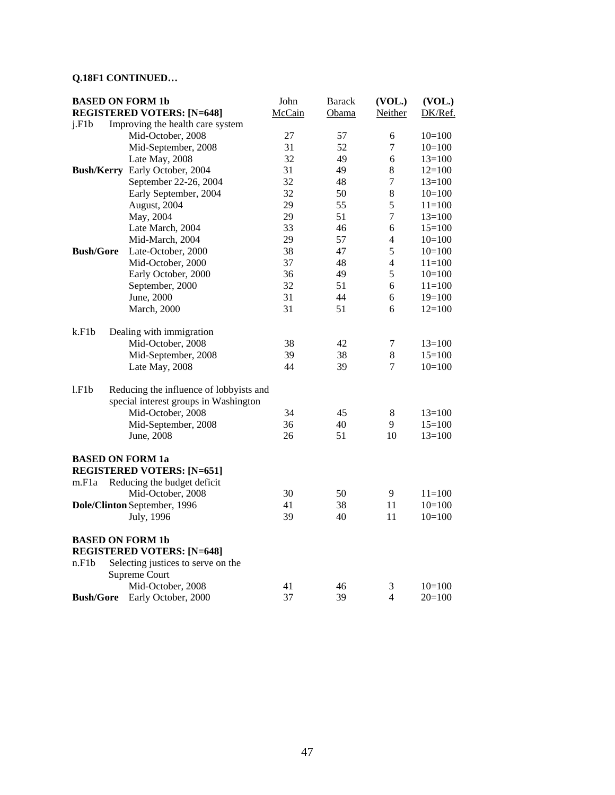# **Q.18F1 CONTINUED…**

| <b>BASED ON FORM 1b</b> |                                         | John   | <b>Barack</b> | (VOL.)         | (VOL.)     |
|-------------------------|-----------------------------------------|--------|---------------|----------------|------------|
|                         | <b>REGISTERED VOTERS: [N=648]</b>       | McCain | Obama         | Neither        | DK/Ref.    |
| i.F1b                   | Improving the health care system        |        |               |                |            |
|                         | Mid-October, 2008                       | 27     | 57            | 6              | $10=100$   |
|                         | Mid-September, 2008                     | 31     | 52            | $\tau$         | $10=100$   |
|                         | Late May, 2008                          | 32     | 49            | 6              | $13=100$   |
|                         | Bush/Kerry Early October, 2004          | 31     | 49            | $\,8\,$        | $12=100$   |
|                         | September 22-26, 2004                   | 32     | 48            | $\overline{7}$ | $13=100$   |
|                         | Early September, 2004                   | 32     | 50            | 8              | $10=100$   |
|                         | August, 2004                            | 29     | 55            | 5              | $11 = 100$ |
|                         | May, 2004                               | 29     | 51            | $\tau$         | $13=100$   |
|                         | Late March, 2004                        | 33     | 46            | 6              | $15=100$   |
|                         | Mid-March, 2004                         | 29     | 57            | 4              | $10=100$   |
| <b>Bush/Gore</b>        | Late-October, 2000                      | 38     | 47            | 5              | $10=100$   |
|                         | Mid-October, 2000                       | 37     | 48            | $\overline{4}$ | $11=100$   |
|                         | Early October, 2000                     | 36     | 49            | 5              | $10=100$   |
|                         | September, 2000                         | 32     | 51            | 6              | $11=100$   |
|                         | June, 2000                              | 31     | 44            | 6              | $19=100$   |
|                         | March, 2000                             | 31     | 51            | 6              | $12=100$   |
|                         |                                         |        |               |                |            |
| k.F1b                   | Dealing with immigration                |        |               |                |            |
|                         | Mid-October, 2008                       | 38     | 42            | 7              | $13=100$   |
|                         | Mid-September, 2008                     | 39     | 38            | 8              | $15=100$   |
|                         | Late May, 2008                          | 44     | 39            | 7              | $10=100$   |
|                         |                                         |        |               |                |            |
| 1.F1b                   | Reducing the influence of lobbyists and |        |               |                |            |
|                         | special interest groups in Washington   |        |               |                |            |
|                         | Mid-October, 2008                       | 34     | 45            | $8\,$          | $13=100$   |
|                         | Mid-September, 2008                     | 36     | 40            | 9              | $15=100$   |
|                         | June, 2008                              | 26     | 51            | 10             | $13=100$   |
| <b>BASED ON FORM 1a</b> |                                         |        |               |                |            |
|                         | <b>REGISTERED VOTERS: [N=651]</b>       |        |               |                |            |
| m.F <sub>1</sub> a      | Reducing the budget deficit             |        |               |                |            |
|                         | Mid-October, 2008                       | 30     | 50            | 9              | $11 = 100$ |
|                         | Dole/Clinton September, 1996            | 41     | 38            | 11             | $10=100$   |
|                         | July, 1996                              | 39     | 40            | 11             | $10=100$   |
|                         |                                         |        |               |                |            |
|                         | <b>BASED ON FORM 1b</b>                 |        |               |                |            |
|                         | <b>REGISTERED VOTERS: [N=648]</b>       |        |               |                |            |
| n.F1b                   | Selecting justices to serve on the      |        |               |                |            |
|                         | Supreme Court                           |        |               |                |            |
|                         | Mid-October, 2008                       | 41     | 46            | 3              | $10=100$   |
| <b>Bush/Gore</b>        | Early October, 2000                     | 37     | 39            | 4              | $20=100$   |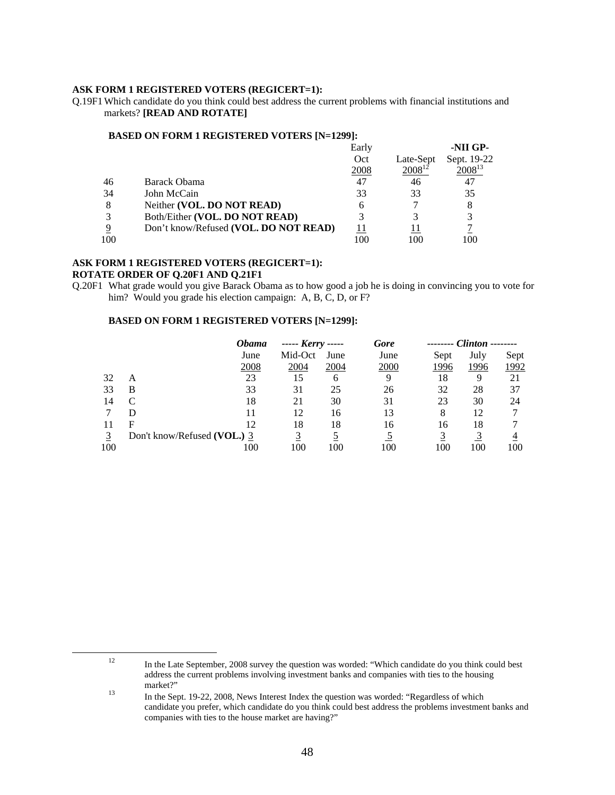#### **ASK FORM 1 REGISTERED VOTERS (REGICERT=1):**

Q.19F1 Which candidate do you think could best address the current problems with financial institutions and markets? **[READ AND ROTATE]** 

#### **BASED ON FORM 1 REGISTERED VOTERS [N=1299]:**

|     |                                       | Early       |             | -NII GP-    |
|-----|---------------------------------------|-------------|-------------|-------------|
|     |                                       | Oct         | Late-Sept   | Sept. 19-22 |
|     |                                       | <u>2008</u> | $2008^{12}$ | $2008^{13}$ |
| 46  | Barack Obama                          | 47          | 46          | 47          |
| 34  | John McCain                           | 33          | 33          | 35          |
| 8   | Neither (VOL. DO NOT READ)            | h           |             | 8           |
| 3   | Both/Either (VOL. DO NOT READ)        |             |             | 3           |
| 9   | Don't know/Refused (VOL. DO NOT READ) |             |             |             |
| 100 |                                       |             | 100         | 100         |

#### **ASK FORM 1 REGISTERED VOTERS (REGICERT=1): ROTATE ORDER OF Q.20F1 AND Q.21F1**

Q.20F1 What grade would you give Barack Obama as to how good a job he is doing in convincing you to vote for him? Would you grade his election campaign: A, B, C, D, or F?

#### **BASED ON FORM 1 REGISTERED VOTERS [N=1299]:**

|     |                             | Obama | $---$ Kerry $---$ |      | Gore | -------- | $Clinton$ ------- |      |
|-----|-----------------------------|-------|-------------------|------|------|----------|-------------------|------|
|     |                             | June  | Mid-Oct           | June | June | Sept     | July              | Sept |
|     |                             | 2008  | 2004              | 2004 | 2000 | 1996     | 1996              | 1992 |
| 32  | А                           | 23    | 15                | 6    | Q    | 18       | 9                 |      |
| 33  | В                           | 33    | 31                | 25   | 26   | 32       | 28                | 37   |
| 14  |                             | 18    | 21                | 30   | 31   | 23       | 30                | 24   |
|     |                             |       | 12                | 16   | 13   | 8        | 12                |      |
|     | F                           | 12    | 18                | 18   | 16   | 16       | 18                |      |
|     | Don't know/Refused (VOL.) 3 |       |                   |      |      |          |                   |      |
| 100 |                             | 100   | 100               | 100  | 100  | 100      | 100               | 100  |

<sup>&</sup>lt;sup>12</sup> In the Late September, 2008 survey the question was worded: "Which candidate do you think could best address the current problems involving investment banks and companies with ties to the housing

<sup>13</sup> In the Sept. 19-22, 2008, News Interest Index the question was worded: "Regardless of which candidate you prefer, which candidate do you think could best address the problems investment banks and companies with ties to the house market are having?"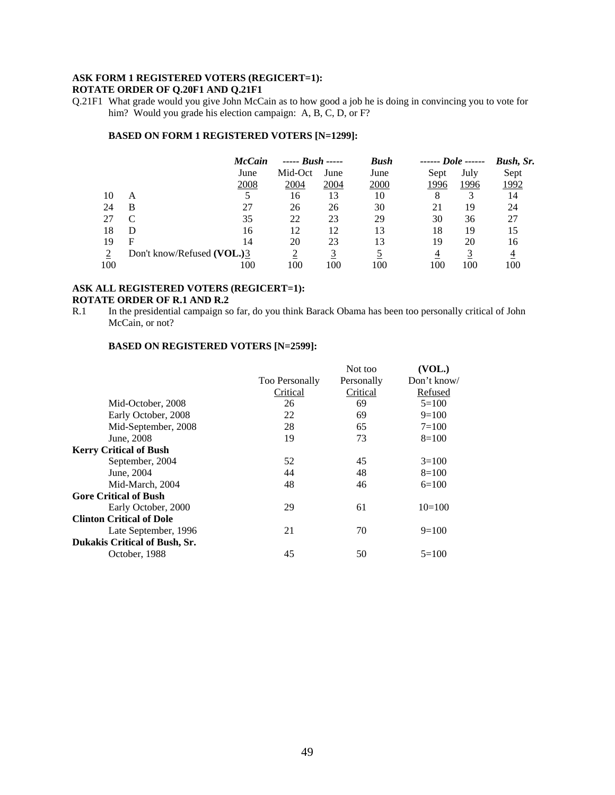# **ASK FORM 1 REGISTERED VOTERS (REGICERT=1):**

#### **ROTATE ORDER OF Q.20F1 AND Q.21F1**

Q.21F1 What grade would you give John McCain as to how good a job he is doing in convincing you to vote for him? Would you grade his election campaign: A, B, C, D, or F?

#### **BASED ON FORM 1 REGISTERED VOTERS [N=1299]:**

|     |                            | <b>McCain</b> | $--- Bush$ |             | <b>Bush</b> | ------ Dole ------ |      | Bush, Sr. |
|-----|----------------------------|---------------|------------|-------------|-------------|--------------------|------|-----------|
|     |                            | June          | Mid-Oct    | June        | June        | Sept               | July | Sept      |
|     |                            | 2008          | 2004       | <u>2004</u> | 2000        | 1996               | 1996 | 1992      |
| 10  | A                          |               | 16         | 13          | 10          | 8                  |      | 14        |
| 24  | В                          | 27            | 26         | 26          | 30          | 21                 | 19   | 24        |
| 27  |                            | 35            | 22         | 23          | 29          | 30                 | 36   | 27        |
| 18  | D                          | 16            | 12         | 12          | 13          | 18                 | 19   | 15        |
| 19  | F                          | 14            | 20         | 23          | 13          | 19                 | 20   | 16        |
|     | Don't know/Refused (VOL.)3 |               |            |             |             | 4                  |      |           |
| 100 |                            | 100           | 100        | 100         | 100         | 100                | 100  | 100       |

#### **ASK ALL REGISTERED VOTERS (REGICERT=1): ROTATE ORDER OF R.1 AND R.2**

#### **BASED ON REGISTERED VOTERS [N=2599]:**

|                                      |                       | Not too    | (VOL.)      |
|--------------------------------------|-----------------------|------------|-------------|
|                                      | <b>Too Personally</b> | Personally | Don't know/ |
|                                      | Critical              | Critical   | Refused     |
| Mid-October, 2008                    | 26                    | 69         | $5=100$     |
| Early October, 2008                  | 22                    | 69         | $9=100$     |
| Mid-September, 2008                  | 28                    | 65         | $7 = 100$   |
| June, 2008                           | 19                    | 73         | $8=100$     |
| <b>Kerry Critical of Bush</b>        |                       |            |             |
| September, 2004                      | 52                    | 45         | $3=100$     |
| June, 2004                           | 44                    | 48         | $8=100$     |
| Mid-March, 2004                      | 48                    | 46         | $6=100$     |
| <b>Gore Critical of Bush</b>         |                       |            |             |
| Early October, 2000                  | 29                    | 61         | $10=100$    |
| <b>Clinton Critical of Dole</b>      |                       |            |             |
| Late September, 1996                 | 21                    | 70         | $9=100$     |
| <b>Dukakis Critical of Bush, Sr.</b> |                       |            |             |
| October, 1988                        | 45                    | 50         | $5=100$     |
|                                      |                       |            |             |

R.1 In the presidential campaign so far, do you think Barack Obama has been too personally critical of John McCain, or not?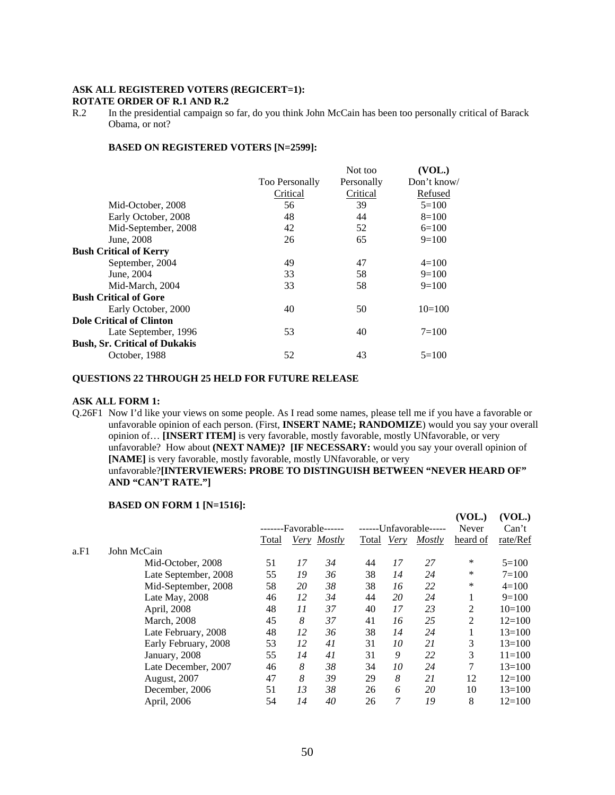#### **ASK ALL REGISTERED VOTERS (REGICERT=1): ROTATE ORDER OF R.1 AND R.2**

R.2 In the presidential campaign so far, do you think John McCain has been too personally critical of Barack Obama, or not?

#### **BASED ON REGISTERED VOTERS [N=2599]:**

|                       | Not too    | (VOL.)      |
|-----------------------|------------|-------------|
| <b>Too Personally</b> | Personally | Don't know/ |
| Critical              | Critical   | Refused     |
| 56                    | 39         | $5=100$     |
| 48                    | 44         | $8=100$     |
| 42                    | 52         | $6=100$     |
| 26                    | 65         | $9=100$     |
|                       |            |             |
| 49                    | 47         | $4=100$     |
| 33                    | 58         | $9=100$     |
| 33                    | 58         | $9=100$     |
|                       |            |             |
| 40                    | 50         | $10=100$    |
|                       |            |             |
| 53                    | 40         | $7 = 100$   |
|                       |            |             |
| 52                    | 43         | $5=100$     |
|                       |            |             |

#### **QUESTIONS 22 THROUGH 25 HELD FOR FUTURE RELEASE**

#### **ASK ALL FORM 1:**

Q.26F1 Now I'd like your views on some people. As I read some names, please tell me if you have a favorable or unfavorable opinion of each person. (First, **INSERT NAME; RANDOMIZE**) would you say your overall opinion of… **[INSERT ITEM]** is very favorable, mostly favorable, mostly UNfavorable, or very unfavorable? How about **(NEXT NAME)? [IF NECESSARY:** would you say your overall opinion of **[NAME]** is very favorable, mostly favorable, mostly UNfavorable, or very unfavorable?**[INTERVIEWERS: PROBE TO DISTINGUISH BETWEEN "NEVER HEARD OF" AND "CAN'T RATE."]**

#### **BASED ON FORM 1 [N=1516]:**

|      |                      |       |    |                        |            |    |                        | (VOL.)   | (VOL.)     |
|------|----------------------|-------|----|------------------------|------------|----|------------------------|----------|------------|
|      |                      |       |    | -------Favorable------ |            |    | ------Unfavorable----- | Never    | Can't      |
|      |                      | Total |    | Very Mostly            | Total Very |    | Mostly                 | heard of | rate/Ref   |
| a.F1 | John McCain          |       |    |                        |            |    |                        |          |            |
|      | Mid-October, 2008    | 51    | 17 | 34                     | 44         | 17 | 27                     | $\ast$   | $5=100$    |
|      | Late September, 2008 | 55    | 19 | 36                     | 38         | 14 | 24                     | $\ast$   | $7 = 100$  |
|      | Mid-September, 2008  | 58    | 20 | 38                     | 38         | 16 | 22                     | $\ast$   | $4=100$    |
|      | Late May, 2008       | 46    | 12 | 34                     | 44         | 20 | 24                     |          | $9=100$    |
|      | April, 2008          | 48    | 11 | 37                     | 40         | 17 | 23                     | 2        | $10=100$   |
|      | March, 2008          | 45    | 8  | 37                     | 41         | 16 | 25                     | 2        | $12=100$   |
|      | Late February, 2008  | 48    | 12 | 36                     | 38         | 14 | 24                     |          | $13 = 100$ |
|      | Early February, 2008 | 53    | 12 | 41                     | 31         | 10 | 21                     | 3        | $13 = 100$ |
|      | January, 2008        | 55    | 14 | 41                     | 31         | 9  | 22                     | 3        | $11 = 100$ |
|      | Late December, 2007  | 46    | 8  | 38                     | 34         | 10 | 24                     | 7        | $13 = 100$ |
|      | August, 2007         | 47    | 8  | 39                     | 29         | 8  | 21                     | 12       | $12=100$   |
|      | December, 2006       | 51    | 13 | 38                     | 26         | 6  | 20                     | 10       | $13 = 100$ |
|      | April, 2006          | 54    | 14 | 40                     | 26         | 7  | 19                     | 8        | $12=100$   |
|      |                      |       |    |                        |            |    |                        |          |            |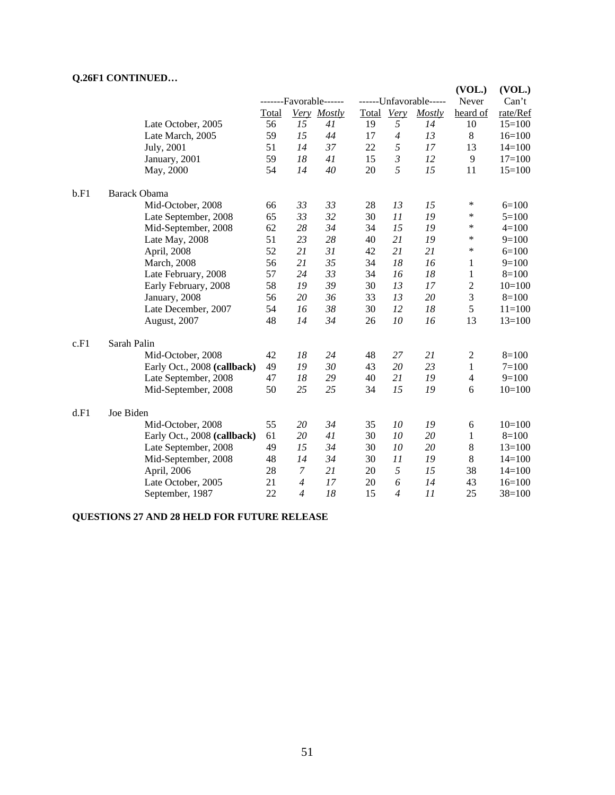# **Q.26F1 CONTINUED…**

|      | $\sim$                      |              | -------Favorable------ |             |            |                | ------Unfavorable----- | (VOL.)<br>Never | (VOL.)<br>Can't |
|------|-----------------------------|--------------|------------------------|-------------|------------|----------------|------------------------|-----------------|-----------------|
|      |                             | <b>Total</b> |                        | Very Mostly | Total Very |                | Mostly                 | heard of        | rate/Ref        |
|      | Late October, 2005          | 56           | 15                     | 41          | 19         | 5              | 14                     | 10              | $15=100$        |
|      | Late March, 2005            | 59           | 15                     | 44          | 17         | $\overline{4}$ | 13                     | 8               | $16=100$        |
|      | July, 2001                  | 51           | 14                     | 37          | 22         | 5              | 17                     | 13              | $14=100$        |
|      | January, 2001               | 59           | 18                     | 41          | 15         | $\mathfrak{Z}$ | 12                     | 9               | $17=100$        |
|      | May, 2000                   | 54           | 14                     | 40          | 20         | 5              | 15                     | 11              | $15=100$        |
| b.F1 | <b>Barack Obama</b>         |              |                        |             |            |                |                        |                 |                 |
|      | Mid-October, 2008           | 66           | 33                     | 33          | 28         | 13             | 15                     | $\ast$          | $6=100$         |
|      | Late September, 2008        | 65           | 33                     | 32          | 30         | 11             | 19                     | $\ast$          | $5=100$         |
|      | Mid-September, 2008         | 62           | 28                     | 34          | 34         | 15             | 19                     | $\ast$          | $4 = 100$       |
|      | Late May, 2008              | 51           | 23                     | 28          | 40         | 21             | 19                     | $\ast$          | $9=100$         |
|      | April, 2008                 | 52           | 21                     | 31          | 42         | 21             | 21                     | $\ast$          | $6=100$         |
|      | March, 2008                 | 56           | 21                     | 35          | 34         | 18             | 16                     | 1               | $9=100$         |
|      | Late February, 2008         | 57           | 24                     | 33          | 34         | 16             | 18                     | $\mathbf{1}$    | $8=100$         |
|      | Early February, 2008        | 58           | 19                     | 39          | 30         | 13             | 17                     | $\overline{c}$  | $10=100$        |
|      | January, 2008               | 56           | 20                     | 36          | 33         | 13             | 20                     | $\mathfrak{Z}$  | $8=100$         |
|      | Late December, 2007         | 54           | 16                     | 38          | 30         | 12             | 18                     | 5               | $11=100$        |
|      | August, 2007                | 48           | 14                     | 34          | 26         | 10             | 16                     | 13              | $13=100$        |
| c.F1 | Sarah Palin                 |              |                        |             |            |                |                        |                 |                 |
|      | Mid-October, 2008           | 42           | 18                     | 24          | 48         | 27             | 21                     | $\mathbf{2}$    | $8 = 100$       |
|      | Early Oct., 2008 (callback) | 49           | 19                     | 30          | 43         | 20             | 23                     | $\mathbf{1}$    | $7 = 100$       |
|      | Late September, 2008        | 47           | 18                     | 29          | 40         | 21             | 19                     | $\overline{4}$  | $9=100$         |
|      | Mid-September, 2008         | 50           | 25                     | 25          | 34         | 15             | 19                     | 6               | $10=100$        |
| d.F1 | Joe Biden                   |              |                        |             |            |                |                        |                 |                 |
|      | Mid-October, 2008           | 55           | 20                     | 34          | 35         | 10             | 19                     | 6               | $10=100$        |
|      | Early Oct., 2008 (callback) | 61           | 20                     | 41          | 30         | 10             | 20                     | 1               | $8=100$         |
|      | Late September, 2008        | 49           | 15                     | 34          | 30         | 10             | 20                     | 8               | $13=100$        |
|      | Mid-September, 2008         | 48           | 14                     | 34          | 30         | 11             | 19                     | 8               | $14=100$        |
|      | April, 2006                 | 28           | $\boldsymbol{7}$       | 21          | 20         | 5              | 15                     | 38              | $14=100$        |
|      | Late October, 2005          | 21           | $\overline{4}$         | 17          | 20         | 6              | 14                     | 43              | $16=100$        |
|      | September, 1987             | 22           | $\overline{4}$         | 18          | 15         | $\overline{4}$ | 11                     | 25              | $38=100$        |

# **QUESTIONS 27 AND 28 HELD FOR FUTURE RELEASE**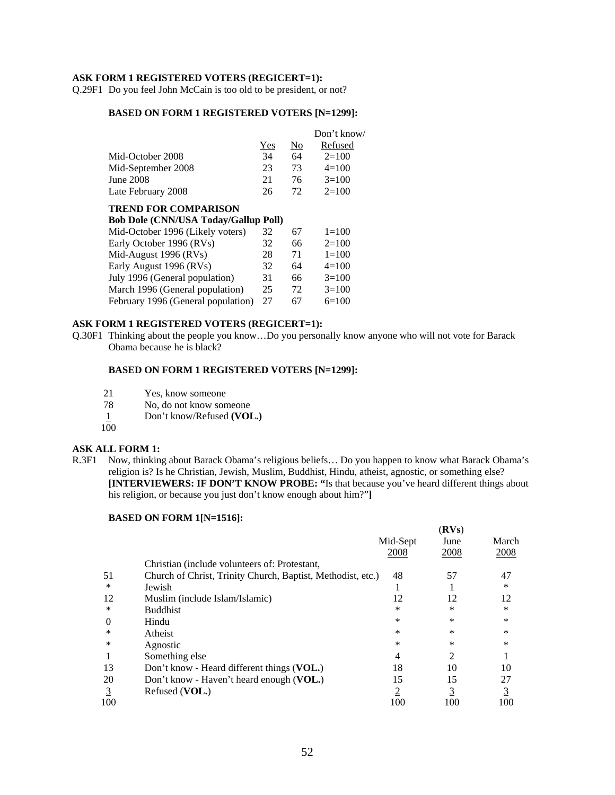#### **ASK FORM 1 REGISTERED VOTERS (REGICERT=1):**

Q.29F1 Do you feel John McCain is too old to be president, or not?

#### **BASED ON FORM 1 REGISTERED VOTERS [N=1299]:**

|     |     | Don't know/ |
|-----|-----|-------------|
| Yes | No  | Refused     |
| 34  | 64  | $2=100$     |
| 23  | 73  | $4=100$     |
| 21  | 76  | $3=100$     |
| 26  | 72. | $2=100$     |
|     |     |             |

#### **TREND FOR COMPARISON**

| <b>Bob Dole (CNN/USA Today/Gallup Poll)</b> |    |    |           |
|---------------------------------------------|----|----|-----------|
| Mid-October 1996 (Likely voters)            | 32 | 67 | $1=100$   |
| Early October 1996 (RVs)                    | 32 | 66 | $2=100$   |
| Mid-August 1996 (RVs)                       | 28 | 71 | $1 = 100$ |
| Early August 1996 (RVs)                     | 32 | 64 | $4=100$   |
| July 1996 (General population)              | 31 | 66 | $3=100$   |
| March 1996 (General population)             | 25 | 72 | $3=100$   |
| February 1996 (General population)          | 27 | 67 | $6=100$   |
|                                             |    |    |           |

#### **ASK FORM 1 REGISTERED VOTERS (REGICERT=1):**

Q.30F1 Thinking about the people you know…Do you personally know anyone who will not vote for Barack Obama because he is black?

#### **BASED ON FORM 1 REGISTERED VOTERS [N=1299]:**

- 21 Yes, know someone<br>
78 No. do not know son
- No, do not know someone
- 1 Don't know/Refused **(VOL.)**
- $100$

#### **ASK ALL FORM 1:**

R.3F1 Now, thinking about Barack Obama's religious beliefs… Do you happen to know what Barack Obama's religion is? Is he Christian, Jewish, Muslim, Buddhist, Hindu, atheist, agnostic, or something else? **[INTERVIEWERS: IF DON'T KNOW PROBE: "**Is that because you've heard different things about his religion, or because you just don't know enough about him?"**]** 

#### **BASED ON FORM 1[N=1516]:**

|          |                                                             |                | (RVs)    |                |
|----------|-------------------------------------------------------------|----------------|----------|----------------|
|          |                                                             | Mid-Sept       | June     | March          |
|          |                                                             | 2008           | 2008     | 2008           |
|          | Christian (include volunteers of: Protestant,               |                |          |                |
| 51       | Church of Christ, Trinity Church, Baptist, Methodist, etc.) | 48             | 57       | 47             |
| *        | Jewish                                                      |                |          | *              |
| 12       | Muslim (include Islam/Islamic)                              | 12             | 12       | 12             |
| *        | <b>Buddhist</b>                                             | *              | $\ast$   | *              |
| $\theta$ | Hindu                                                       | *              | $\ast$   | *              |
| ∗        | Atheist                                                     | *              | $\ast$   | *              |
| ∗        | Agnostic                                                    | *              | $\ast$   | *              |
|          | Something else                                              | 4              | 2        |                |
| 13       | Don't know - Heard different things (VOL.)                  | 18             | 10       | 10             |
| 20       | Don't know - Haven't heard enough (VOL.)                    | 15             | 15       | 27             |
| 3        | Refused (VOL.)                                              | $\overline{2}$ | <u>3</u> | $\overline{3}$ |
| 100      |                                                             | 100            | 100      | 100            |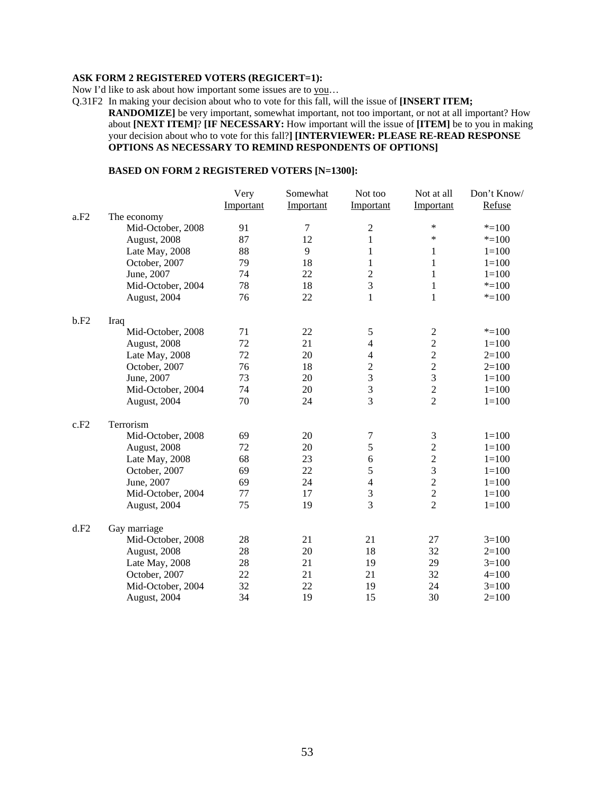#### **ASK FORM 2 REGISTERED VOTERS (REGICERT=1):**

Now I'd like to ask about how important some issues are to you…

Q.31F2 In making your decision about who to vote for this fall, will the issue of **[INSERT ITEM;** 

**RANDOMIZE]** be very important, somewhat important, not too important, or not at all important? How about **[NEXT ITEM]**? **[IF NECESSARY:** How important will the issue of **[ITEM]** be to you in making your decision about who to vote for this fall?**] [INTERVIEWER: PLEASE RE-READ RESPONSE OPTIONS AS NECESSARY TO REMIND RESPONDENTS OF OPTIONS]**

#### **BASED ON FORM 2 REGISTERED VOTERS [N=1300]:**

|      |                   | Very      | Somewhat  | Not too          | Not at all              | Don't Know/ |
|------|-------------------|-----------|-----------|------------------|-------------------------|-------------|
|      |                   | Important | Important | Important        | Important               | Refuse      |
| a.F2 | The economy       |           |           |                  |                         |             |
|      | Mid-October, 2008 | 91        | 7         | $\overline{2}$   | *                       | $* = 100$   |
|      | August, 2008      | 87        | 12        | 1                | $\ast$                  | $*=100$     |
|      | Late May, 2008    | 88        | 9         | 1                | 1                       | $1 = 100$   |
|      | October, 2007     | 79        | 18        | 1                | 1                       | $1 = 100$   |
|      | June, 2007        | 74        | 22        | $\overline{2}$   | 1                       | $1 = 100$   |
|      | Mid-October, 2004 | 78        | 18        | 3                | $\mathbf{1}$            | $* = 100$   |
|      | August, 2004      | 76        | 22        | 1                | 1                       | $* = 100$   |
| b.F2 | Iraq              |           |           |                  |                         |             |
|      | Mid-October, 2008 | 71        | 22        | $\sqrt{5}$       | $\boldsymbol{2}$        | $* = 100$   |
|      | August, 2008      | 72        | 21        | $\overline{4}$   | $\overline{c}$          | $1 = 100$   |
|      | Late May, 2008    | 72        | 20        | $\overline{4}$   | $\overline{2}$          | $2=100$     |
|      | October, 2007     | 76        | 18        | $\overline{2}$   | $\overline{c}$          | $2 = 100$   |
|      | June, 2007        | 73        | 20        | 3                | $\overline{\mathbf{3}}$ | $1 = 100$   |
|      | Mid-October, 2004 | 74        | 20        | $\overline{3}$   | $\overline{c}$          | $1 = 100$   |
|      | August, 2004      | 70        | 24        | $\overline{3}$   | $\overline{2}$          | $1 = 100$   |
| c.F2 | Terrorism         |           |           |                  |                         |             |
|      | Mid-October, 2008 | 69        | 20        | $\boldsymbol{7}$ | $\mathfrak{Z}$          | $1 = 100$   |
|      | August, 2008      | 72        | 20        | 5                | $\overline{2}$          | $1 = 100$   |
|      | Late May, 2008    | 68        | 23        | 6                | $\sqrt{2}$              | $1 = 100$   |
|      | October, 2007     | 69        | 22        | 5                | $\overline{3}$          | $1 = 100$   |
|      | June, 2007        | 69        | 24        | $\overline{4}$   | $\overline{c}$          | $1 = 100$   |
|      | Mid-October, 2004 | 77        | 17        | 3                | $\overline{c}$          | $1 = 100$   |
|      | August, 2004      | 75        | 19        | 3                | $\overline{2}$          | $1 = 100$   |
| d.F2 | Gay marriage      |           |           |                  |                         |             |
|      | Mid-October, 2008 | 28        | 21        | 21               | 27                      | $3=100$     |
|      | August, 2008      | 28        | 20        | 18               | 32                      | $2=100$     |
|      | Late May, 2008    | 28        | 21        | 19               | 29                      | $3=100$     |
|      | October, 2007     | 22        | 21        | 21               | 32                      | $4 = 100$   |
|      | Mid-October, 2004 | 32        | 22        | 19               | 24                      | $3 = 100$   |
|      | August, 2004      | 34        | 19        | 15               | 30                      | $2=100$     |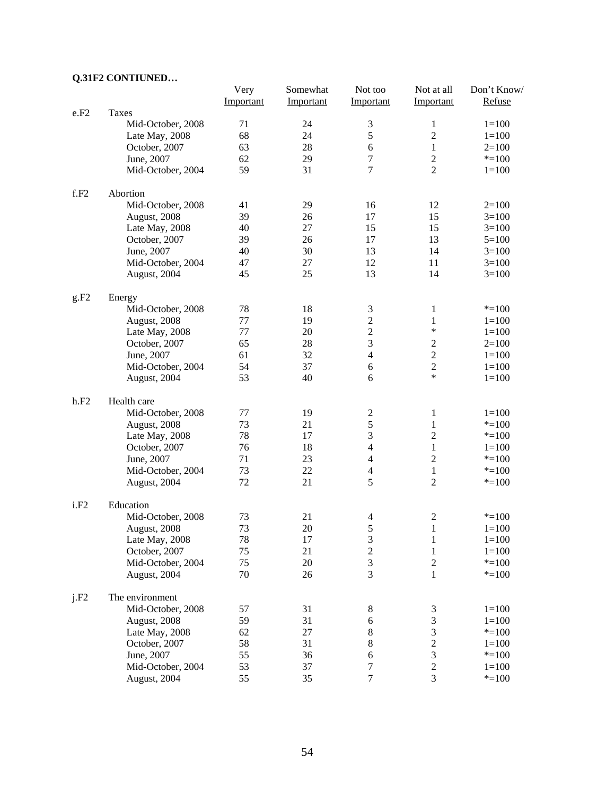# **Q.31F2 CONTIUNED…**

|                  |                   | Very      | Somewhat  | Not too                 | Not at all              | Don't Know/ |
|------------------|-------------------|-----------|-----------|-------------------------|-------------------------|-------------|
|                  |                   | Important | Important | Important               | Important               | Refuse      |
| e.F2             | Taxes             |           |           |                         |                         |             |
|                  | Mid-October, 2008 | 71        | 24        | $\mathfrak{Z}$          | 1                       | $1 = 100$   |
|                  | Late May, 2008    | 68        | 24        | 5                       | $\overline{2}$          | $1 = 100$   |
|                  | October, 2007     | 63        | 28        | 6                       | 1                       | $2=100$     |
|                  | June, 2007        | 62        | 29        | $\tau$                  | $\overline{2}$          | $* = 100$   |
|                  | Mid-October, 2004 | 59        | 31        | $\tau$                  | $\overline{c}$          | $1 = 100$   |
| f.F2             | Abortion          |           |           |                         |                         |             |
|                  | Mid-October, 2008 | 41        | 29        | 16                      | 12                      | $2=100$     |
|                  | August, 2008      | 39        | 26        | 17                      | 15                      | $3=100$     |
|                  | Late May, 2008    | 40        | 27        | 15                      | 15                      | $3=100$     |
|                  | October, 2007     | 39        | 26        | 17                      | 13                      | $5=100$     |
|                  | June, 2007        | 40        | 30        | 13                      | 14                      | $3=100$     |
|                  | Mid-October, 2004 | 47        | 27        | 12                      | 11                      | $3=100$     |
|                  | August, 2004      | 45        | 25        | 13                      | 14                      | $3=100$     |
| g.F2             | Energy            |           |           |                         |                         |             |
|                  | Mid-October, 2008 | 78        | 18        | $\mathfrak 3$           | $\mathbf{1}$            | $* = 100$   |
|                  | August, 2008      | 77        | 19        | $\overline{2}$          | $\mathbf{1}$            | $1 = 100$   |
|                  | Late May, 2008    | 77        | 20        | $\overline{2}$          | $\ast$                  | $1 = 100$   |
|                  | October, 2007     | 65        | 28        | 3                       | $\boldsymbol{2}$        | $2=100$     |
|                  | June, 2007        | 61        | 32        | $\overline{4}$          | $\overline{2}$          | $1 = 100$   |
|                  | Mid-October, 2004 | 54        | 37        | 6                       | $\overline{c}$          | $1 = 100$   |
|                  | August, 2004      | 53        | 40        | 6                       | $\ast$                  | $1 = 100$   |
| h.F2             | Health care       |           |           |                         |                         |             |
|                  | Mid-October, 2008 | 77        | 19        | 2                       | 1                       | $1 = 100$   |
|                  | August, 2008      | 73        | 21        | 5                       | $\mathbf{1}$            | $* = 100$   |
|                  | Late May, 2008    | 78        | 17        | 3                       | $\overline{c}$          | $* = 100$   |
|                  | October, 2007     | 76        | 18        | $\overline{4}$          | $\mathbf{1}$            | $1 = 100$   |
|                  | June, 2007        | 71        | 23        | $\overline{4}$          | $\overline{2}$          | $* = 100$   |
|                  | Mid-October, 2004 | 73        | 22        | $\overline{4}$          | $\mathbf{1}$            | $* = 100$   |
|                  | August, 2004      | 72        | 21        | 5                       | $\overline{c}$          | $* = 100$   |
| i.F <sub>2</sub> | Education         |           |           |                         |                         |             |
|                  | Mid-October, 2008 | 73        | 21        | $\overline{4}$          | $\overline{\mathbf{c}}$ | $* = 100$   |
|                  | August, 2008      | 73        | 20        | 5                       | $\mathbf{1}$            | $1=100$     |
|                  | Late May, 2008    | 78        | 17        | 3                       | $\mathbf{1}$            | $1 = 100$   |
|                  | October, 2007     | 75        | 21        | $\overline{\mathbf{c}}$ | $\mathbf{1}$            | $1 = 100$   |
|                  | Mid-October, 2004 | 75        | 20        | 3                       | $\sqrt{2}$              | $*=100$     |
|                  | August, 2004      | 70        | 26        | 3                       | $\mathbf{1}$            | $* = 100$   |
| j.F2             | The environment   |           |           |                         |                         |             |
|                  | Mid-October, 2008 | 57        | 31        | $\,8\,$                 | $\mathfrak{Z}$          | $1 = 100$   |
|                  | August, 2008      | 59        | 31        | $\sqrt{6}$              | 3                       | $1 = 100$   |
|                  | Late May, 2008    | 62        | 27        | 8                       | 3                       | $* = 100$   |
|                  | October, 2007     | 58        | 31        | 8                       | $\overline{c}$          | $1 = 100$   |
|                  | June, 2007        | 55        | 36        | $\epsilon$              | 3                       | $* = 100$   |
|                  | Mid-October, 2004 | 53        | 37        | 7                       | $\overline{c}$          | $1 = 100$   |
|                  | August, 2004      | 55        | 35        | 7                       | 3                       | $* = 100$   |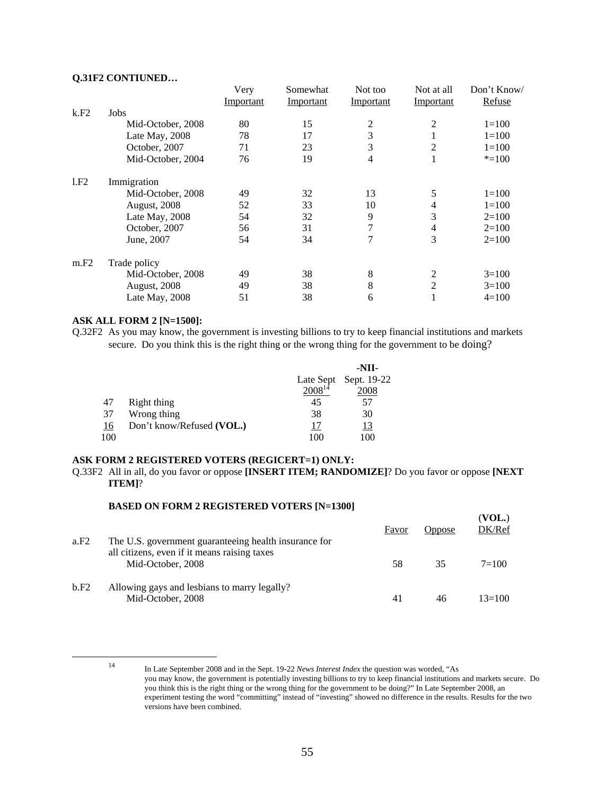#### **Q.31F2 CONTIUNED…**

|      |                     | Very      | Somewhat  | Not too   | Not at all     | Don't Know/ |
|------|---------------------|-----------|-----------|-----------|----------------|-------------|
|      |                     | Important | Important | Important | Important      | Refuse      |
| k.F2 | Jobs                |           |           |           |                |             |
|      | Mid-October, 2008   | 80        | 15        | 2         | 2              | $1 = 100$   |
|      | Late May, 2008      | 78        | 17        | 3         |                | $1 = 100$   |
|      | October, 2007       | 71        | 23        | 3         | $\overline{2}$ | $1 = 100$   |
|      | Mid-October, 2004   | 76        | 19        | 4         |                | $* = 100$   |
| 1.F2 | Immigration         |           |           |           |                |             |
|      | Mid-October, 2008   | 49        | 32        | 13        | 5              | $1 = 100$   |
|      | <b>August, 2008</b> | 52        | 33        | 10        | 4              | $1=100$     |
|      | Late May, 2008      | 54        | 32        | 9         | 3              | $2=100$     |
|      | October, 2007       | 56        | 31        | 7         | 4              | $2=100$     |
|      | June, 2007          | 54        | 34        | 7         | 3              | $2=100$     |
| m.F2 | Trade policy        |           |           |           |                |             |
|      | Mid-October, 2008   | 49        | 38        | 8         | 2              | $3=100$     |
|      | <b>August, 2008</b> | 49        | 38        | 8         | 2              | $3=100$     |
|      | Late May, 2008      | 51        | 38        | 6         |                | $4=100$     |

#### **ASK ALL FORM 2 [N=1500]:**

Q.32F2 As you may know, the government is investing billions to try to keep financial institutions and markets secure. Do you think this is the right thing or the wrong thing for the government to be doing?

|     |                           |             | -NII-                 |
|-----|---------------------------|-------------|-----------------------|
|     |                           |             | Late Sept Sept. 19-22 |
|     |                           | $2008^{14}$ | 2008                  |
| 47  | Right thing               | 45          | 57                    |
| 37  | Wrong thing               | 38          | 30                    |
| 16  | Don't know/Refused (VOL.) |             | <u> 13</u>            |
| 100 |                           | 100         | 100                   |

#### **ASK FORM 2 REGISTERED VOTERS (REGICERT=1) ONLY:**

Q.33F2 All in all, do you favor or oppose **[INSERT ITEM; RANDOMIZE]**? Do you favor or oppose **[NEXT ITEM]**?

#### **BASED ON FORM 2 REGISTERED VOTERS [N=1300]**

| a.F2 | The U.S. government guaranteeing health insurance for             | Favor | <b>Oppose</b> | (VOL.)<br>DK/Ref |
|------|-------------------------------------------------------------------|-------|---------------|------------------|
|      | all citizens, even if it means raising taxes<br>Mid-October, 2008 | 58    | 35            | $7 = 100$        |
| b.F2 | Allowing gays and lesbians to marry legally?<br>Mid-October, 2008 | 41    | 46            | $13=100$         |

 <sup>14</sup> In Late September 2008 and in the Sept. 19-22 *News Interest Index* the question was worded, "As you may know, the government is potentially investing billions to try to keep financial institutions and markets secure. Do you think this is the right thing or the wrong thing for the government to be doing?" In Late September 2008, an experiment testing the word "committing" instead of "investing" showed no difference in the results. Results for the two versions have been combined.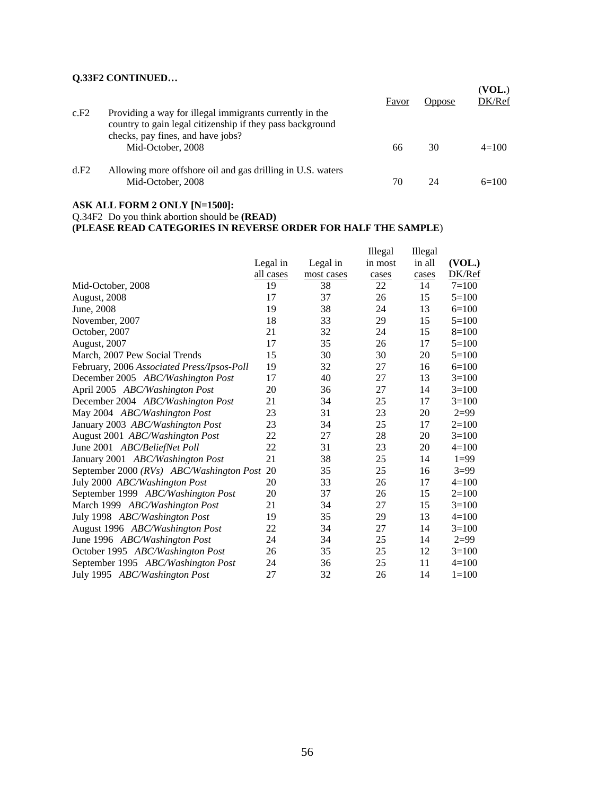# **Q.33F2 CONTINUED…**

| c.F2 | Providing a way for illegal immigrants currently in the<br>country to gain legal citizenship if they pass background | Favor | Oppose | (VOL.)<br>DK/Ref |
|------|----------------------------------------------------------------------------------------------------------------------|-------|--------|------------------|
|      | checks, pay fines, and have jobs?<br>Mid-October, 2008                                                               | 66    | 30     | $4=100$          |
| d.F2 | Allowing more offshore oil and gas drilling in U.S. waters<br>Mid-October, 2008                                      | 70    | 24     | $6=100$          |

#### **ASK ALL FORM 2 ONLY [N=1500]:**

Q.34F2 Do you think abortion should be **(READ)**

**(PLEASE READ CATEGORIES IN REVERSE ORDER FOR HALF THE SAMPLE**)

|                                            |           |            | Illegal | Illegal |           |
|--------------------------------------------|-----------|------------|---------|---------|-----------|
|                                            | Legal in  | Legal in   | in most | in all  | (VOL.)    |
|                                            | all cases | most cases | cases   | cases   | DK/Ref    |
| Mid-October, 2008                          | 19        | 38         | 22      | 14      | $7 = 100$ |
| <b>August, 2008</b>                        | 17        | 37         | 26      | 15      | $5=100$   |
| June, 2008                                 | 19        | 38         | 24      | 13      | $6=100$   |
| November, 2007                             | 18        | 33         | 29      | 15      | $5=100$   |
| October, 2007                              | 21        | 32         | 24      | 15      | $8=100$   |
| <b>August</b> , 2007                       | 17        | 35         | 26      | 17      | $5 = 100$ |
| March, 2007 Pew Social Trends              | 15        | 30         | 30      | 20      | $5=100$   |
| February, 2006 Associated Press/Ipsos-Poll | 19        | 32         | 27      | 16      | $6=100$   |
| December 2005 ABC/Washington Post          | 17        | 40         | 27      | 13      | $3=100$   |
| April 2005 ABC/Washington Post             | 20        | 36         | 27      | 14      | $3=100$   |
| December 2004 ABC/Washington Post          | 21        | 34         | 25      | 17      | $3=100$   |
| May 2004 ABC/Washington Post               | 23        | 31         | 23      | 20      | $2=99$    |
| January 2003 ABC/Washington Post           | 23        | 34         | 25      | 17      | $2=100$   |
| August 2001 ABC/Washington Post            | 22        | 27         | 28      | 20      | $3=100$   |
| June 2001 ABC/BeliefNet Poll               | 22        | 31         | 23      | 20      | $4=100$   |
| January 2001 ABC/Washington Post           | 21        | 38         | 25      | 14      | $1=99$    |
| September 2000 (RVs) ABC/Washington Post   | 20        | 35         | 25      | 16      | $3=99$    |
| July 2000 ABC/Washington Post              | 20        | 33         | 26      | 17      | $4=100$   |
| September 1999 ABC/Washington Post         | 20        | 37         | 26      | 15      | $2=100$   |
| March 1999 ABC/Washington Post             | 21        | 34         | 27      | 15      | $3=100$   |
| July 1998 ABC/Washington Post              | 19        | 35         | 29      | 13      | $4=100$   |
| August 1996 ABC/Washington Post            | 22        | 34         | 27      | 14      | $3=100$   |
| June 1996 ABC/Washington Post              | 24        | 34         | 25      | 14      | $2=99$    |
| October 1995 ABC/Washington Post           | 26        | 35         | 25      | 12      | $3=100$   |
| September 1995 ABC/Washington Post         | 24        | 36         | 25      | 11      | $4 = 100$ |
| July 1995 ABC/Washington Post              | 27        | 32         | 26      | 14      | $1 = 100$ |
|                                            |           |            |         |         |           |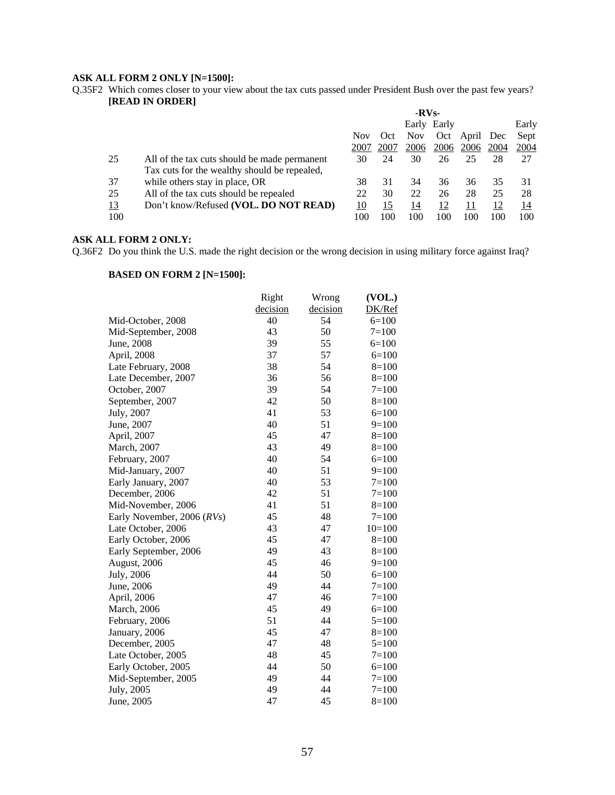#### **ASK ALL FORM 2 ONLY [N=1500]:**

Q.35F2 Which comes closer to your view about the tax cuts passed under President Bush over the past few years? **[READ IN ORDER]**

|           |                                              | $-RVs-$ |      |            |             |       |      |       |
|-----------|----------------------------------------------|---------|------|------------|-------------|-------|------|-------|
|           |                                              |         |      |            | Early Early |       |      | Early |
|           |                                              | Nov     | Oct  | <b>Nov</b> | Oct         | April | Dec  | Sept  |
|           |                                              | 2007    | 2007 | 2006       | 2006        | 2006  | 2004 | 2004  |
| 25        | All of the tax cuts should be made permanent | 30      | 24   | 30         | 26          | 25    | 28   | 27    |
|           | Tax cuts for the wealthy should be repealed, |         |      |            |             |       |      |       |
| 37        | while others stay in place, OR               | 38      | 31   | 34         | 36          | 36    | 35   | 31    |
| 25        | All of the tax cuts should be repealed       | 22      | 30   | 22         | 26          | 28    | 25   | 28    |
| <u>13</u> | Don't know/Refused (VOL. DO NOT READ)        | 10      | 15   | 14         | 12          | 11    | 12   | 14    |
| 100       |                                              | 100     | 100  | 100        | 100         | 100   | 100  | 100   |

#### **ASK ALL FORM 2 ONLY:**

Q.36F2 Do you think the U.S. made the right decision or the wrong decision in using military force against Iraq?

|                            | Right    | Wrong    | (VOL.)    |
|----------------------------|----------|----------|-----------|
|                            | decision | decision | DK/Ref    |
| Mid-October, 2008          | 40       | 54       | $6=100$   |
| Mid-September, 2008        | 43       | 50       | $7=100$   |
| June, 2008                 | 39       | 55       | $6=100$   |
| April, 2008                | 37       | 57       | $6=100$   |
| Late February, 2008        | 38       | 54       | $8=100$   |
| Late December, 2007        | 36       | 56       | $8=100$   |
| October, 2007              | 39       | 54       | $7=100$   |
| September, 2007            | 42       | 50       | $8=100$   |
| July, 2007                 | 41       | 53       | $6=100$   |
| June, 2007                 | 40       | 51       | $9=100$   |
| April, 2007                | 45       | 47       | $8=100$   |
| March, 2007                | 43       | 49       | $8=100$   |
| February, 2007             | 40       | 54       | $6=100$   |
| Mid-January, 2007          | 40       | 51       | $9=100$   |
| Early January, 2007        | 40       | 53       | $7=100$   |
| December, 2006             | 42       | 51       | $7=100$   |
| Mid-November, 2006         | 41       | 51       | $8=100$   |
| Early November, 2006 (RVs) | 45       | 48       | $7 = 100$ |
| Late October, 2006         | 43       | 47       | $10=100$  |
| Early October, 2006        | 45       | 47       | $8=100$   |
| Early September, 2006      | 49       | 43       | $8=100$   |
| August, 2006               | 45       | 46       | $9=100$   |
| July, 2006                 | 44       | 50       | $6=100$   |
| June, 2006                 | 49       | 44       | $7=100$   |
| April, 2006                | 47       | 46       | $7=100$   |
| <b>March</b> , 2006        | 45       | 49       | $6=100$   |
| February, 2006             | 51       | 44       | $5=100$   |
| January, 2006              | 45       | 47       | $8=100$   |
| December, 2005             | 47       | 48       | $5=100$   |
| Late October, 2005         | 48       | 45       | $7=100$   |
| Early October, 2005        | 44       | 50       | $6=100$   |
| Mid-September, 2005        | 49       | 44       | $7 = 100$ |
| July, 2005                 | 49       | 44       | $7=100$   |
| June, 2005                 | 47       | 45       | $8=100$   |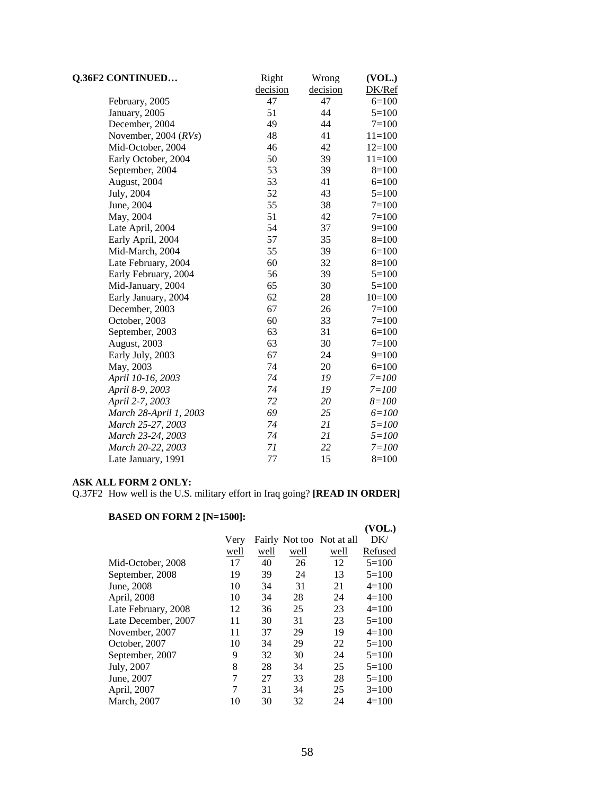| <b>Q.36F2 CONTINUED</b> | Right    | Wrong    | (VOL.)    |
|-------------------------|----------|----------|-----------|
|                         | decision | decision | DK/Ref    |
| February, 2005          | 47       | 47       | $6=100$   |
| January, 2005           | 51       | 44       | $5=100$   |
| December, 2004          | 49       | 44       | $7=100$   |
| November, 2004 (RVs)    | 48       | 41       | $11=100$  |
| Mid-October, 2004       | 46       | 42       | $12=100$  |
| Early October, 2004     | 50       | 39       | $11=100$  |
| September, 2004         | 53       | 39       | $8=100$   |
| August, 2004            | 53       | 41       | $6=100$   |
| July, 2004              | 52       | 43       | $5=100$   |
| June, 2004              | 55       | 38       | $7=100$   |
| May, 2004               | 51       | 42       | $7 = 100$ |
| Late April, 2004        | 54       | 37       | $9=100$   |
| Early April, 2004       | 57       | 35       | $8=100$   |
| Mid-March, 2004         | 55       | 39       | $6=100$   |
| Late February, 2004     | 60       | 32       | $8=100$   |
| Early February, 2004    | 56       | 39       | $5=100$   |
| Mid-January, 2004       | 65       | 30       | $5=100$   |
| Early January, 2004     | 62       | 28       | $10=100$  |
| December, 2003          | 67       | 26       | $7=100$   |
| October, 2003           | 60       | 33       | $7=100$   |
| September, 2003         | 63       | 31       | $6=100$   |
| August, 2003            | 63       | 30       | $7=100$   |
| Early July, 2003        | 67       | 24       | $9=100$   |
| May, 2003               | 74       | 20       | $6 = 100$ |
| April 10-16, 2003       | 74       | 19       | $7 = 100$ |
| April 8-9, 2003         | 74       | 19       | $7 = 100$ |
| April 2-7, 2003         | 72       | 20       | $8 = 100$ |
| March 28-April 1, 2003  | 69       | 25       | $6 = 100$ |
| March 25-27, 2003       | 74       | 21       | $5 = 100$ |
| March 23-24, 2003       | 74       | 21       | $5 = 100$ |
| March 20-22, 2003       | 71       | 22       | $7 = 100$ |
| Late January, 1991      | 77       | 15       | $8=100$   |

#### **ASK ALL FORM 2 ONLY:**

Q.37F2 How well is the U.S. military effort in Iraq going? **[READ IN ORDER]**

|                     |      |      |      |                           | (VOL.)  |
|---------------------|------|------|------|---------------------------|---------|
|                     | Very |      |      | Fairly Not too Not at all | DK/     |
|                     | well | well | well | well                      | Refused |
| Mid-October, 2008   | 17   | 40   | 26   | 12                        | $5=100$ |
| September, 2008     | 19   | 39   | 24   | 13                        | $5=100$ |
| June, 2008          | 10   | 34   | 31   | 21                        | $4=100$ |
| April, 2008         | 10   | 34   | 28   | 24                        | $4=100$ |
| Late February, 2008 | 12   | 36   | 25   | 23                        | $4=100$ |
| Late December, 2007 | 11   | 30   | 31   | 23                        | $5=100$ |
| November, 2007      | 11   | 37   | 29   | 19                        | $4=100$ |
| October, 2007       | 10   | 34   | 29   | 22                        | $5=100$ |
| September, 2007     | 9    | 32   | 30   | 24                        | $5=100$ |
| July, 2007          | 8    | 28   | 34   | 25                        | $5=100$ |
| June, 2007          | 7    | 27   | 33   | 28                        | $5=100$ |
| April, 2007         | 7    | 31   | 34   | 25                        | $3=100$ |
| <b>March</b> , 2007 | 10   | 30   | 32   | 24                        | $4=100$ |
|                     |      |      |      |                           |         |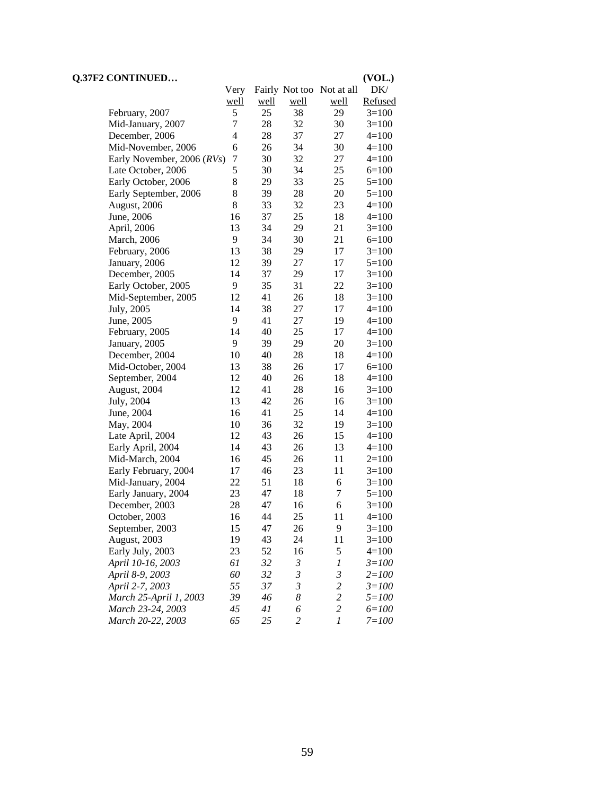| DK/<br>Very<br>Fairly Not too Not at all<br>well<br>Refused<br><u>well</u><br><u>well</u><br>well<br>5<br>25<br>38<br>29<br>$3=100$<br>February, 2007<br>7<br>32<br>28<br>30<br>$3=100$<br>Mid-January, 2007<br>4<br>28<br>37<br>December, 2006<br>27<br>$4=100$<br>34<br>6<br>26<br>30<br>Mid-November, 2006<br>$4=100$<br>32<br>7<br>30<br>27<br>Early November, 2006 (RVs)<br>$4=100$<br>5<br>34<br>25<br>Late October, 2006<br>30<br>$6=100$<br>8<br>33<br>29<br>25<br>Early October, 2006<br>$5=100$<br>8<br>28<br>39<br>20<br>Early September, 2006<br>$5=100$<br>8<br>32<br>33<br>23<br>August, 2006<br>$4=100$<br>37<br>25<br>16<br>18<br>June, 2006<br>$4=100$<br>13<br>34<br>29<br>21<br>$3=100$<br>April, 2006<br>9<br>34<br>30<br>21<br>$6=100$<br><b>March</b> , 2006<br>13<br>38<br>29<br>17<br>$3=100$<br>February, 2006<br>12<br>39<br>27<br>17<br>$5 = 100$<br>January, 2006<br>37<br>29<br>December, 2005<br>14<br>17<br>$3=100$<br>9<br>35<br>31<br>22<br>Early October, 2005<br>$3=100$<br>26<br>12<br>41<br>18<br>Mid-September, 2005<br>$3=100$<br>14<br>27<br>July, 2005<br>38<br>17<br>$4=100$<br>9<br>27<br>41<br>19<br>June, 2005<br>$4=100$<br>25<br>14<br>40<br>17<br>$4=100$<br>February, 2005<br>9<br>29<br>January, 2005<br>39<br>20<br>$3=100$<br>40<br>28<br>10<br>18<br>$4 = 100$<br>December, 2004<br>26<br>13<br>38<br>17<br>$6=100$<br>Mid-October, 2004<br>40<br>26<br>12<br>18<br>$4=100$<br>September, 2004<br>12<br>28<br>41<br>16<br>$3=100$<br>August, 2004<br>13<br>26<br>July, 2004<br>42<br>16<br>$3=100$<br>25<br>June, 2004<br>16<br>41<br>14<br>$4=100$<br>32<br>May, 2004<br>10<br>36<br>19<br>$3=100$<br>26<br>12<br>43<br>Late April, 2004<br>15<br>$4=100$<br>14<br>26<br>Early April, 2004<br>43<br>13<br>$4=100$<br>45<br>26<br>Mid-March, 2004<br>16<br>11<br>$2=100$<br>23<br>17<br>46<br>11<br>Early February, 2004<br>$3=100$<br>22<br>51<br>18<br>Mid-January, 2004<br>6<br>$3=100$<br>23<br>7<br>47<br>18<br>Early January, 2004<br>$5=100$<br>28<br>47<br>16<br>6<br>$3=100$<br>December, 2003<br>25<br>16<br>44<br>11<br>$4 = 100$<br>October, 2003<br>47<br>9<br>September, 2003<br>15<br>26<br>$3=100$<br>19<br>24<br>August, 2003<br>43<br>11<br>$3=100$ | <b>Q.37F2 CONTINUED</b> |  |  | (VOL.) |
|----------------------------------------------------------------------------------------------------------------------------------------------------------------------------------------------------------------------------------------------------------------------------------------------------------------------------------------------------------------------------------------------------------------------------------------------------------------------------------------------------------------------------------------------------------------------------------------------------------------------------------------------------------------------------------------------------------------------------------------------------------------------------------------------------------------------------------------------------------------------------------------------------------------------------------------------------------------------------------------------------------------------------------------------------------------------------------------------------------------------------------------------------------------------------------------------------------------------------------------------------------------------------------------------------------------------------------------------------------------------------------------------------------------------------------------------------------------------------------------------------------------------------------------------------------------------------------------------------------------------------------------------------------------------------------------------------------------------------------------------------------------------------------------------------------------------------------------------------------------------------------------------------------------------------------------------------------------------------------------------------------------------------------------------------------------------------------------------------------------------------------------------------------------------------------------------------------------------------|-------------------------|--|--|--------|
|                                                                                                                                                                                                                                                                                                                                                                                                                                                                                                                                                                                                                                                                                                                                                                                                                                                                                                                                                                                                                                                                                                                                                                                                                                                                                                                                                                                                                                                                                                                                                                                                                                                                                                                                                                                                                                                                                                                                                                                                                                                                                                                                                                                                                            |                         |  |  |        |
|                                                                                                                                                                                                                                                                                                                                                                                                                                                                                                                                                                                                                                                                                                                                                                                                                                                                                                                                                                                                                                                                                                                                                                                                                                                                                                                                                                                                                                                                                                                                                                                                                                                                                                                                                                                                                                                                                                                                                                                                                                                                                                                                                                                                                            |                         |  |  |        |
|                                                                                                                                                                                                                                                                                                                                                                                                                                                                                                                                                                                                                                                                                                                                                                                                                                                                                                                                                                                                                                                                                                                                                                                                                                                                                                                                                                                                                                                                                                                                                                                                                                                                                                                                                                                                                                                                                                                                                                                                                                                                                                                                                                                                                            |                         |  |  |        |
|                                                                                                                                                                                                                                                                                                                                                                                                                                                                                                                                                                                                                                                                                                                                                                                                                                                                                                                                                                                                                                                                                                                                                                                                                                                                                                                                                                                                                                                                                                                                                                                                                                                                                                                                                                                                                                                                                                                                                                                                                                                                                                                                                                                                                            |                         |  |  |        |
|                                                                                                                                                                                                                                                                                                                                                                                                                                                                                                                                                                                                                                                                                                                                                                                                                                                                                                                                                                                                                                                                                                                                                                                                                                                                                                                                                                                                                                                                                                                                                                                                                                                                                                                                                                                                                                                                                                                                                                                                                                                                                                                                                                                                                            |                         |  |  |        |
|                                                                                                                                                                                                                                                                                                                                                                                                                                                                                                                                                                                                                                                                                                                                                                                                                                                                                                                                                                                                                                                                                                                                                                                                                                                                                                                                                                                                                                                                                                                                                                                                                                                                                                                                                                                                                                                                                                                                                                                                                                                                                                                                                                                                                            |                         |  |  |        |
|                                                                                                                                                                                                                                                                                                                                                                                                                                                                                                                                                                                                                                                                                                                                                                                                                                                                                                                                                                                                                                                                                                                                                                                                                                                                                                                                                                                                                                                                                                                                                                                                                                                                                                                                                                                                                                                                                                                                                                                                                                                                                                                                                                                                                            |                         |  |  |        |
|                                                                                                                                                                                                                                                                                                                                                                                                                                                                                                                                                                                                                                                                                                                                                                                                                                                                                                                                                                                                                                                                                                                                                                                                                                                                                                                                                                                                                                                                                                                                                                                                                                                                                                                                                                                                                                                                                                                                                                                                                                                                                                                                                                                                                            |                         |  |  |        |
|                                                                                                                                                                                                                                                                                                                                                                                                                                                                                                                                                                                                                                                                                                                                                                                                                                                                                                                                                                                                                                                                                                                                                                                                                                                                                                                                                                                                                                                                                                                                                                                                                                                                                                                                                                                                                                                                                                                                                                                                                                                                                                                                                                                                                            |                         |  |  |        |
|                                                                                                                                                                                                                                                                                                                                                                                                                                                                                                                                                                                                                                                                                                                                                                                                                                                                                                                                                                                                                                                                                                                                                                                                                                                                                                                                                                                                                                                                                                                                                                                                                                                                                                                                                                                                                                                                                                                                                                                                                                                                                                                                                                                                                            |                         |  |  |        |
|                                                                                                                                                                                                                                                                                                                                                                                                                                                                                                                                                                                                                                                                                                                                                                                                                                                                                                                                                                                                                                                                                                                                                                                                                                                                                                                                                                                                                                                                                                                                                                                                                                                                                                                                                                                                                                                                                                                                                                                                                                                                                                                                                                                                                            |                         |  |  |        |
|                                                                                                                                                                                                                                                                                                                                                                                                                                                                                                                                                                                                                                                                                                                                                                                                                                                                                                                                                                                                                                                                                                                                                                                                                                                                                                                                                                                                                                                                                                                                                                                                                                                                                                                                                                                                                                                                                                                                                                                                                                                                                                                                                                                                                            |                         |  |  |        |
|                                                                                                                                                                                                                                                                                                                                                                                                                                                                                                                                                                                                                                                                                                                                                                                                                                                                                                                                                                                                                                                                                                                                                                                                                                                                                                                                                                                                                                                                                                                                                                                                                                                                                                                                                                                                                                                                                                                                                                                                                                                                                                                                                                                                                            |                         |  |  |        |
|                                                                                                                                                                                                                                                                                                                                                                                                                                                                                                                                                                                                                                                                                                                                                                                                                                                                                                                                                                                                                                                                                                                                                                                                                                                                                                                                                                                                                                                                                                                                                                                                                                                                                                                                                                                                                                                                                                                                                                                                                                                                                                                                                                                                                            |                         |  |  |        |
|                                                                                                                                                                                                                                                                                                                                                                                                                                                                                                                                                                                                                                                                                                                                                                                                                                                                                                                                                                                                                                                                                                                                                                                                                                                                                                                                                                                                                                                                                                                                                                                                                                                                                                                                                                                                                                                                                                                                                                                                                                                                                                                                                                                                                            |                         |  |  |        |
|                                                                                                                                                                                                                                                                                                                                                                                                                                                                                                                                                                                                                                                                                                                                                                                                                                                                                                                                                                                                                                                                                                                                                                                                                                                                                                                                                                                                                                                                                                                                                                                                                                                                                                                                                                                                                                                                                                                                                                                                                                                                                                                                                                                                                            |                         |  |  |        |
|                                                                                                                                                                                                                                                                                                                                                                                                                                                                                                                                                                                                                                                                                                                                                                                                                                                                                                                                                                                                                                                                                                                                                                                                                                                                                                                                                                                                                                                                                                                                                                                                                                                                                                                                                                                                                                                                                                                                                                                                                                                                                                                                                                                                                            |                         |  |  |        |
|                                                                                                                                                                                                                                                                                                                                                                                                                                                                                                                                                                                                                                                                                                                                                                                                                                                                                                                                                                                                                                                                                                                                                                                                                                                                                                                                                                                                                                                                                                                                                                                                                                                                                                                                                                                                                                                                                                                                                                                                                                                                                                                                                                                                                            |                         |  |  |        |
|                                                                                                                                                                                                                                                                                                                                                                                                                                                                                                                                                                                                                                                                                                                                                                                                                                                                                                                                                                                                                                                                                                                                                                                                                                                                                                                                                                                                                                                                                                                                                                                                                                                                                                                                                                                                                                                                                                                                                                                                                                                                                                                                                                                                                            |                         |  |  |        |
|                                                                                                                                                                                                                                                                                                                                                                                                                                                                                                                                                                                                                                                                                                                                                                                                                                                                                                                                                                                                                                                                                                                                                                                                                                                                                                                                                                                                                                                                                                                                                                                                                                                                                                                                                                                                                                                                                                                                                                                                                                                                                                                                                                                                                            |                         |  |  |        |
|                                                                                                                                                                                                                                                                                                                                                                                                                                                                                                                                                                                                                                                                                                                                                                                                                                                                                                                                                                                                                                                                                                                                                                                                                                                                                                                                                                                                                                                                                                                                                                                                                                                                                                                                                                                                                                                                                                                                                                                                                                                                                                                                                                                                                            |                         |  |  |        |
|                                                                                                                                                                                                                                                                                                                                                                                                                                                                                                                                                                                                                                                                                                                                                                                                                                                                                                                                                                                                                                                                                                                                                                                                                                                                                                                                                                                                                                                                                                                                                                                                                                                                                                                                                                                                                                                                                                                                                                                                                                                                                                                                                                                                                            |                         |  |  |        |
|                                                                                                                                                                                                                                                                                                                                                                                                                                                                                                                                                                                                                                                                                                                                                                                                                                                                                                                                                                                                                                                                                                                                                                                                                                                                                                                                                                                                                                                                                                                                                                                                                                                                                                                                                                                                                                                                                                                                                                                                                                                                                                                                                                                                                            |                         |  |  |        |
|                                                                                                                                                                                                                                                                                                                                                                                                                                                                                                                                                                                                                                                                                                                                                                                                                                                                                                                                                                                                                                                                                                                                                                                                                                                                                                                                                                                                                                                                                                                                                                                                                                                                                                                                                                                                                                                                                                                                                                                                                                                                                                                                                                                                                            |                         |  |  |        |
|                                                                                                                                                                                                                                                                                                                                                                                                                                                                                                                                                                                                                                                                                                                                                                                                                                                                                                                                                                                                                                                                                                                                                                                                                                                                                                                                                                                                                                                                                                                                                                                                                                                                                                                                                                                                                                                                                                                                                                                                                                                                                                                                                                                                                            |                         |  |  |        |
|                                                                                                                                                                                                                                                                                                                                                                                                                                                                                                                                                                                                                                                                                                                                                                                                                                                                                                                                                                                                                                                                                                                                                                                                                                                                                                                                                                                                                                                                                                                                                                                                                                                                                                                                                                                                                                                                                                                                                                                                                                                                                                                                                                                                                            |                         |  |  |        |
|                                                                                                                                                                                                                                                                                                                                                                                                                                                                                                                                                                                                                                                                                                                                                                                                                                                                                                                                                                                                                                                                                                                                                                                                                                                                                                                                                                                                                                                                                                                                                                                                                                                                                                                                                                                                                                                                                                                                                                                                                                                                                                                                                                                                                            |                         |  |  |        |
|                                                                                                                                                                                                                                                                                                                                                                                                                                                                                                                                                                                                                                                                                                                                                                                                                                                                                                                                                                                                                                                                                                                                                                                                                                                                                                                                                                                                                                                                                                                                                                                                                                                                                                                                                                                                                                                                                                                                                                                                                                                                                                                                                                                                                            |                         |  |  |        |
|                                                                                                                                                                                                                                                                                                                                                                                                                                                                                                                                                                                                                                                                                                                                                                                                                                                                                                                                                                                                                                                                                                                                                                                                                                                                                                                                                                                                                                                                                                                                                                                                                                                                                                                                                                                                                                                                                                                                                                                                                                                                                                                                                                                                                            |                         |  |  |        |
|                                                                                                                                                                                                                                                                                                                                                                                                                                                                                                                                                                                                                                                                                                                                                                                                                                                                                                                                                                                                                                                                                                                                                                                                                                                                                                                                                                                                                                                                                                                                                                                                                                                                                                                                                                                                                                                                                                                                                                                                                                                                                                                                                                                                                            |                         |  |  |        |
|                                                                                                                                                                                                                                                                                                                                                                                                                                                                                                                                                                                                                                                                                                                                                                                                                                                                                                                                                                                                                                                                                                                                                                                                                                                                                                                                                                                                                                                                                                                                                                                                                                                                                                                                                                                                                                                                                                                                                                                                                                                                                                                                                                                                                            |                         |  |  |        |
|                                                                                                                                                                                                                                                                                                                                                                                                                                                                                                                                                                                                                                                                                                                                                                                                                                                                                                                                                                                                                                                                                                                                                                                                                                                                                                                                                                                                                                                                                                                                                                                                                                                                                                                                                                                                                                                                                                                                                                                                                                                                                                                                                                                                                            |                         |  |  |        |
|                                                                                                                                                                                                                                                                                                                                                                                                                                                                                                                                                                                                                                                                                                                                                                                                                                                                                                                                                                                                                                                                                                                                                                                                                                                                                                                                                                                                                                                                                                                                                                                                                                                                                                                                                                                                                                                                                                                                                                                                                                                                                                                                                                                                                            |                         |  |  |        |
|                                                                                                                                                                                                                                                                                                                                                                                                                                                                                                                                                                                                                                                                                                                                                                                                                                                                                                                                                                                                                                                                                                                                                                                                                                                                                                                                                                                                                                                                                                                                                                                                                                                                                                                                                                                                                                                                                                                                                                                                                                                                                                                                                                                                                            |                         |  |  |        |
|                                                                                                                                                                                                                                                                                                                                                                                                                                                                                                                                                                                                                                                                                                                                                                                                                                                                                                                                                                                                                                                                                                                                                                                                                                                                                                                                                                                                                                                                                                                                                                                                                                                                                                                                                                                                                                                                                                                                                                                                                                                                                                                                                                                                                            |                         |  |  |        |
|                                                                                                                                                                                                                                                                                                                                                                                                                                                                                                                                                                                                                                                                                                                                                                                                                                                                                                                                                                                                                                                                                                                                                                                                                                                                                                                                                                                                                                                                                                                                                                                                                                                                                                                                                                                                                                                                                                                                                                                                                                                                                                                                                                                                                            |                         |  |  |        |
|                                                                                                                                                                                                                                                                                                                                                                                                                                                                                                                                                                                                                                                                                                                                                                                                                                                                                                                                                                                                                                                                                                                                                                                                                                                                                                                                                                                                                                                                                                                                                                                                                                                                                                                                                                                                                                                                                                                                                                                                                                                                                                                                                                                                                            |                         |  |  |        |
|                                                                                                                                                                                                                                                                                                                                                                                                                                                                                                                                                                                                                                                                                                                                                                                                                                                                                                                                                                                                                                                                                                                                                                                                                                                                                                                                                                                                                                                                                                                                                                                                                                                                                                                                                                                                                                                                                                                                                                                                                                                                                                                                                                                                                            |                         |  |  |        |
|                                                                                                                                                                                                                                                                                                                                                                                                                                                                                                                                                                                                                                                                                                                                                                                                                                                                                                                                                                                                                                                                                                                                                                                                                                                                                                                                                                                                                                                                                                                                                                                                                                                                                                                                                                                                                                                                                                                                                                                                                                                                                                                                                                                                                            |                         |  |  |        |
|                                                                                                                                                                                                                                                                                                                                                                                                                                                                                                                                                                                                                                                                                                                                                                                                                                                                                                                                                                                                                                                                                                                                                                                                                                                                                                                                                                                                                                                                                                                                                                                                                                                                                                                                                                                                                                                                                                                                                                                                                                                                                                                                                                                                                            |                         |  |  |        |
| 23<br>52<br>5<br>Early July, 2003<br>16<br>$4=100$                                                                                                                                                                                                                                                                                                                                                                                                                                                                                                                                                                                                                                                                                                                                                                                                                                                                                                                                                                                                                                                                                                                                                                                                                                                                                                                                                                                                                                                                                                                                                                                                                                                                                                                                                                                                                                                                                                                                                                                                                                                                                                                                                                         |                         |  |  |        |
| April 10-16, 2003<br>61<br>32<br>$\mathfrak{Z}$<br>1<br>$3 = 100$                                                                                                                                                                                                                                                                                                                                                                                                                                                                                                                                                                                                                                                                                                                                                                                                                                                                                                                                                                                                                                                                                                                                                                                                                                                                                                                                                                                                                                                                                                                                                                                                                                                                                                                                                                                                                                                                                                                                                                                                                                                                                                                                                          |                         |  |  |        |
| $\mathfrak{Z}$<br>April 8-9, 2003<br>60<br>32<br>3<br>$2 = 100$                                                                                                                                                                                                                                                                                                                                                                                                                                                                                                                                                                                                                                                                                                                                                                                                                                                                                                                                                                                                                                                                                                                                                                                                                                                                                                                                                                                                                                                                                                                                                                                                                                                                                                                                                                                                                                                                                                                                                                                                                                                                                                                                                            |                         |  |  |        |
| 37<br>April 2-7, 2003<br>55<br>3<br>$\overline{c}$<br>$3 = 100$                                                                                                                                                                                                                                                                                                                                                                                                                                                                                                                                                                                                                                                                                                                                                                                                                                                                                                                                                                                                                                                                                                                                                                                                                                                                                                                                                                                                                                                                                                                                                                                                                                                                                                                                                                                                                                                                                                                                                                                                                                                                                                                                                            |                         |  |  |        |
| $\overline{c}$<br>39<br>$\boldsymbol{8}$<br>March 25-April 1, 2003<br>46<br>$5 = 100$                                                                                                                                                                                                                                                                                                                                                                                                                                                                                                                                                                                                                                                                                                                                                                                                                                                                                                                                                                                                                                                                                                                                                                                                                                                                                                                                                                                                                                                                                                                                                                                                                                                                                                                                                                                                                                                                                                                                                                                                                                                                                                                                      |                         |  |  |        |
| 45<br>6<br>$\overline{c}$<br>March 23-24, 2003<br>41<br>$6 = 100$                                                                                                                                                                                                                                                                                                                                                                                                                                                                                                                                                                                                                                                                                                                                                                                                                                                                                                                                                                                                                                                                                                                                                                                                                                                                                                                                                                                                                                                                                                                                                                                                                                                                                                                                                                                                                                                                                                                                                                                                                                                                                                                                                          |                         |  |  |        |
| 65<br>25<br>$\overline{c}$<br>March 20-22, 2003<br>1<br>$7 = 100$                                                                                                                                                                                                                                                                                                                                                                                                                                                                                                                                                                                                                                                                                                                                                                                                                                                                                                                                                                                                                                                                                                                                                                                                                                                                                                                                                                                                                                                                                                                                                                                                                                                                                                                                                                                                                                                                                                                                                                                                                                                                                                                                                          |                         |  |  |        |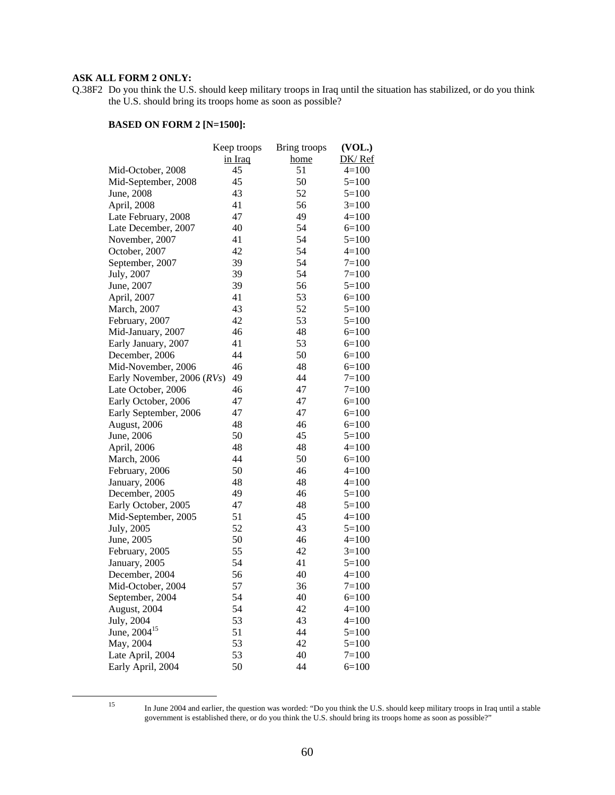#### **ASK ALL FORM 2 ONLY:**

Q.38F2 Do you think the U.S. should keep military troops in Iraq until the situation has stabilized, or do you think the U.S. should bring its troops home as soon as possible?

|                            | Keep troops | Bring troops | (VOL.)    |
|----------------------------|-------------|--------------|-----------|
|                            | in Iraq     | home         | DK/Ref    |
| Mid-October, 2008          | 45          | 51           | $4=100$   |
| Mid-September, 2008        | 45          | 50           | $5=100$   |
| June, 2008                 | 43          | 52           | $5=100$   |
| April, 2008                | 41          | 56           | $3=100$   |
| Late February, 2008        | 47          | 49           | $4 = 100$ |
| Late December, 2007        | 40          | 54           | $6=100$   |
| November, 2007             | 41          | 54           | $5=100$   |
| October, 2007              | 42          | 54           | $4=100$   |
| September, 2007            | 39          | 54           | $7 = 100$ |
| July, 2007                 | 39          | 54           | $7=100$   |
| June, 2007                 | 39          | 56           | $5=100$   |
| April, 2007                | 41          | 53           | $6=100$   |
| March, 2007                | 43          | 52           | $5=100$   |
| February, 2007             | 42          | 53           | $5=100$   |
| Mid-January, 2007          | 46          | 48           | $6=100$   |
| Early January, 2007        | 41          | 53           | $6=100$   |
| December, 2006             | 44          | 50           | $6=100$   |
| Mid-November, 2006         | 46          | 48           | $6=100$   |
| Early November, 2006 (RVs) | 49          | 44           | $7=100$   |
| Late October, 2006         | 46          | 47           | $7=100$   |
| Early October, 2006        | 47          | 47           | $6=100$   |
| Early September, 2006      | 47          | 47           | $6=100$   |
| August, 2006               | 48          | 46           | $6=100$   |
| June, 2006                 | 50          | 45           | $5=100$   |
| April, 2006                | 48          | 48           | $4=100$   |
| <b>March</b> , 2006        | 44          | 50           | $6=100$   |
| February, 2006             | 50          | 46           | $4=100$   |
| January, 2006              | 48          | 48           | $4 = 100$ |
| December, 2005             | 49          | 46           | $5 = 100$ |
| Early October, 2005        | 47          | 48           | $5=100$   |
| Mid-September, 2005        | 51          | 45           | $4=100$   |
| July, 2005                 | 52          | 43           | $5=100$   |
| June, 2005                 | 50          | 46           | $4=100$   |
| February, 2005             | 55          | 42           | $3=100$   |
| January, 2005              | 54          | 41           | $5=100$   |
| December, 2004             | 56          | 40           | $4 = 100$ |
| Mid-October, 2004          | 57          | 36           | $7=100$   |
| September, 2004            | 54          | 40           | $6=100$   |
| August, 2004               | 54          | 42           | $4 = 100$ |
| July, 2004                 | 53          | 43           | $4 = 100$ |
| June, 2004 <sup>15</sup>   | 51          | 44           | $5=100$   |
| May, 2004                  | 53          | 42           | $5 = 100$ |
| Late April, 2004           | 53          | 40           | $7=100$   |
| Early April, 2004          | 50          | 44           | $6=100$   |
|                            |             |              |           |

 <sup>15</sup> In June 2004 and earlier, the question was worded: "Do you think the U.S. should keep military troops in Iraq until a stable government is established there, or do you think the U.S. should bring its troops home as soon as possible?"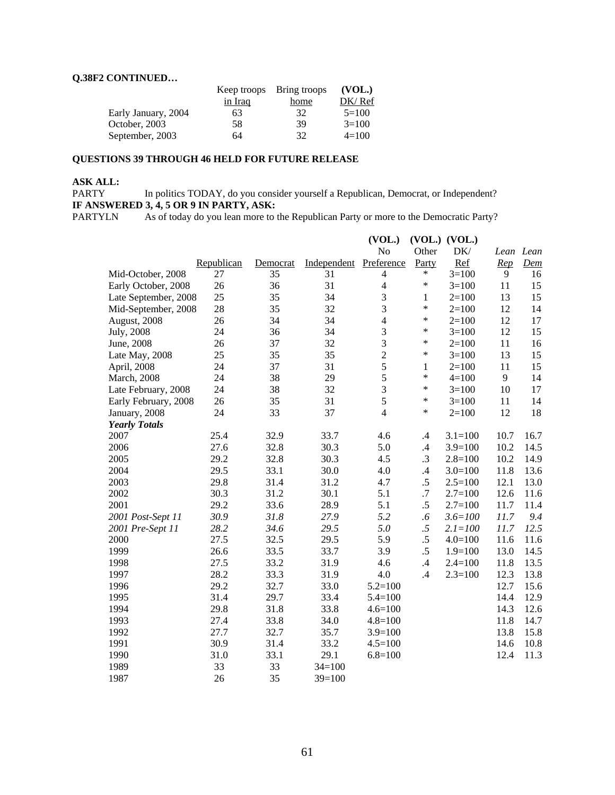#### **Q.38F2 CONTINUED…**

|                     |                | Keep troops Bring troops | (VOL.)  |
|---------------------|----------------|--------------------------|---------|
|                     | <u>in Iraq</u> | home                     | DK/Ref  |
| Early January, 2004 | 63             | 32                       | $5=100$ |
| October, 2003       | 58             | 39                       | $3=100$ |
| September, 2003     | 64             | 32                       | $4=100$ |

#### **QUESTIONS 39 THROUGH 46 HELD FOR FUTURE RELEASE**

# **ASK ALL:**

In politics TODAY, do you consider yourself a Republican, Democrat, or Independent? **IF ANSWERED 3, 4, 5 OR 9 IN PARTY, ASK:**<br>PARTYLN As of today do you lean more to t

As of today do you lean more to the Republican Party or more to the Democratic Party?

|                      |            |          |             | (VOL.)         |               | $(VOL.)$ $(VOL.)$ |        |                       |
|----------------------|------------|----------|-------------|----------------|---------------|-------------------|--------|-----------------------|
|                      |            |          |             | No             | Other         | DK/               |        | Lean Lean             |
|                      | Republican | Democrat | Independent | Preference     | Party         | Ref               | Rep    | $\underline{\it Dem}$ |
| Mid-October, 2008    | 27         | 35       | 31          | 4              | $\ast$        | $3=100$           | 9      | 16                    |
| Early October, 2008  | 26         | 36       | 31          | $\overline{4}$ | $\ast$        | $3=100$           | 11     | 15                    |
| Late September, 2008 | 25         | 35       | 34          | $\mathfrak{Z}$ | $\mathbf{1}$  | $2=100$           | 13     | 15                    |
| Mid-September, 2008  | 28         | 35       | 32          | 3              | $\ast$        | $2=100$           | 12     | 14                    |
| August, 2008         | 26         | 34       | 34          | $\overline{4}$ | $\ast$        | $2 = 100$         | 12     | 17                    |
| July, 2008           | 24         | 36       | 34          | $\overline{3}$ | $\ast$        | $3 = 100$         | 12     | 15                    |
| June, 2008           | 26         | 37       | 32          | $\overline{3}$ | $\ast$        | $2 = 100$         | 11     | 16                    |
| Late May, 2008       | 25         | 35       | 35          | $\overline{2}$ | $\ast$        | $3=100$           | 13     | 15                    |
| April, 2008          | 24         | 37       | 31          | 5              | $\mathbf{1}$  | $2=100$           | $11\,$ | 15                    |
| March, 2008          | 24         | 38       | 29          | 5              | $\ast$        | $4 = 100$         | 9      | 14                    |
| Late February, 2008  | 24         | 38       | 32          | $\overline{3}$ | $\ast$        | $3=100$           | 10     | 17                    |
| Early February, 2008 | 26         | 35       | 31          | 5              | $\ast$        | $3=100$           | 11     | 14                    |
| January, 2008        | 24         | 33       | 37          | $\overline{4}$ | $\ast$        | $2=100$           | 12     | 18                    |
| <b>Yearly Totals</b> |            |          |             |                |               |                   |        |                       |
| 2007                 | 25.4       | 32.9     | 33.7        | 4.6            | $\cdot$       | $3.1 = 100$       | 10.7   | 16.7                  |
| 2006                 | 27.6       | 32.8     | 30.3        | 5.0            | $\mathcal{A}$ | $3.9=100$         | 10.2   | 14.5                  |
| 2005                 | 29.2       | 32.8     | 30.3        | 4.5            | $\cdot$ 3     | $2.8 = 100$       | 10.2   | 14.9                  |
| 2004                 | 29.5       | 33.1     | 30.0        | 4.0            | .4            | $3.0=100$         | 11.8   | 13.6                  |
| 2003                 | 29.8       | 31.4     | 31.2        | 4.7            | $.5\,$        | $2.5 = 100$       | 12.1   | 13.0                  |
| 2002                 | 30.3       | 31.2     | 30.1        | 5.1            | .7            | $2.7=100$         | 12.6   | 11.6                  |
| 2001                 | 29.2       | 33.6     | 28.9        | 5.1            | .5            | $2.7=100$         | 11.7   | 11.4                  |
| 2001 Post-Sept 11    | 30.9       | 31.8     | 27.9        | 5.2            | .6            | $3.6 = 100$       | 11.7   | 9.4                   |
| 2001 Pre-Sept 11     | 28.2       | 34.6     | 29.5        | 5.0            | $.5\,$        | $2.1 = 100$       | 11.7   | 12.5                  |
| 2000                 | 27.5       | 32.5     | 29.5        | 5.9            | $.5\,$        | $4.0 = 100$       | 11.6   | 11.6                  |
| 1999                 | 26.6       | 33.5     | 33.7        | 3.9            | $.5\,$        | $1.9=100$         | 13.0   | 14.5                  |
| 1998                 | 27.5       | 33.2     | 31.9        | 4.6            | $\mathcal{A}$ | $2.4 = 100$       | 11.8   | 13.5                  |
| 1997                 | 28.2       | 33.3     | 31.9        | 4.0            | .4            | $2.3 = 100$       | 12.3   | 13.8                  |
| 1996                 | 29.2       | 32.7     | 33.0        | $5.2 = 100$    |               |                   | 12.7   | 15.6                  |
| 1995                 | 31.4       | 29.7     | 33.4        | $5.4 = 100$    |               |                   | 14.4   | 12.9                  |
| 1994                 | 29.8       | 31.8     | 33.8        | $4.6 = 100$    |               |                   | 14.3   | 12.6                  |
| 1993                 | 27.4       | 33.8     | 34.0        | $4.8 = 100$    |               |                   | 11.8   | 14.7                  |
| 1992                 | 27.7       | 32.7     | 35.7        | $3.9 = 100$    |               |                   | 13.8   | 15.8                  |
| 1991                 | 30.9       | 31.4     | 33.2        | $4.5 = 100$    |               |                   | 14.6   | 10.8                  |
| 1990                 | 31.0       | 33.1     | 29.1        | $6.8 = 100$    |               |                   | 12.4   | 11.3                  |
| 1989                 | 33         | 33       | $34=100$    |                |               |                   |        |                       |
| 1987                 | 26         | 35       | $39=100$    |                |               |                   |        |                       |